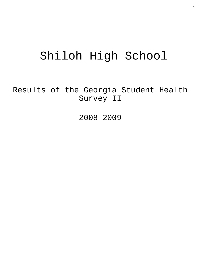# Shiloh High School

Results of the Georgia Student Health Survey II

2008-2009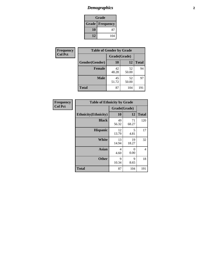### *Demographics* **2**

| Grade                    |     |  |  |  |
|--------------------------|-----|--|--|--|
| <b>Grade   Frequency</b> |     |  |  |  |
| 10                       | 87  |  |  |  |
| 12                       | 104 |  |  |  |

| <b>Frequency</b> | <b>Table of Gender by Grade</b> |              |             |              |
|------------------|---------------------------------|--------------|-------------|--------------|
| <b>Col Pct</b>   |                                 | Grade(Grade) |             |              |
|                  | Gender(Gender)                  | 10           | 12          | <b>Total</b> |
|                  | <b>Female</b>                   | 42<br>48.28  | 52<br>50.00 | 94           |
|                  | <b>Male</b>                     | 45<br>51.72  | 52<br>50.00 | 97           |
|                  | <b>Total</b>                    | 87           | 104         | 191          |

| Frequency      |
|----------------|
| <b>Col Pct</b> |

| <b>Table of Ethnicity by Grade</b> |             |              |              |  |  |
|------------------------------------|-------------|--------------|--------------|--|--|
|                                    |             | Grade(Grade) |              |  |  |
| <b>Ethnicity</b> (Ethnicity)       | 10          | 12           | <b>Total</b> |  |  |
| <b>Black</b>                       | 49<br>56.32 | 71<br>68.27  | 120          |  |  |
| <b>Hispanic</b>                    | 12<br>13.79 | 5<br>4.81    | 17           |  |  |
| White                              | 13<br>14.94 | 19<br>18.27  | 32           |  |  |
| <b>Asian</b>                       | 4<br>4.60   | 0<br>0.00    | 4            |  |  |
| <b>Other</b>                       | 9<br>10.34  | 9<br>8.65    | 18           |  |  |
| <b>Total</b>                       | 87          | 104          | 191          |  |  |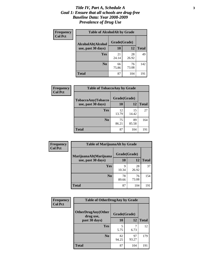#### *Title IV, Part A, Schedule A* **3** *Goal 1: Ensure that all schools are drug-free Baseline Data: Year 2008-2009 Prevalence of Drug Use*

| Frequency<br><b>Col Pct</b> | <b>Table of AlcoholAlt by Grade</b> |              |             |              |  |
|-----------------------------|-------------------------------------|--------------|-------------|--------------|--|
|                             | AlcoholAlt(Alcohol                  | Grade(Grade) |             |              |  |
|                             | use, past 30 days)                  | 10           | 12          | <b>Total</b> |  |
|                             | Yes                                 | 21<br>24.14  | 28<br>26.92 | 49           |  |
|                             | N <sub>0</sub>                      | 66<br>75.86  | 76<br>73.08 | 142          |  |
|                             | <b>Total</b>                        | 87           | 104         | 191          |  |

| Frequency      | <b>Table of TobaccoAny by Grade</b> |              |             |              |  |
|----------------|-------------------------------------|--------------|-------------|--------------|--|
| <b>Col Pct</b> | TobaccoAny(Tobacco                  | Grade(Grade) |             |              |  |
|                | use, past 30 days)                  | 10           | 12          | <b>Total</b> |  |
|                | Yes                                 | 12<br>13.79  | 15<br>14.42 | 27           |  |
|                | N <sub>0</sub>                      | 75<br>86.21  | 89<br>85.58 | 164          |  |
|                | Total                               | 87           | 104         | 191          |  |

| Frequency<br><b>Col Pct</b> | <b>Table of MarijuanaAlt by Grade</b> |              |             |              |  |
|-----------------------------|---------------------------------------|--------------|-------------|--------------|--|
|                             | MarijuanaAlt(Marijuana                | Grade(Grade) |             |              |  |
|                             | use, past 30 days)                    | 10           | 12          | <b>Total</b> |  |
|                             | <b>Yes</b>                            | 9<br>10.34   | 28<br>26.92 | 37           |  |
|                             | N <sub>0</sub>                        | 78<br>89.66  | 76<br>73.08 | 154          |  |
|                             | <b>Total</b>                          | 87           | 104         | 191          |  |

| Frequency<br><b>Col Pct</b> | <b>Table of OtherDrugAny by Grade</b>  |              |             |              |  |
|-----------------------------|----------------------------------------|--------------|-------------|--------------|--|
|                             | <b>OtherDrugAny(Other</b><br>drug use, | Grade(Grade) |             |              |  |
|                             | past 30 days)                          | 10           | 12          | <b>Total</b> |  |
|                             | <b>Yes</b>                             | 5.75         | 6.73        | 12           |  |
|                             | N <sub>0</sub>                         | 82<br>94.25  | 97<br>93.27 | 179          |  |
|                             | <b>Total</b>                           | 87           | 104         | 191          |  |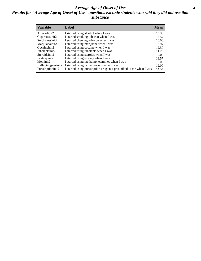#### *Average Age of Onset of Use* **4** *Results for "Average Age of Onset of Use" questions exclude students who said they did not use that substance*

| <b>Variable</b>    | Label                                                              | <b>Mean</b> |
|--------------------|--------------------------------------------------------------------|-------------|
| Alcoholinit2       | I started using alcohol when I was                                 | 13.36       |
| Cigarettesinit2    | I started smoking tobacco when I was                               | 13.57       |
| Smokelessinit2     | I started chewing tobacco when I was                               | 10.00       |
| Marijuanainit2     | I started using marijuana when I was                               | 13.97       |
| Cocaineinit2       | I started using cocaine when I was                                 | 12.50       |
| Inhalantsinit2     | I started using inhalants when I was                               | 11.25       |
| Steroidsinit2      | I started using steroids when I was                                | 9.00        |
| Ecstasyinit2       | I started using ecstasy when I was                                 | 13.57       |
| Methinit2          | I started using methamphetamines when I was                        | 10.00       |
| Hallucinogensinit2 | I started using hallucinogens when I was                           | 12.00       |
| Prescriptioninit2  | I started using prescription drugs not prescribed to me when I was | 14.54       |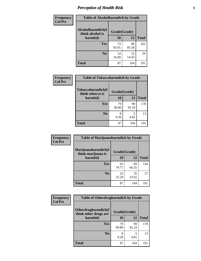### *Perception of Health Risk* **5**

| <b>Frequency</b> | <b>Table of Alcoholharmdich by Grade</b> |              |             |              |  |
|------------------|------------------------------------------|--------------|-------------|--------------|--|
| <b>Col Pct</b>   | Alcoholharmdich(I<br>think alcohol is    | Grade(Grade) |             |              |  |
|                  | harmful)                                 | 10           | 12          | <b>Total</b> |  |
|                  | <b>Yes</b>                               | 73<br>83.91  | 89<br>85.58 | 162          |  |
|                  | N <sub>0</sub>                           | 14<br>16.09  | 15<br>14.42 | 29           |  |
|                  | <b>Total</b>                             | 87           | 104         | 191          |  |

| Frequency<br>Col Pct | <b>Table of Tobaccoharmdich by Grade</b> |              |             |              |  |
|----------------------|------------------------------------------|--------------|-------------|--------------|--|
|                      | Tobaccoharmdich(I<br>think tobacco is    | Grade(Grade) |             |              |  |
|                      | harmful)                                 | 10           | 12          | <b>Total</b> |  |
|                      | Yes                                      | 79<br>90.80  | 99<br>95.19 | 178          |  |
|                      | N <sub>0</sub>                           | 9.20         | 5<br>4.81   | 13           |  |
|                      | <b>Total</b>                             | 87           | 104         | 191          |  |

| <b>Frequency</b><br><b>Col Pct</b> | <b>Table of Marijuanaharmdich by Grade</b>                |             |             |              |  |
|------------------------------------|-----------------------------------------------------------|-------------|-------------|--------------|--|
|                                    | Marijuanaharmdich(I<br>Grade(Grade)<br>think marijuana is |             |             |              |  |
|                                    | harmful)                                                  | 10          | 12          | <b>Total</b> |  |
|                                    | <b>Yes</b>                                                | 65<br>74.71 | 69<br>66.35 | 134          |  |
|                                    | N <sub>0</sub>                                            | 22<br>25.29 | 35<br>33.65 | 57           |  |
|                                    | <b>Total</b>                                              | 87          | 104         | 191          |  |

| <b>Frequency</b> | <b>Table of Otherdrugharmdich by Grade</b>   |              |             |              |  |  |  |  |
|------------------|----------------------------------------------|--------------|-------------|--------------|--|--|--|--|
| <b>Col Pct</b>   | Otherdrugharmdich(I<br>think other drugs are | Grade(Grade) |             |              |  |  |  |  |
|                  | harmful)                                     | 10           | 12          | <b>Total</b> |  |  |  |  |
|                  | Yes                                          | 79<br>90.80  | 99<br>95.19 | 178          |  |  |  |  |
|                  | N <sub>0</sub>                               | 9.20         | 5<br>4.81   | 13           |  |  |  |  |
|                  | <b>Total</b>                                 | 87           | 104         | 191          |  |  |  |  |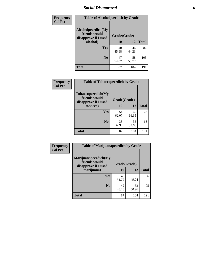### *Social Disapproval* **6**

| Frequency      | <b>Table of Alcoholpeerdich by Grade</b>                    |              |             |              |
|----------------|-------------------------------------------------------------|--------------|-------------|--------------|
| <b>Col Pct</b> | Alcoholpeerdich(My<br>friends would<br>disapprove if I used | Grade(Grade) |             |              |
|                | alcohol)                                                    | 10           | 12          | <b>Total</b> |
|                | <b>Yes</b>                                                  | 40<br>45.98  | 46<br>44.23 | 86           |
|                | N <sub>0</sub>                                              | 47<br>54.02  | 58<br>55.77 | 105          |
|                | <b>Total</b>                                                | 87           | 104         | 191          |

| <b>Frequency</b> |
|------------------|
| <b>Col Pct</b>   |

| <b>Table of Tobaccopeerdich by Grade</b>                            |              |             |              |  |  |  |  |
|---------------------------------------------------------------------|--------------|-------------|--------------|--|--|--|--|
| <b>Tobaccopeerdich</b> (My<br>friends would<br>disapprove if I used | Grade(Grade) |             |              |  |  |  |  |
| tobacco)                                                            | 10           | 12          | <b>Total</b> |  |  |  |  |
| Yes                                                                 | 54<br>62.07  | 69<br>66.35 | 123          |  |  |  |  |
| N <sub>0</sub>                                                      | 33<br>37.93  | 35<br>33.65 | 68           |  |  |  |  |
| <b>Total</b>                                                        | 87           | 104         | 191          |  |  |  |  |

| Frequency      | <b>Table of Marijuanapeerdich by Grade</b>                    |              |             |              |  |  |  |  |
|----------------|---------------------------------------------------------------|--------------|-------------|--------------|--|--|--|--|
| <b>Col Pct</b> | Marijuanapeerdich(My<br>friends would<br>disapprove if I used | Grade(Grade) |             |              |  |  |  |  |
|                | marijuana)                                                    | 10           | 12          | <b>Total</b> |  |  |  |  |
|                | <b>Yes</b>                                                    | 45<br>51.72  | 51<br>49.04 | 96           |  |  |  |  |
|                | N <sub>0</sub>                                                | 42<br>48.28  | 53<br>50.96 | 95           |  |  |  |  |
|                | <b>Total</b>                                                  | 87           | 104         | 191          |  |  |  |  |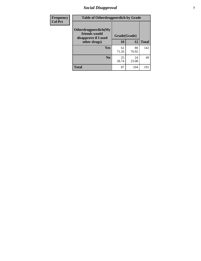### *Social Disapproval* **7**

| Frequency      | <b>Table of Otherdrugpeerdich by Grade</b>                    |              |             |              |  |  |  |
|----------------|---------------------------------------------------------------|--------------|-------------|--------------|--|--|--|
| <b>Col Pct</b> | Otherdrugpeerdich(My<br>friends would<br>disapprove if I used | Grade(Grade) |             |              |  |  |  |
|                | other drugs)                                                  | 10           | 12          | <b>Total</b> |  |  |  |
|                | Yes                                                           | 62<br>71.26  | 80<br>76.92 | 142          |  |  |  |
|                | N <sub>0</sub>                                                | 25<br>28.74  | 24<br>23.08 | 49           |  |  |  |
|                | <b>Total</b>                                                  | 87           | 104         | 191          |  |  |  |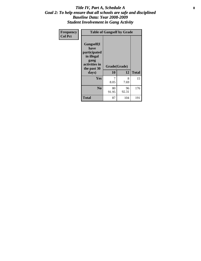#### Title IV, Part A, Schedule A **8** *Goal 2: To help ensure that all schools are safe and disciplined Baseline Data: Year 2008-2009 Student Involvement in Gang Activity*

| Frequency      |                                                                                                   | <b>Table of Gangself by Grade</b> |             |              |
|----------------|---------------------------------------------------------------------------------------------------|-----------------------------------|-------------|--------------|
| <b>Col Pct</b> | Gangself(I<br>have<br>participated<br>in illegal<br>gang<br>activities in<br>the past 30<br>days) | Grade(Grade)<br>10                | 12          | <b>Total</b> |
|                | Yes                                                                                               | 7<br>8.05                         | 8<br>7.69   | 15           |
|                | N <sub>0</sub>                                                                                    | 80<br>91.95                       | 96<br>92.31 | 176          |
|                | <b>Total</b>                                                                                      | 87                                | 104         | 191          |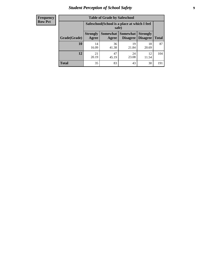### *Student Perception of School Safety* **9**

| <b>Frequency</b><br>Row Pct |
|-----------------------------|
|                             |

| <b>Table of Grade by Safeschool</b> |                                                                                                                                   |                                                        |             |             |     |  |  |
|-------------------------------------|-----------------------------------------------------------------------------------------------------------------------------------|--------------------------------------------------------|-------------|-------------|-----|--|--|
|                                     |                                                                                                                                   | Safeschool (School is a place at which I feel<br>safe) |             |             |     |  |  |
| Grade(Grade)                        | <b>Somewhat   Somewhat</b><br><b>Strongly</b><br><b>Strongly</b><br><b>Disagree</b><br>Agree<br>Disagree<br><b>Total</b><br>Agree |                                                        |             |             |     |  |  |
| 10                                  | 14<br>16.09                                                                                                                       | 36<br>41.38                                            | 19<br>21.84 | 18<br>20.69 | 87  |  |  |
| 12                                  | 21<br>20.19                                                                                                                       | 47<br>45.19                                            | 24<br>23.08 | 12<br>11.54 | 104 |  |  |
| <b>Total</b>                        | 35                                                                                                                                | 83                                                     | 43          | 30          | 191 |  |  |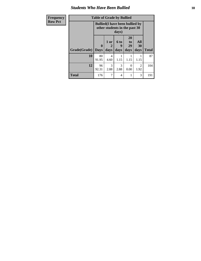#### *Students Who Have Been Bullied* **10**

| Frequency      |  |
|----------------|--|
| <b>Row Pct</b> |  |

## **Table of Grade by Bullied**

| $\mathbf{v}$ | Lavic VI Graue Dy Dunicu                                                         |                             |                   |                   |                               |                   |              |
|--------------|----------------------------------------------------------------------------------|-----------------------------|-------------------|-------------------|-------------------------------|-------------------|--------------|
|              | <b>Bullied</b> (I have been bullied by<br>other students in the past 30<br>days) |                             |                   |                   |                               |                   |              |
|              | Grade(Grade)                                                                     | $\mathbf{0}$<br><b>Days</b> | 1 or<br>2<br>days | 6 to<br>9<br>days | <b>20</b><br>to<br>29<br>days | All<br>30<br>days | <b>Total</b> |
|              | 10                                                                               | 80<br>91.95                 | 4<br>4.60         | 1.15              | 1.15                          | 1.15              | 87           |
|              | 12                                                                               | 96<br>92.31                 | 3<br>2.88         | 3<br>2.88         | 0<br>0.00                     | 2<br>1.92         | 104          |
|              | <b>Total</b>                                                                     | 176                         | 7                 | 4                 |                               | 3                 | 191          |

┑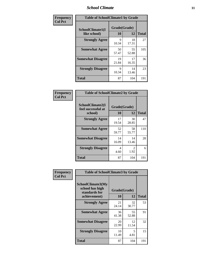### *School Climate* **11**

| Frequency      | <b>Table of SchoolClimate1 by Grade</b> |                    |             |              |  |  |  |
|----------------|-----------------------------------------|--------------------|-------------|--------------|--|--|--|
| <b>Col Pct</b> | SchoolClimate1(I<br>like school)        | Grade(Grade)<br>10 | 12          | <b>Total</b> |  |  |  |
|                | <b>Strongly Agree</b>                   | 9<br>10.34         | 18<br>17.31 | 27           |  |  |  |
|                | <b>Somewhat Agree</b>                   | 50<br>57.47        | 55<br>52.88 | 105          |  |  |  |
|                | <b>Somewhat Disagree</b>                | 19<br>21.84        | 17<br>16.35 | 36           |  |  |  |
|                | <b>Strongly Disagree</b>                | 9<br>10.34         | 14<br>13.46 | 23           |  |  |  |
|                | <b>Total</b>                            | 87                 | 104         | 191          |  |  |  |

| Frequency<br>Col Pct |
|----------------------|

| <b>Table of SchoolClimate2 by Grade</b>           |                    |                        |              |  |  |
|---------------------------------------------------|--------------------|------------------------|--------------|--|--|
| SchoolClimate2(I<br>feel successful at<br>school) | Grade(Grade)<br>10 | 12                     | <b>Total</b> |  |  |
| <b>Strongly Agree</b>                             | 17<br>19.54        | 30<br>28.85            | 47           |  |  |
| <b>Somewhat Agree</b>                             | 52<br>59.77        | 58<br>55.77            | 110          |  |  |
| <b>Somewhat Disagree</b>                          | 14<br>16.09        | 14<br>13.46            | 28           |  |  |
| <b>Strongly Disagree</b>                          | 4<br>4.60          | $\mathfrak{D}$<br>1.92 | 6            |  |  |
| <b>Total</b>                                      | 87                 | 104                    | 191          |  |  |

| Frequency      | <b>Table of SchoolClimate3 by Grade</b>               |             |              |              |  |  |
|----------------|-------------------------------------------------------|-------------|--------------|--------------|--|--|
| <b>Col Pct</b> | SchoolClimate3(My<br>school has high<br>standards for |             | Grade(Grade) |              |  |  |
|                | achievement)                                          | <b>10</b>   | 12           | <b>Total</b> |  |  |
|                | <b>Strongly Agree</b>                                 | 21<br>24.14 | 32<br>30.77  | 53           |  |  |
|                | <b>Somewhat Agree</b>                                 | 36<br>41.38 | 55<br>52.88  | 91           |  |  |
|                | <b>Somewhat Disagree</b>                              | 20<br>22.99 | 12<br>11.54  | 32           |  |  |
|                | <b>Strongly Disagree</b>                              | 10<br>11.49 | 5<br>4.81    | 15           |  |  |
|                | Total                                                 | 87          | 104          | 191          |  |  |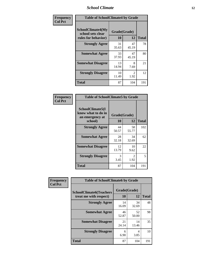### *School Climate* **12**

| Frequency      | <b>Table of SchoolClimate4 by Grade</b>                       |                    |             |              |  |
|----------------|---------------------------------------------------------------|--------------------|-------------|--------------|--|
| <b>Col Pct</b> | SchoolClimate4(My<br>school sets clear<br>rules for behavior) | Grade(Grade)<br>10 | 12          | <b>Total</b> |  |
|                | <b>Strongly Agree</b>                                         | 31<br>35.63        | 47<br>45.19 | 78           |  |
|                | <b>Somewhat Agree</b>                                         | 33<br>37.93        | 47<br>45.19 | 80           |  |
|                | <b>Somewhat Disagree</b>                                      | 13<br>14.94        | 8<br>7.69   | 21           |  |
|                | <b>Strongly Disagree</b>                                      | 10<br>11.49        | 2<br>1.92   | 12           |  |
|                | <b>Total</b>                                                  | 87                 | 104         | 191          |  |

| <b>Table of SchoolClimate5 by Grade</b>                              |                    |             |              |  |  |
|----------------------------------------------------------------------|--------------------|-------------|--------------|--|--|
| SchoolClimate5(I<br>know what to do in<br>an emergency at<br>school) | Grade(Grade)<br>10 | 12          | <b>Total</b> |  |  |
| <b>Strongly Agree</b>                                                | 44<br>50.57        | 58<br>55.77 | 102          |  |  |
| <b>Somewhat Agree</b>                                                | 28<br>32.18        | 34<br>32.69 | 62           |  |  |
| <b>Somewhat Disagree</b>                                             | 12<br>13.79        | 10<br>9.62  | 22           |  |  |
| <b>Strongly Disagree</b>                                             | 3<br>3.45          | 2<br>1.92   | 5            |  |  |
| Total                                                                | 87                 | 104         | 191          |  |  |

| Frequency      | <b>Table of SchoolClimate6 by Grade</b>                  |                    |             |              |  |
|----------------|----------------------------------------------------------|--------------------|-------------|--------------|--|
| <b>Col Pct</b> | <b>SchoolClimate6(Teachers</b><br>treat me with respect) | Grade(Grade)<br>10 | 12          | <b>Total</b> |  |
|                | <b>Strongly Agree</b>                                    | 14<br>16.09        | 34<br>32.69 | 48           |  |
|                | <b>Somewhat Agree</b>                                    | 46<br>52.87        | 52<br>50.00 | 98           |  |
|                | <b>Somewhat Disagree</b>                                 | 21<br>24.14        | 14<br>13.46 | 35           |  |
|                | <b>Strongly Disagree</b>                                 | 6<br>6.90          | 4<br>3.85   | 10           |  |
|                | <b>Total</b>                                             | 87                 | 104         | 191          |  |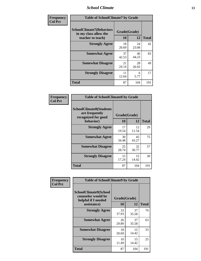### *School Climate* **13**

| Frequency      | <b>Table of SchoolClimate7 by Grade</b>                                       |                    |             |              |  |
|----------------|-------------------------------------------------------------------------------|--------------------|-------------|--------------|--|
| <b>Col Pct</b> | <b>SchoolClimate7(Behaviors</b><br>in my class allow the<br>teacher to teach) | Grade(Grade)<br>10 | 12          | <b>Total</b> |  |
|                | <b>Strongly Agree</b>                                                         | 18<br>20.69        | 24<br>23.08 | 42           |  |
|                | <b>Somewhat Agree</b>                                                         | 37<br>42.53        | 46<br>44.23 | 83           |  |
|                | <b>Somewhat Disagree</b>                                                      | 21<br>24.14        | 28<br>26.92 | 49           |  |
|                | <b>Strongly Disagree</b>                                                      | 11<br>12.64        | 6<br>5.77   | 17           |  |
|                | <b>Total</b>                                                                  | 87                 | 104         | 191          |  |

| Frequency      | <b>Table of SchoolClimate8 by Grade</b>                                              |                    |             |              |  |
|----------------|--------------------------------------------------------------------------------------|--------------------|-------------|--------------|--|
| <b>Col Pct</b> | <b>SchoolClimate8(Students</b><br>are frequently<br>recognized for good<br>behavior) | Grade(Grade)<br>10 | 12          | <b>Total</b> |  |
|                | <b>Strongly Agree</b>                                                                | 17<br>19.54        | 12<br>11.54 | 29           |  |
|                | <b>Somewhat Agree</b>                                                                | 30<br>34.48        | 45<br>43.27 | 75           |  |
|                | <b>Somewhat Disagree</b>                                                             | 25<br>28.74        | 32<br>30.77 | 57           |  |
|                | <b>Strongly Disagree</b>                                                             | 15<br>17.24        | 15<br>14.42 | 30           |  |
|                | <b>Total</b>                                                                         | 87                 | 104         | 191          |  |

| Frequency      | <b>Table of SchoolClimate9 by Grade</b>                                                  |                    |             |              |  |
|----------------|------------------------------------------------------------------------------------------|--------------------|-------------|--------------|--|
| <b>Col Pct</b> | <b>SchoolClimate9(School</b><br>counselor would be<br>helpful if I needed<br>assistance) | Grade(Grade)<br>10 | 12          | <b>Total</b> |  |
|                | <b>Strongly Agree</b>                                                                    | 33<br>37.93        | 37<br>35.58 | 70           |  |
|                | <b>Somewhat Agree</b>                                                                    | 26<br>29.89        | 37<br>35.58 | 63           |  |
|                | <b>Somewhat Disagree</b>                                                                 | 18<br>20.69        | 15<br>14.42 | 33           |  |
|                | <b>Strongly Disagree</b>                                                                 | 10<br>11.49        | 15<br>14.42 | 25           |  |
|                | Total                                                                                    | 87                 | 104         | 191          |  |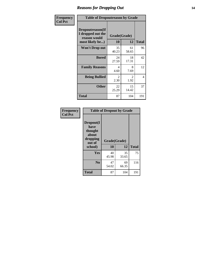### *Reasons for Dropping Out* **14**

| Frequency      | <b>Table of Dropoutreason by Grade</b>                                   |                    |             |                |  |
|----------------|--------------------------------------------------------------------------|--------------------|-------------|----------------|--|
| <b>Col Pct</b> | Dropoutreason(If<br>I dropped out the<br>reason would<br>most likely be) | Grade(Grade)<br>10 | 12          | <b>Total</b>   |  |
|                | <b>Won't Drop out</b>                                                    | 35<br>40.23        | 61<br>58.65 | 96             |  |
|                | <b>Bored</b>                                                             | 24<br>27.59        | 18<br>17.31 | 42             |  |
|                | <b>Family Reasons</b>                                                    | 4<br>4.60          | 8<br>7.69   | 12             |  |
|                | <b>Being Bullied</b>                                                     | 2<br>2.30          | 2<br>1.92   | $\overline{4}$ |  |
|                | <b>Other</b>                                                             | 22<br>25.29        | 15<br>14.42 | 37             |  |
|                | <b>Total</b>                                                             | 87                 | 104         | 191            |  |

| Frequency      | <b>Table of Dropout by Grade</b>                                       |                    |             |              |  |
|----------------|------------------------------------------------------------------------|--------------------|-------------|--------------|--|
| <b>Col Pct</b> | Dropout(I<br>have<br>thought<br>about<br>dropping<br>out of<br>school) | Grade(Grade)<br>10 | 12          | <b>Total</b> |  |
|                |                                                                        |                    |             |              |  |
|                | Yes                                                                    | 40<br>45.98        | 35<br>33.65 | 75           |  |
|                | N <sub>0</sub>                                                         | 47<br>54.02        | 69<br>66.35 | 116          |  |
|                |                                                                        |                    |             |              |  |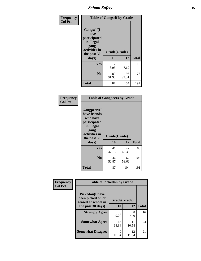*School Safety* **15**

| Frequency      | <b>Table of Gangself by Grade</b>                                                                 |                    |             |              |
|----------------|---------------------------------------------------------------------------------------------------|--------------------|-------------|--------------|
| <b>Col Pct</b> | Gangself(I<br>have<br>participated<br>in illegal<br>gang<br>activities in<br>the past 30<br>days) | Grade(Grade)<br>10 | 12          | <b>Total</b> |
|                | Yes                                                                                               | 7<br>8.05          | 8<br>7.69   | 15           |
|                | N <sub>0</sub>                                                                                    | 80<br>91.95        | 96<br>92.31 | 176          |
|                | <b>Total</b>                                                                                      | 87                 | 104         | 191          |

| Frequency<br><b>Col Pct</b> | <b>Table of Gangpeers by Grade</b>                                                                                     |                    |             |              |  |  |  |  |  |  |
|-----------------------------|------------------------------------------------------------------------------------------------------------------------|--------------------|-------------|--------------|--|--|--|--|--|--|
|                             | Gangpeers(I<br>have friends<br>who have<br>participated<br>in illegal<br>gang<br>activities in<br>the past 30<br>days) | Grade(Grade)<br>10 | 12          | <b>Total</b> |  |  |  |  |  |  |
|                             | Yes                                                                                                                    | 41<br>47.13        | 42<br>40.38 | 83           |  |  |  |  |  |  |
|                             | N <sub>0</sub>                                                                                                         | 46<br>52.87        | 62<br>59.62 | 108          |  |  |  |  |  |  |
|                             | <b>Total</b>                                                                                                           | 87                 | 104         | 191          |  |  |  |  |  |  |

| Frequency      | <b>Table of Pickedon by Grade</b>                                   |              |             |              |
|----------------|---------------------------------------------------------------------|--------------|-------------|--------------|
| <b>Col Pct</b> | <b>Pickedon</b> (I have<br>been picked on or<br>teased at school in | Grade(Grade) |             |              |
|                | the past 30 days)                                                   | 10           | 12          | <b>Total</b> |
|                | <b>Strongly Agree</b>                                               | 8<br>9.20    | 8<br>7.69   | 16           |
|                | <b>Somewhat Agree</b>                                               | 13<br>14.94  | 11<br>10.58 | 24           |
|                | <b>Somewhat Disagree</b>                                            | Q<br>10.34   | 12<br>11.54 | 21           |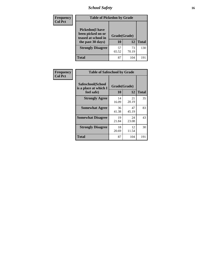*School Safety* **16**

| <b>Frequency</b> |                                                                                          | <b>Table of Pickedon by Grade</b> |             |              |  |  |  |  |  |
|------------------|------------------------------------------------------------------------------------------|-----------------------------------|-------------|--------------|--|--|--|--|--|
| <b>Col Pct</b>   | <b>Pickedon</b> (I have<br>been picked on or<br>teased at school in<br>the past 30 days) | Grade(Grade)<br>10                | 12          | <b>Total</b> |  |  |  |  |  |
|                  | <b>Strongly Disagree</b>                                                                 | 57<br>65.52                       | 73<br>70.19 | 130          |  |  |  |  |  |
|                  | Total                                                                                    | 87                                | 104         | 19           |  |  |  |  |  |

| <b>Frequency</b> | <b>Table of Safeschool by Grade</b>        |              |             |              |
|------------------|--------------------------------------------|--------------|-------------|--------------|
| <b>Col Pct</b>   | Safeschool(School<br>is a place at which I | Grade(Grade) |             |              |
|                  | feel safe)                                 | 10           | 12          | <b>Total</b> |
|                  | <b>Strongly Agree</b>                      | 14<br>16.09  | 21<br>20.19 | 35           |
|                  | <b>Somewhat Agree</b>                      | 36<br>41.38  | 47<br>45.19 | 83           |
|                  | <b>Somewhat Disagree</b>                   | 19<br>21.84  | 24<br>23.08 | 43           |
|                  | <b>Strongly Disagree</b>                   | 18<br>20.69  | 12<br>11.54 | 30           |
|                  | <b>Total</b>                               | 87           | 104         | 191          |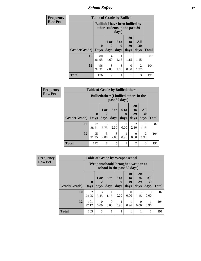*School Safety* **17**

| <b>Frequency</b> | <b>Table of Grade by Bullied</b> |                                                                         |                        |                          |                        |                        |              |  |
|------------------|----------------------------------|-------------------------------------------------------------------------|------------------------|--------------------------|------------------------|------------------------|--------------|--|
| <b>Row Pct</b>   |                                  | <b>Bullied</b> (I have been bullied by<br>other students in the past 30 |                        |                          |                        |                        |              |  |
|                  | Grade(Grade)                     | 0<br><b>Days</b>                                                        | 1 or<br>2<br>days      | <b>6 to</b><br>9<br>days | 20<br>to<br>29<br>days | All<br>30<br>days      | <b>Total</b> |  |
|                  | 10                               | 80<br>91.95                                                             | $\overline{4}$<br>4.60 | 1.15                     | 1.15                   | 1.15                   | 87           |  |
|                  | 12                               | 96<br>92.31                                                             | 3<br>2.88              | 3<br>2.88                | $\Omega$<br>0.00       | $\overline{2}$<br>1.92 | 104          |  |
|                  | <b>Total</b>                     | 176                                                                     | 7                      | 4                        |                        | $\mathcal{R}$          | 191          |  |

| <b>Frequency</b> | <b>Table of Grade by Bulliedothers</b> |              |                                                                |           |                  |                        |                        |              |  |  |
|------------------|----------------------------------------|--------------|----------------------------------------------------------------|-----------|------------------|------------------------|------------------------|--------------|--|--|
| <b>Row Pct</b>   |                                        |              | <b>Bulliedothers</b> (I bullied others in the<br>past 30 days) |           |                  |                        |                        |              |  |  |
|                  |                                        | $\mathbf{0}$ | $1$ or $ $                                                     | $3$ to    | 6 to<br>9        | <b>20</b><br>to<br>29  | All<br>30              |              |  |  |
|                  | Grade(Grade)                           | <b>Days</b>  | days                                                           | days      | days             | days                   | days                   | <b>Total</b> |  |  |
|                  | 10                                     | 77<br>88.51  | 5<br>5.75                                                      | 2<br>2.30 | $\Omega$<br>0.00 | $\overline{c}$<br>2.30 | 1.15                   | 87           |  |  |
|                  | 12                                     | 95<br>91.35  | 3<br>2.88                                                      | 3<br>2.88 | 0.96             | $\Omega$<br>0.00       | $\overline{c}$<br>1.92 | 104          |  |  |
|                  | <b>Total</b>                           | 172          | 8                                                              | 5         |                  | $\overline{2}$         | 3                      | 191          |  |  |

| Frequency      | <b>Table of Grade by Weaponschool</b> |              |                                                                   |                  |                  |                  |                       |                  |              |  |  |
|----------------|---------------------------------------|--------------|-------------------------------------------------------------------|------------------|------------------|------------------|-----------------------|------------------|--------------|--|--|
| <b>Row Pct</b> |                                       |              | Weaponschool(I brought a weapon to<br>school in the past 30 days) |                  |                  |                  |                       |                  |              |  |  |
|                |                                       | $\mathbf 0$  | 1 or                                                              | 3 <sub>to</sub>  | <b>6 to</b><br>9 | 10<br>to<br>19   | <b>20</b><br>to<br>29 | <b>All</b><br>30 |              |  |  |
|                | Grade(Grade)                          | <b>Days</b>  | days                                                              | days             | days             | days             | days                  | days             | <b>Total</b> |  |  |
|                | 10                                    | 82<br>94.25  | 3<br>3.45                                                         | 1.15             | $\Omega$<br>0.00 | $\Omega$<br>0.00 | 1.15                  | $\Omega$<br>0.00 | 87           |  |  |
|                | 12                                    | 101<br>97.12 | $\Omega$<br>0.00                                                  | $\Omega$<br>0.00 | 0.96             | 0.96             | $\Omega$<br>0.00      | 0.96             | 104          |  |  |
|                | <b>Total</b>                          | 183          | 3                                                                 |                  |                  |                  |                       | 1                | 191          |  |  |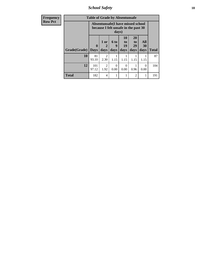*School Safety* **18**

| <b>Frequency</b> | <b>Table of Grade by Absentunsafe</b> |                            |                                                                           |                   |                               |                               |                   |              |  |
|------------------|---------------------------------------|----------------------------|---------------------------------------------------------------------------|-------------------|-------------------------------|-------------------------------|-------------------|--------------|--|
| <b>Row Pct</b>   |                                       |                            | Absentunsafe(I have missed school<br>because I felt unsafe in the past 30 | days)             |                               |                               |                   |              |  |
|                  | Grade(Grade)                          | $\mathbf 0$<br><b>Days</b> | 1 or<br>2<br>days                                                         | 6 to<br>9<br>days | <b>10</b><br>to<br>19<br>days | <b>20</b><br>to<br>29<br>days | All<br>30<br>days | <b>Total</b> |  |
|                  | 10                                    | 81<br>93.10                | $\mathfrak{D}$<br>2.30                                                    | 1.15              | 1.15                          | 1.15                          | 1.15              | 87           |  |
|                  | 12                                    | 101<br>97.12               | $\mathfrak{D}$<br>1.92                                                    | 0<br>0.00         | $\Omega$<br>0.00              | 0.96                          | $\Omega$<br>0.00  | 104          |  |
|                  | <b>Total</b>                          | 182                        | $\overline{4}$                                                            |                   |                               | 2                             | 1                 | 191          |  |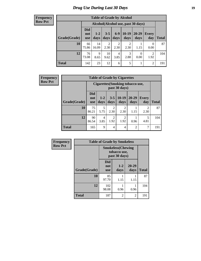### *Drug Use During Last 30 Days* **19**

#### **Frequency Row Pct**

| <b>Table of Grade by Alcohol</b> |                                 |                                    |                        |                        |                 |                   |                |              |  |  |  |
|----------------------------------|---------------------------------|------------------------------------|------------------------|------------------------|-----------------|-------------------|----------------|--------------|--|--|--|
|                                  |                                 | Alcohol(Alcohol use, past 30 days) |                        |                        |                 |                   |                |              |  |  |  |
| Grade(Grade)                     | <b>Did</b><br>not<br><b>use</b> | $1-2$<br>days                      | $3 - 5$<br>days        | $6 - 9$<br>days        | $10-19$<br>days | $20 - 29$<br>days | Every<br>day   | <b>Total</b> |  |  |  |
| 10                               | 66<br>75.86                     | 14<br>16.09                        | $\overline{2}$<br>2.30 | $\overline{2}$<br>2.30 | 2<br>2.30       | 1.15              | 0<br>0.00      | 87           |  |  |  |
| 12                               | 76<br>73.08                     | 9<br>8.65                          | 10<br>9.62             | 4<br>3.85              | 3<br>2.88       | $\theta$<br>0.00  | 2<br>1.92      | 104          |  |  |  |
| <b>Total</b>                     | 142                             | 23                                 | 12                     | 6                      | 5               |                   | $\overline{2}$ | 191          |  |  |  |

| Frequency      |              |                                 |                 |                        | <b>Table of Grade by Cigarettes</b>               |                   |                        |              |
|----------------|--------------|---------------------------------|-----------------|------------------------|---------------------------------------------------|-------------------|------------------------|--------------|
| <b>Row Pct</b> |              |                                 |                 |                        | Cigarettes (Smoking tobacco use,<br>past 30 days) |                   |                        |              |
|                | Grade(Grade) | <b>Did</b><br>not<br><b>use</b> | $1 - 2$<br>days | $3 - 5$<br>days        | $10-19$<br>days                                   | $20 - 29$<br>days | Every<br>day           | <b>Total</b> |
|                | 10           | 75<br>86.21                     | 5<br>5.75       | $\mathfrak{D}$<br>2.30 | $\overline{2}$<br>2.30                            | 1.15              | $\overline{c}$<br>2.30 | 87           |
|                | 12           | 90<br>86.54                     | 4<br>3.85       | $\overline{c}$<br>1.92 | $\overline{2}$<br>1.92                            | 0.96              | 5<br>4.81              | 104          |
|                | <b>Total</b> | 165                             | 9               | 4                      | 4                                                 | 2                 | 7                      | 191          |

| Frequency      | <b>Table of Grade by Smokeless</b> |                                                            |                 |                   |              |  |  |  |  |  |
|----------------|------------------------------------|------------------------------------------------------------|-----------------|-------------------|--------------|--|--|--|--|--|
| <b>Row Pct</b> |                                    | <b>Smokeless</b> (Chewing<br>tobacco use,<br>past 30 days) |                 |                   |              |  |  |  |  |  |
|                | Grade(Grade)                       | <b>Did</b><br>not<br><b>use</b>                            | $1 - 2$<br>days | $20 - 29$<br>days | <b>Total</b> |  |  |  |  |  |
|                | 10                                 | 85<br>97.70                                                | 1.15            | 1.15              | 87           |  |  |  |  |  |
|                | 12                                 | 102<br>98.08                                               | 0.96            | 0.96              | 104          |  |  |  |  |  |
|                | <b>Total</b>                       | 187                                                        | 2               | $\overline{2}$    | 191          |  |  |  |  |  |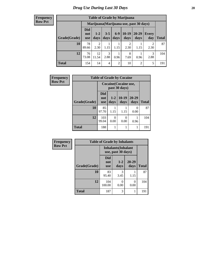#### **Frequency Row Pct**

| <b>Table of Grade by Marijuana</b> |                                 |                                         |                 |                |                        |               |                        |       |  |  |  |
|------------------------------------|---------------------------------|-----------------------------------------|-----------------|----------------|------------------------|---------------|------------------------|-------|--|--|--|
|                                    |                                 | Marijuana (Marijuana use, past 30 days) |                 |                |                        |               |                        |       |  |  |  |
| Grade(Grade)                       | <b>Did</b><br>not<br><b>use</b> | $1 - 2$<br>days                         | $3 - 5$<br>days | $6-9$<br>days  | $10-19$<br>days        | 20-29<br>days | Every<br>day           | Total |  |  |  |
| 10                                 | 78<br>89.66                     | $\overline{2}$<br>2.30                  | 1.15            | 1.15           | $\overline{2}$<br>2.30 | 1.15          | $\mathfrak{D}$<br>2.30 | 87    |  |  |  |
| 12                                 | 76<br>73.08                     | 12<br>11.54                             | 3<br>2.88       | 0.96           | 8<br>7.69              | 0.96          | 3<br>2.88              | 104   |  |  |  |
| <b>Total</b>                       | 154                             | 14                                      | 4               | $\overline{2}$ | 10                     | 2             | 5                      | 191   |  |  |  |

| <b>Frequency</b> | <b>Table of Grade by Cocaine</b> |                          |                 |                                        |                   |              |  |  |
|------------------|----------------------------------|--------------------------|-----------------|----------------------------------------|-------------------|--------------|--|--|
| <b>Row Pct</b>   |                                  |                          |                 | Cocaine (Cocaine use,<br>past 30 days) |                   |              |  |  |
|                  | Grade(Grade)                     | Did<br>not<br><b>use</b> | $1 - 2$<br>days | $10-19$<br>days                        | $20 - 29$<br>days | <b>Total</b> |  |  |
|                  | 10                               | 85<br>97.70              | 1.15            | 1.15                                   | 0<br>0.00         | 87           |  |  |
|                  | 12                               | 103<br>99.04             | 0<br>0.00       | $\theta$<br>0.00                       | 0.96              | 104          |  |  |
|                  | <b>Total</b>                     | 188                      |                 |                                        |                   | 191          |  |  |

| Frequency      | <b>Table of Grade by Inhalants</b> |                                 |                                                  |                   |              |  |  |
|----------------|------------------------------------|---------------------------------|--------------------------------------------------|-------------------|--------------|--|--|
| <b>Row Pct</b> |                                    |                                 | <b>Inhalants</b> (Inhalant<br>use, past 30 days) |                   |              |  |  |
|                | Grade(Grade)                       | <b>Did</b><br>not<br><b>use</b> | $1 - 2$<br>days                                  | $20 - 29$<br>days | <b>Total</b> |  |  |
|                | 10                                 | 83<br>95.40                     | 3<br>3.45                                        | 1.15              | 87           |  |  |
|                | 12                                 | 104<br>100.00                   | 0<br>0.00                                        | 0<br>0.00         | 104          |  |  |
|                | <b>Total</b>                       | 187                             | 3                                                |                   | 191          |  |  |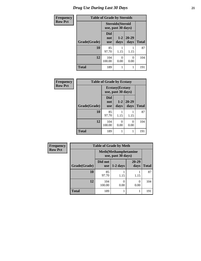| <b>Frequency</b> |              | <b>Table of Grade by Steroids</b> |                                                |                   |              |
|------------------|--------------|-----------------------------------|------------------------------------------------|-------------------|--------------|
| <b>Row Pct</b>   |              |                                   | <b>Steroids</b> (Steroid<br>use, past 30 days) |                   |              |
|                  | Grade(Grade) | <b>Did</b><br>not<br><b>use</b>   | $1 - 2$<br>days                                | $20 - 29$<br>days | <b>Total</b> |
|                  | 10           | 85<br>97.70                       | 1.15                                           | 1.15              | 87           |
|                  | 12           | 104<br>100.00                     | 0<br>0.00                                      | 0<br>0.00         | 104          |
|                  | <b>Total</b> | 189                               | 1                                              |                   | 191          |

| Frequency      | <b>Table of Grade by Ecstasy</b> |                                               |                 |               |              |  |  |
|----------------|----------------------------------|-----------------------------------------------|-----------------|---------------|--------------|--|--|
| <b>Row Pct</b> |                                  | <b>Ecstasy</b> (Ecstasy<br>use, past 30 days) |                 |               |              |  |  |
|                | Grade(Grade)                     | Did<br>not<br><b>use</b>                      | $1 - 2$<br>days | 20-29<br>days | <b>Total</b> |  |  |
|                | 10                               | 85<br>97.70                                   | 1.15            | 1.15          | 87           |  |  |
|                | 12                               | 104<br>100.00                                 | 0<br>0.00       | 0<br>0.00     | 104          |  |  |
|                | <b>Total</b>                     | 189                                           | 1               | 1             | 191          |  |  |

| Frequency      | <b>Table of Grade by Meth</b> |                       |                                                    |                   |              |  |  |  |
|----------------|-------------------------------|-----------------------|----------------------------------------------------|-------------------|--------------|--|--|--|
| <b>Row Pct</b> |                               |                       | <b>Meth</b> (Methamphetamine<br>use, past 30 days) |                   |              |  |  |  |
|                | Grade(Grade)                  | Did not<br><b>use</b> | $1-2$ days                                         | $20 - 29$<br>days | <b>Total</b> |  |  |  |
|                | 10                            | 85<br>97.70           | 1.15                                               | 1.15              | 87           |  |  |  |
|                | 12                            | 104<br>100.00         | 0.00                                               | $\theta$<br>0.00  | 104          |  |  |  |
|                | <b>Total</b>                  | 189                   |                                                    |                   | 191          |  |  |  |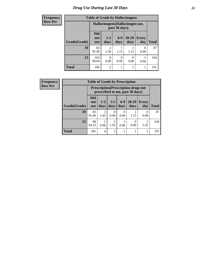### *Drug Use During Last 30 Days* **22**

| <b>Frequency</b> | <b>Table of Grade by Hallucinogens</b> |                                  |                |                  |                   |                     |              |
|------------------|----------------------------------------|----------------------------------|----------------|------------------|-------------------|---------------------|--------------|
| <b>Row Pct</b>   |                                        | Hallucinogens (Hallucinogen use, |                |                  |                   |                     |              |
|                  | Grade(Grade)                           | <b>Did</b><br>not<br><b>use</b>  | $1-2$<br>days  | $6-9$<br>days    | $20 - 29$<br>days | <b>Every</b><br>day | <b>Total</b> |
|                  | 10                                     | 83<br>95.40                      | 2<br>2.30      | 1.15             | 1.15              | 0<br>0.00           | 87           |
|                  | 12                                     | 103<br>99.04                     | 0.00           | $\Omega$<br>0.00 | 0<br>0.00         | 0.96                | 104          |
|                  | <b>Total</b>                           | 186                              | $\mathfrak{D}$ |                  | 1                 |                     | 191          |

| Frequency      | <b>Table of Grade by Prescription</b> |                                 |               |                        |               |                                                                                |                        |              |  |
|----------------|---------------------------------------|---------------------------------|---------------|------------------------|---------------|--------------------------------------------------------------------------------|------------------------|--------------|--|
| <b>Row Pct</b> |                                       |                                 |               |                        |               | <b>Prescription</b> (Prescription drugs not<br>prescribed to me, past 30 days) |                        |              |  |
|                | Grade(Grade)                          | <b>Did</b><br>not<br><b>use</b> | $1-2$<br>days | $3 - 5$<br>days        | $6-9$<br>days | $20 - 29$<br>days                                                              | Every<br>day           | <b>Total</b> |  |
|                | 10                                    | 83<br>95.40                     | 3<br>3.45     | 0<br>0.00              | 0.00          | 1.15                                                                           | 0<br>0.00              | 87           |  |
|                | 12                                    | 98<br>94.23                     | 0.96          | $\overline{c}$<br>1.92 | 0.96          | 0.00                                                                           | $\overline{2}$<br>1.92 | 104          |  |
|                | <b>Total</b>                          | 181                             | 4             | $\overline{c}$         |               |                                                                                | 2                      | 191          |  |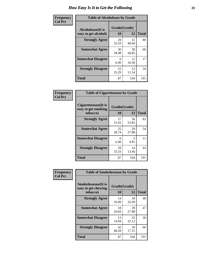| Frequency      | <b>Table of Alcoholease by Grade</b>              |                    |             |              |  |
|----------------|---------------------------------------------------|--------------------|-------------|--------------|--|
| <b>Col Pct</b> | <b>Alcoholease</b> (It is<br>easy to get alcohol) | Grade(Grade)<br>10 | 12          | <b>Total</b> |  |
|                | <b>Strongly Agree</b>                             | 29<br>33.33        | 51<br>49.04 | 80           |  |
|                | <b>Somewhat Agree</b>                             | 30<br>34.48        | 30<br>28.85 | 60           |  |
|                | <b>Somewhat Disagree</b>                          | 6<br>6.90          | 11<br>10.58 | 17           |  |
|                | <b>Strongly Disagree</b>                          | 22<br>25.29        | 12<br>11.54 | 34           |  |
|                | <b>Total</b>                                      | 87                 | 104         | 191          |  |

| Frequency      | <b>Table of Cigarettesease by Grade</b>                  |                    |             |              |  |
|----------------|----------------------------------------------------------|--------------------|-------------|--------------|--|
| <b>Col Pct</b> | Cigarettesease (It is<br>easy to get smoking<br>tobacco) | Grade(Grade)<br>10 | 12          | <b>Total</b> |  |
|                | <b>Strongly Agree</b>                                    | 27<br>31.03        | 56<br>53.85 | 83           |  |
|                | <b>Somewhat Agree</b>                                    | 25<br>28.74        | 29<br>27.88 | 54           |  |
|                | <b>Somewhat Disagree</b>                                 | 6<br>6.90          | 5<br>4.81   | 11           |  |
|                | <b>Strongly Disagree</b>                                 | 29<br>33.33        | 14<br>13.46 | 43           |  |
|                | <b>Total</b>                                             | 87                 | 104         | 191          |  |

| Frequency      | <b>Table of Smokelessease by Grade</b>             |              |             |              |  |  |  |  |
|----------------|----------------------------------------------------|--------------|-------------|--------------|--|--|--|--|
| <b>Col Pct</b> | <b>Smokelessease</b> (It is<br>easy to get chewing | Grade(Grade) |             |              |  |  |  |  |
|                | tobacco)                                           | 10           | 12          | <b>Total</b> |  |  |  |  |
|                | <b>Strongly Agree</b>                              | 14<br>16.09  | 34<br>32.69 | 48           |  |  |  |  |
|                | <b>Somewhat Agree</b>                              | 18<br>20.69  | 29<br>27.88 | 47           |  |  |  |  |
|                | <b>Somewhat Disagree</b>                           | 13<br>14.94  | 23<br>22.12 | 36           |  |  |  |  |
|                | <b>Strongly Disagree</b>                           | 42<br>48.28  | 18<br>17.31 | 60           |  |  |  |  |
|                | Total                                              | 87           | 104         | 191          |  |  |  |  |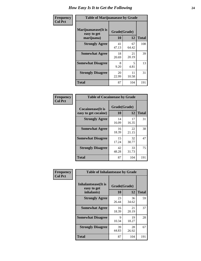| Frequency      | <b>Table of Marijuanaease by Grade</b>           |                    |             |              |  |
|----------------|--------------------------------------------------|--------------------|-------------|--------------|--|
| <b>Col Pct</b> | Marijuanaease(It is<br>easy to get<br>marijuana) | Grade(Grade)<br>10 | 12          | <b>Total</b> |  |
|                | <b>Strongly Agree</b>                            | 41<br>47.13        | 67<br>64.42 | 108          |  |
|                | <b>Somewhat Agree</b>                            | 18<br>20.69        | 21<br>20.19 | 39           |  |
|                | <b>Somewhat Disagree</b>                         | 8<br>9.20          | 5<br>4.81   | 13           |  |
|                | <b>Strongly Disagree</b>                         | 20<br>22.99        | 11<br>10.58 | 31           |  |
|                | <b>Total</b>                                     | 87                 | 104         | 191          |  |

| <b>Table of Cocaineease by Grade</b>      |                    |              |     |  |  |  |  |
|-------------------------------------------|--------------------|--------------|-----|--|--|--|--|
| Cocaineease(It is<br>easy to get cocaine) | Grade(Grade)<br>10 | <b>Total</b> |     |  |  |  |  |
| <b>Strongly Agree</b>                     | 14<br>16.09        | 17<br>16.35  | 31  |  |  |  |  |
| <b>Somewhat Agree</b>                     | 16<br>18.39        | 22<br>21.15  | 38  |  |  |  |  |
| <b>Somewhat Disagree</b>                  | 15<br>17.24        | 32<br>30.77  | 47  |  |  |  |  |
| <b>Strongly Disagree</b>                  | 42<br>48.28        | 33<br>31.73  | 75  |  |  |  |  |
| <b>Total</b>                              | 87                 | 104          | 191 |  |  |  |  |

| Frequency      | <b>Table of Inhalantsease by Grade</b>     |              |             |              |
|----------------|--------------------------------------------|--------------|-------------|--------------|
| <b>Col Pct</b> | <b>Inhalantsease</b> (It is<br>easy to get | Grade(Grade) |             |              |
|                | inhalants)                                 | 10           | 12          | <b>Total</b> |
|                | <b>Strongly Agree</b>                      | 23<br>26.44  | 36<br>34.62 | 59           |
|                | <b>Somewhat Agree</b>                      | 16<br>18.39  | 21<br>20.19 | 37           |
|                | <b>Somewhat Disagree</b>                   | 9<br>10.34   | 19<br>18.27 | 28           |
|                | <b>Strongly Disagree</b>                   | 39<br>44.83  | 28<br>26.92 | 67           |
|                | <b>Total</b>                               | 87           | 104         | 191          |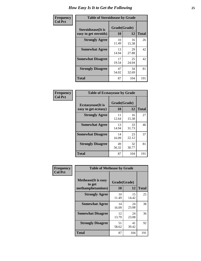| Frequency      | <b>Table of Steroidsease by Grade</b>               |                    |              |     |  |  |  |  |  |  |
|----------------|-----------------------------------------------------|--------------------|--------------|-----|--|--|--|--|--|--|
| <b>Col Pct</b> | <b>Steroidsease</b> (It is<br>easy to get steroids) | Grade(Grade)<br>10 | <b>Total</b> |     |  |  |  |  |  |  |
|                | <b>Strongly Agree</b>                               | 10<br>11.49        | 16<br>15.38  | 26  |  |  |  |  |  |  |
|                | <b>Somewhat Agree</b>                               | 13<br>14.94        | 29<br>27.88  | 42  |  |  |  |  |  |  |
|                | <b>Somewhat Disagree</b>                            | 17<br>19.54        | 25<br>24.04  | 42  |  |  |  |  |  |  |
|                | <b>Strongly Disagree</b>                            | 47<br>54.02        | 34<br>32.69  | 81  |  |  |  |  |  |  |
|                | <b>Total</b>                                        | 87                 | 104          | 191 |  |  |  |  |  |  |

| Frequency      | <b>Table of Ecstasyease by Grade</b>              |                    |              |     |  |  |  |  |  |  |  |
|----------------|---------------------------------------------------|--------------------|--------------|-----|--|--|--|--|--|--|--|
| <b>Col Pct</b> | <b>Ecstasyease</b> (It is<br>easy to get ecstasy) | Grade(Grade)<br>10 | <b>Total</b> |     |  |  |  |  |  |  |  |
|                | <b>Strongly Agree</b>                             | 11<br>12.64        | 16<br>15.38  | 27  |  |  |  |  |  |  |  |
|                | <b>Somewhat Agree</b>                             | 13<br>14.94        | 33<br>31.73  | 46  |  |  |  |  |  |  |  |
|                | <b>Somewhat Disagree</b>                          | 14<br>16.09        | 23<br>22.12  | 37  |  |  |  |  |  |  |  |
|                | <b>Strongly Disagree</b>                          | 49<br>56.32        | 32<br>30.77  | 81  |  |  |  |  |  |  |  |
|                | <b>Total</b>                                      | 87                 | 104          | 191 |  |  |  |  |  |  |  |

| Frequency      | <b>Table of Methease by Grade</b>                          |                           |             |              |  |  |  |  |  |  |
|----------------|------------------------------------------------------------|---------------------------|-------------|--------------|--|--|--|--|--|--|
| <b>Col Pct</b> | <b>Methease</b> (It is easy<br>to get<br>methamphetamines) | Grade(Grade)<br><b>10</b> | 12          | <b>Total</b> |  |  |  |  |  |  |
|                | <b>Strongly Agree</b>                                      | 10<br>11.49               | 15<br>14.42 | 25           |  |  |  |  |  |  |
|                | <b>Somewhat Agree</b>                                      | 14<br>16.09               | 24<br>23.08 | 38           |  |  |  |  |  |  |
|                | <b>Somewhat Disagree</b>                                   | 12<br>13.79               | 24<br>23.08 | 36           |  |  |  |  |  |  |
|                | <b>Strongly Disagree</b>                                   | 51<br>58.62               | 41<br>39.42 | 92           |  |  |  |  |  |  |
|                | <b>Total</b>                                               | 87                        | 104         | 191          |  |  |  |  |  |  |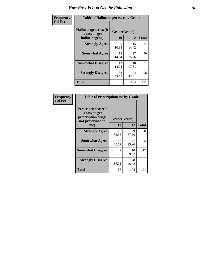| <b>Frequency</b> | <b>Table of Hallucinogensease by Grade</b>               |                    |             |              |  |  |  |  |  |  |  |  |
|------------------|----------------------------------------------------------|--------------------|-------------|--------------|--|--|--|--|--|--|--|--|
| <b>Col Pct</b>   | Hallucinogensease(It<br>is easy to get<br>hallucinogens) | Grade(Grade)<br>10 | 12          | <b>Total</b> |  |  |  |  |  |  |  |  |
|                  | <b>Strongly Agree</b>                                    | Q<br>10.34         | 15<br>14.42 | 24           |  |  |  |  |  |  |  |  |
|                  | <b>Somewhat Agree</b>                                    | 13<br>14.94        | 27<br>25.96 | 40           |  |  |  |  |  |  |  |  |
|                  | <b>Somewhat Disagree</b>                                 | 13<br>14.94        | 18<br>17.31 | 31           |  |  |  |  |  |  |  |  |
|                  | <b>Strongly Disagree</b>                                 | 52<br>59.77        | 44<br>42.31 | 96           |  |  |  |  |  |  |  |  |
|                  | <b>Total</b>                                             | 87                 | 104         | 191          |  |  |  |  |  |  |  |  |

| Frequency<br>  Col Pct |
|------------------------|

| <b>Table of Prescriptionease by Grade</b>                                                |             |              |              |  |  |  |  |  |  |  |
|------------------------------------------------------------------------------------------|-------------|--------------|--------------|--|--|--|--|--|--|--|
| <b>Prescriptionease</b> (It<br>is easy to get<br>prescription drugs<br>not prescribed to |             | Grade(Grade) |              |  |  |  |  |  |  |  |
| me)                                                                                      | 10          | 12           | <b>Total</b> |  |  |  |  |  |  |  |
| <b>Strongly Agree</b>                                                                    | 29<br>33.33 | 39<br>37.50  | 68           |  |  |  |  |  |  |  |
| <b>Somewhat Agree</b>                                                                    | 18<br>20.69 | 27<br>25.96  | 45           |  |  |  |  |  |  |  |
| <b>Somewhat Disagree</b>                                                                 | 7<br>8.05   | 10<br>9.62   | 17           |  |  |  |  |  |  |  |
| <b>Strongly Disagree</b>                                                                 | 33<br>37.93 | 28<br>26.92  | 61           |  |  |  |  |  |  |  |
| Total                                                                                    | 87          | 104          | 191          |  |  |  |  |  |  |  |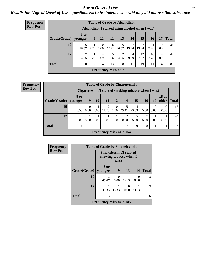#### *Age at Onset of Use* **27** *Results for "Age at Onset of Use" questions exclude students who said they did not use that substance*

| <b>Frequency</b> | <b>Table of Grade by Alcoholinit</b> |            |                                                  |           |                           |            |           |             |             |                        |              |  |  |  |
|------------------|--------------------------------------|------------|--------------------------------------------------|-----------|---------------------------|------------|-----------|-------------|-------------|------------------------|--------------|--|--|--|
| <b>Row Pct</b>   |                                      |            | Alcoholinit (I started using alcohol when I was) |           |                           |            |           |             |             |                        |              |  |  |  |
|                  | Grade(Grade)   younger               | 8 or       | 9                                                | 11        | 12                        | 13         | 14        | 15          | <b>16</b>   | 17                     | <b>Total</b> |  |  |  |
|                  | 10                                   | 6<br>16.67 | л.<br>2.78                                       | 0<br>0.00 | 8<br>22.22                | 6<br>16.67 | 19.44     | 19.44       | 2.78        | $\Omega$<br>0.00       | 36           |  |  |  |
|                  | 12                                   | 2<br>4.55  | 2.27                                             | 4<br>9.09 | 11.36                     | 2<br>4.55  | 4<br>9.09 | 12<br>27.27 | 10<br>22.73 | $\overline{4}$<br>9.09 | 44           |  |  |  |
|                  | <b>Total</b>                         | 8          | $\overline{2}$                                   | 4         | 13                        | 8          | 11        | 19          | 11          | $\overline{4}$         | 80           |  |  |  |
|                  |                                      |            |                                                  |           | Frequency Missing $= 111$ |            |           |             |             |                        |              |  |  |  |

| <b>Frequency</b> |
|------------------|
| <b>Row Pct</b>   |

| <b>Table of Grade by Cigarettesinit</b> |                           |                                                      |           |            |                        |            |            |       |                  |                       |              |
|-----------------------------------------|---------------------------|------------------------------------------------------|-----------|------------|------------------------|------------|------------|-------|------------------|-----------------------|--------------|
|                                         |                           | Cigarettesinit(I started smoking tobacco when I was) |           |            |                        |            |            |       |                  |                       |              |
| Grade(Grade)   younger                  | <b>8 or</b>               | 9                                                    | <b>10</b> | 11         | 12                     | 14         | 15         | 16    | 17               | <b>18 or</b><br>older | <b>Total</b> |
| 10                                      | 4<br>23.53                | $\Omega$<br>0.00                                     | 5.88      | 2<br>11.76 | $\overline{0}$<br>0.00 | 29.41      | 4<br>23.53 | 5.88  | $\Omega$<br>0.00 | 0.00                  | 17           |
| 12                                      | $\theta$<br>0.00          | 5.00                                                 | 5.00      | 5.00       | 5.00                   | 2<br>10.00 | 25.00      | 35.00 | 5.00             | 5.00                  | 20           |
| <b>Total</b>                            | 4                         |                                                      | 2         | 3          |                        | 7          | 9          | 8     |                  |                       | 37           |
|                                         | Frequency Missing $= 154$ |                                                      |           |            |                        |            |            |       |                  |                       |              |

| <b>Frequency</b> |              | <b>Table of Grade by Smokelessinit</b>                   |                  |           |                  |              |
|------------------|--------------|----------------------------------------------------------|------------------|-----------|------------------|--------------|
| <b>Row Pct</b>   |              | <b>Smokelessinit(I started</b><br>chewing tobacco when I |                  |           |                  |              |
|                  | Grade(Grade) | 8 or<br>younger                                          | 9                | 13        | 14               | <b>Total</b> |
|                  | 10           | $\mathfrak{D}$<br>66.67                                  | $\Omega$<br>0.00 | 33.33     | $\Omega$<br>0.00 | 3            |
|                  | 12           | 33.33                                                    | 33.33            | 0<br>0.00 | 33.33            | 3            |
|                  | <b>Total</b> | 3                                                        | 6                |           |                  |              |
|                  |              | <b>Frequency Missing = 185</b>                           |                  |           |                  |              |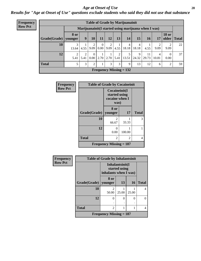#### *Age at Onset of Use* **28**

*Results for "Age at Onset of Use" questions exclude students who said they did not use that substance*

| Frequency      | <b>Table of Grade by Marijuanainit</b> |                        |                                                     |                  |                      |           |           |                           |            |             |            |                       |              |
|----------------|----------------------------------------|------------------------|-----------------------------------------------------|------------------|----------------------|-----------|-----------|---------------------------|------------|-------------|------------|-----------------------|--------------|
| <b>Row Pct</b> |                                        |                        | Marijuanainit(I started using marijuana when I was) |                  |                      |           |           |                           |            |             |            |                       |              |
|                | Grade(Grade)   younger                 | 8 or                   | 9                                                   | <b>10</b>        | 11                   | 12        | 13        | 14                        | 15         | <b>16</b>   | 17         | <b>18 or</b><br>older | <b>Total</b> |
|                | 10                                     | 3<br>13.64             | 4.55                                                | 2<br>9.09        | $\theta$<br>$0.00\,$ | 2<br>9.09 | 4.55      | 4<br>18.18                | 18.18      | 4.55        | 9.09       | 9.09                  | 22           |
|                | 12                                     | $\overline{2}$<br>5.41 | 2<br>5.41                                           | $\theta$<br>0.00 | 2.70                 | 2.70      | ↑<br>5.41 | 5<br>13.51                | 9<br>24.32 | 11<br>29.73 | 4<br>10.81 | $\Omega$<br>0.00      | 37           |
|                | <b>Total</b>                           | 5                      | 3                                                   | $\overline{2}$   |                      | 3         | 3         | 9                         | 13         | 12          | 6          | $\overline{2}$        | 59           |
|                |                                        |                        |                                                     |                  |                      |           |           | Frequency Missing $= 132$ |            |             |            |                       |              |

| <b>Frequency</b> | <b>Table of Grade by Cocaineinit</b> |                                                          |        |              |
|------------------|--------------------------------------|----------------------------------------------------------|--------|--------------|
| <b>Row Pct</b>   |                                      | Cocaineinit(I<br>started using<br>cocaine when I<br>was) |        |              |
|                  | Grade(Grade)   younger               | 8 or                                                     | 17     | <b>Total</b> |
|                  | 10                                   | 2<br>66.67                                               | 33.33  | 3            |
|                  | 12                                   | 0<br>0.00                                                | 100.00 |              |
|                  | <b>Total</b>                         | $\overline{c}$                                           | 2      | 4            |
|                  |                                      | Frequency Missing $= 187$                                |        |              |

| <b>Frequency</b> | <b>Table of Grade by Inhalantsinit</b> |                                                           |       |           |              |
|------------------|----------------------------------------|-----------------------------------------------------------|-------|-----------|--------------|
| <b>Row Pct</b>   |                                        | Inhalantsinit(I<br>started using<br>inhalants when I was) |       |           |              |
|                  | Grade(Grade)   younger                 | 8 or                                                      | 13    | <b>16</b> | <b>Total</b> |
|                  | 10                                     | 50.00                                                     | 25.00 | 25.00     | 4            |
|                  | 12                                     |                                                           | 0     | 0         | 0            |
|                  | <b>Total</b>                           | $\overline{2}$                                            |       |           | 4            |
|                  |                                        | Frequency Missing $= 187$                                 |       |           |              |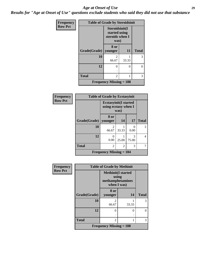#### *Age at Onset of Use* **29**

*Results for "Age at Onset of Use" questions exclude students who said they did not use that substance*

| <b>Frequency</b> | <b>Table of Grade by Steroidsinit</b> |                                                            |       |              |
|------------------|---------------------------------------|------------------------------------------------------------|-------|--------------|
| <b>Row Pct</b>   |                                       | Steroidsinit(I<br>started using<br>steroids when I<br>was) |       |              |
|                  | Grade(Grade)                          | 8 or<br>younger                                            | 11    | <b>Total</b> |
|                  | 10                                    | $\mathfrak{D}$<br>66.67                                    | 33.33 | 3            |
|                  | 12                                    | $\Omega$                                                   | 0     | $\theta$     |
|                  | <b>Total</b>                          | $\mathfrak{D}$                                             |       | 3            |
|                  |                                       | <b>Frequency Missing = 188</b>                             |       |              |

| <b>Frequency</b> | <b>Table of Grade by Ecstasyinit</b> |                                                              |       |            |              |
|------------------|--------------------------------------|--------------------------------------------------------------|-------|------------|--------------|
| <b>Row Pct</b>   |                                      | <b>Ecstasyinit(I started</b><br>using ecstasy when I<br>was) |       |            |              |
|                  | Grade(Grade)                         | 8 or<br>vounger                                              | 14    | 17         | <b>Total</b> |
|                  | 10                                   | 2<br>66.67                                                   | 33.33 | 0.00       | 3            |
|                  | 12                                   | 0.00                                                         | 25.00 | 3<br>75.00 | 4            |
|                  | <b>Total</b>                         | $\mathfrak{D}$                                               | 2     | 3          |              |
|                  |                                      | <b>Frequency Missing = 184</b>                               |       |            |              |

| Frequency      | <b>Table of Grade by Methinit</b> |                                                                       |          |              |
|----------------|-----------------------------------|-----------------------------------------------------------------------|----------|--------------|
| <b>Row Pct</b> |                                   | <b>Methinit(I started</b><br>using<br>methamphetamines<br>when I was) |          |              |
|                | Grade(Grade)                      | 8 or<br>younger                                                       | 14       | <b>Total</b> |
|                | 10                                | $\mathfrak{D}$<br>66.67                                               | 33.33    | 3            |
|                | 12                                | $\theta$                                                              | $\Omega$ |              |
|                | <b>Total</b>                      | $\mathfrak{D}$                                                        |          | 3            |
|                |                                   | Frequency Missing $= 188$                                             |          |              |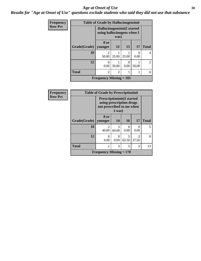#### Age at Onset of Use **30**

*Results for "Age at Onset of Use" questions exclude students who said they did not use that substance*

| Frequency      | <b>Table of Grade by Hallucinogensinit</b> |                                                                    |                |           |       |              |
|----------------|--------------------------------------------|--------------------------------------------------------------------|----------------|-----------|-------|--------------|
| <b>Row Pct</b> |                                            | Hallucinogensinit (I started<br>using hallucinogens when I<br>was) |                |           |       |              |
|                | Grade(Grade)   younger                     | 8 or                                                               | 12             | 15        | 17    | <b>Total</b> |
|                | 10                                         | $\mathfrak{D}$<br>50.00                                            | 25.00          | 25.00     | 0.00  | 4            |
|                | 12                                         | $\Omega$<br>0.00                                                   | 50.00          | 0<br>0.00 | 50.00 | $2^{1}$      |
|                | <b>Total</b>                               | $\mathfrak{D}$                                                     | $\overline{c}$ |           |       | 6            |
|                |                                            | Frequency Missing $= 185$                                          |                |           |       |              |

| Frequency      | <b>Table of Grade by Prescriptioninit</b> |                                                                                                       |            |                           |                        |              |
|----------------|-------------------------------------------|-------------------------------------------------------------------------------------------------------|------------|---------------------------|------------------------|--------------|
| <b>Row Pct</b> |                                           | <b>Prescriptioninit (I started</b><br>using prescription drugs<br>not prescribed to me when<br>I was) |            |                           |                        |              |
|                | Grade(Grade)                              | 8 or<br>younger                                                                                       | 14         | <b>16</b>                 | 17                     | <b>Total</b> |
|                | 10                                        | $\mathcal{D}_{\mathcal{L}}$<br>40.00                                                                  | 3<br>60.00 | $\mathbf{\Omega}$<br>0.00 | $\mathbf{0}$<br>0.00   | 5            |
|                | 12                                        | 0<br>0.00                                                                                             | 0<br>0.00  | 5<br>62.50                | $\mathcal{R}$<br>37.50 | 8            |
|                | <b>Total</b>                              | $\mathcal{D}_{\mathcal{A}}$                                                                           | 3          | 5                         | 3                      | 13           |
|                |                                           | <b>Frequency Missing = 178</b>                                                                        |            |                           |                        |              |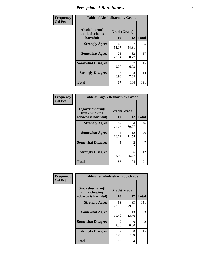| Frequency      | <b>Table of Alcoholharm by Grade</b>          |                    |             |              |
|----------------|-----------------------------------------------|--------------------|-------------|--------------|
| <b>Col Pct</b> | Alcoholharm(I<br>think alcohol is<br>harmful) | Grade(Grade)<br>10 | 12          | <b>Total</b> |
|                | <b>Strongly Agree</b>                         | 48<br>55.17        | 57<br>54.81 | 105          |
|                | <b>Somewhat Agree</b>                         | 25<br>28.74        | 32<br>30.77 | 57           |
|                | <b>Somewhat Disagree</b>                      | 8<br>9.20          | 6.73        | 15           |
|                | <b>Strongly Disagree</b>                      | 6<br>6.90          | 8<br>7.69   | 14           |
|                | <b>Total</b>                                  | 87                 | 104         | 191          |

| <b>Table of Cigarettesharm by Grade</b>                  |                    |             |              |  |  |
|----------------------------------------------------------|--------------------|-------------|--------------|--|--|
| Cigarettesharm(I<br>think smoking<br>tobacco is harmful) | Grade(Grade)<br>10 | 12          | <b>Total</b> |  |  |
| <b>Strongly Agree</b>                                    | 62<br>71.26        | 84<br>80.77 | 146          |  |  |
| <b>Somewhat Agree</b>                                    | 14<br>16.09        | 12<br>11.54 | 26           |  |  |
| <b>Somewhat Disagree</b>                                 | 5<br>5.75          | 2<br>1.92   | 7            |  |  |
| <b>Strongly Disagree</b>                                 | 6<br>6.90          | 6<br>5.77   | 12           |  |  |
| <b>Total</b>                                             | 87                 | 104         | 191          |  |  |

| Frequency      | <b>Table of Smokelessharm by Grade</b>                  |                           |             |              |
|----------------|---------------------------------------------------------|---------------------------|-------------|--------------|
| <b>Col Pct</b> | Smokelessharm(I<br>think chewing<br>tobacco is harmful) | Grade(Grade)<br><b>10</b> | 12          | <b>Total</b> |
|                | <b>Strongly Agree</b>                                   | 68<br>78.16               | 83<br>79.81 | 151          |
|                | <b>Somewhat Agree</b>                                   | 10<br>11.49               | 13<br>12.50 | 23           |
|                | <b>Somewhat Disagree</b>                                | $\mathfrak{D}$<br>2.30    | 0<br>0.00   | 2            |
|                | <b>Strongly Disagree</b>                                | 8.05                      | 8<br>7.69   | 15           |
|                | <b>Total</b>                                            | 87                        | 104         | 191          |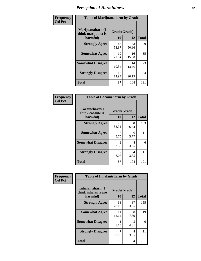| Frequency      | <b>Table of Marijuanaharm by Grade</b>            |                    |             |              |
|----------------|---------------------------------------------------|--------------------|-------------|--------------|
| <b>Col Pct</b> | Marijuanaharm(I<br>think marijuana is<br>harmful) | Grade(Grade)<br>10 | 12          | <b>Total</b> |
|                | <b>Strongly Agree</b>                             | 46<br>52.87        | 53<br>50.96 | 99           |
|                | <b>Somewhat Agree</b>                             | 19<br>21.84        | 16<br>15.38 | 35           |
|                | <b>Somewhat Disagree</b>                          | 9<br>10.34         | 14<br>13.46 | 23           |
|                | <b>Strongly Disagree</b>                          | 13<br>14.94        | 21<br>20.19 | 34           |
|                | <b>Total</b>                                      | 87                 | 104         | 191          |

| <b>Table of Cocaineharm by Grade</b>          |                        |             |              |  |  |  |
|-----------------------------------------------|------------------------|-------------|--------------|--|--|--|
| Cocaineharm(I<br>think cocaine is<br>harmful) | Grade(Grade)<br>10     | 12          | <b>Total</b> |  |  |  |
| <b>Strongly Agree</b>                         | 73<br>83.91            | 90<br>86.54 | 163          |  |  |  |
| <b>Somewhat Agree</b>                         | 5<br>5.75              | 6<br>5.77   | 11           |  |  |  |
| <b>Somewhat Disagree</b>                      | $\mathfrak{D}$<br>2.30 | 4<br>3.85   | 6            |  |  |  |
| <b>Strongly Disagree</b>                      | 7<br>8.05              | 4<br>3.85   | 11           |  |  |  |
| <b>Total</b>                                  | 87                     | 104         | 191          |  |  |  |

| Frequency      | <b>Table of Inhalantsharm by Grade</b>             |                           |             |              |
|----------------|----------------------------------------------------|---------------------------|-------------|--------------|
| <b>Col Pct</b> | Inhalantsharm(I<br>think inhalants are<br>harmful) | Grade(Grade)<br><b>10</b> | 12          | <b>Total</b> |
|                | <b>Strongly Agree</b>                              | 68<br>78.16               | 87<br>83.65 | 155          |
|                | <b>Somewhat Agree</b>                              | 11<br>12.64               | 8<br>7.69   | 19           |
|                | <b>Somewhat Disagree</b>                           | 1.15                      | 5<br>4.81   | 6            |
|                | <b>Strongly Disagree</b>                           | 8.05                      | 4<br>3.85   | 11           |
|                | Total                                              | 87                        | 104         | 191          |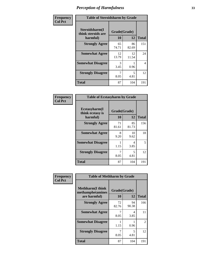| Frequency      | <b>Table of Steroidsharm by Grade</b>            |                    |             |                |
|----------------|--------------------------------------------------|--------------------|-------------|----------------|
| <b>Col Pct</b> | Steroidsharm(I<br>think steroids are<br>harmful) | Grade(Grade)<br>10 | 12          | <b>Total</b>   |
|                | <b>Strongly Agree</b>                            | 65<br>74.71        | 86<br>82.69 | 151            |
|                | <b>Somewhat Agree</b>                            | 12<br>13.79        | 12<br>11.54 | 24             |
|                | <b>Somewhat Disagree</b>                         | 3<br>3.45          | 0.96        | $\overline{4}$ |
|                | <b>Strongly Disagree</b>                         | 8.05               | 5<br>4.81   | 12             |
|                | <b>Total</b>                                     | 87                 | 104         | 191            |

| <b>Table of Ecstasyharm by Grade</b>          |                    |             |              |  |  |
|-----------------------------------------------|--------------------|-------------|--------------|--|--|
| Ecstasyharm(I<br>think ecstasy is<br>harmful) | Grade(Grade)<br>10 | 12          | <b>Total</b> |  |  |
| <b>Strongly Agree</b>                         | 71<br>81.61        | 85<br>81.73 | 156          |  |  |
| <b>Somewhat Agree</b>                         | 8<br>9.20          | 10<br>9.62  | 18           |  |  |
| <b>Somewhat Disagree</b>                      | 1<br>1.15          | 4<br>3.85   | 5            |  |  |
| <b>Strongly Disagree</b>                      | 7<br>8.05          | 5<br>4.81   | 12           |  |  |
| <b>Total</b>                                  | 87                 | 104         | 191          |  |  |

| Frequency      | <b>Table of Methharm by Grade</b>                            |                    |             |               |
|----------------|--------------------------------------------------------------|--------------------|-------------|---------------|
| <b>Col Pct</b> | <b>Methharm</b> (I think<br>methamphetamines<br>are harmful) | Grade(Grade)<br>10 | 12          | <b>Total</b>  |
|                | <b>Strongly Agree</b>                                        | 72<br>82.76        | 94<br>90.38 | 166           |
|                | <b>Somewhat Agree</b>                                        | 8.05               | 4<br>3.85   | 11            |
|                | <b>Somewhat Disagree</b>                                     | 1.15               | 0.96        | $\mathcal{L}$ |
|                | <b>Strongly Disagree</b>                                     | 8.05               | 5<br>4.81   | 12            |
|                | <b>Total</b>                                                 | 87                 | 104         | 191           |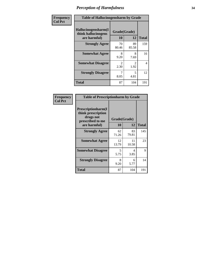| Frequency      | <b>Table of Hallucinogensharm by Grade</b>                 |                       |                       |              |
|----------------|------------------------------------------------------------|-----------------------|-----------------------|--------------|
| <b>Col Pct</b> | Hallucinogensharm(I<br>think hallucinogens<br>are harmful) | Grade(Grade)<br>10    | 12                    | <b>Total</b> |
|                | <b>Strongly Agree</b>                                      | 70<br>80.46           | 89<br>85.58           | 159          |
|                | <b>Somewhat Agree</b>                                      | 8<br>9.20             | 8<br>7.69             | 16           |
|                | <b>Somewhat Disagree</b>                                   | $\mathcal{L}$<br>2.30 | $\mathcal{L}$<br>1.92 | 4            |
|                | <b>Strongly Disagree</b>                                   | 8.05                  | 5<br>4.81             | 12           |
|                | <b>Total</b>                                               | 87                    | 104                   | 191          |

| <b>Table of Prescriptionharm by Grade</b>                                         |                    |             |              |  |  |
|-----------------------------------------------------------------------------------|--------------------|-------------|--------------|--|--|
| <b>Prescriptionharm(I)</b><br>think prescription<br>drugs not<br>prescribed to me | Grade(Grade)<br>10 | 12          |              |  |  |
| are harmful)                                                                      |                    |             | <b>Total</b> |  |  |
| <b>Strongly Agree</b>                                                             | 62<br>71.26        | 83<br>79.81 | 145          |  |  |
| <b>Somewhat Agree</b>                                                             | 12<br>13.79        | 11<br>10.58 | 23           |  |  |
| <b>Somewhat Disagree</b>                                                          | 5<br>5.75          | 4<br>3.85   | 9            |  |  |
| <b>Strongly Disagree</b>                                                          | 8<br>9.20          | 6<br>5.77   | 14           |  |  |
| Total                                                                             | 87                 | 104         | 191          |  |  |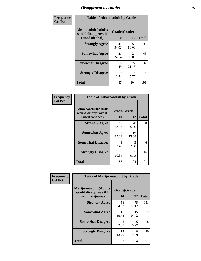### *Disapproval by Adults* **35**

| Frequency      | <b>Table of Alcoholadult by Grade</b>                                 |                    |             |              |
|----------------|-----------------------------------------------------------------------|--------------------|-------------|--------------|
| <b>Col Pct</b> | <b>Alcoholadult</b> (Adults<br>would disapprove if<br>I used alcohol) | Grade(Grade)<br>10 | 12          | <b>Total</b> |
|                | <b>Strongly Agree</b>                                                 | 47<br>54.02        | 52<br>50.00 | 99           |
|                | <b>Somewhat Agree</b>                                                 | 21<br>24.14        | 24<br>23.08 | 45           |
|                | <b>Somewhat Disagree</b>                                              | 10<br>11.49        | 22<br>21.15 | 32           |
|                | <b>Strongly Disagree</b>                                              | 9<br>10.34         | 6<br>5.77   | 15           |
|                | <b>Total</b>                                                          | 87                 | 104         | 191          |

| <b>Table of Tobaccoadult by Grade</b>                                |                    |             |              |  |  |
|----------------------------------------------------------------------|--------------------|-------------|--------------|--|--|
| <b>Tobaccoadult(Adults</b><br>would disapprove if<br>I used tobacco) | Grade(Grade)<br>10 | 12          | <b>Total</b> |  |  |
| <b>Strongly Agree</b>                                                | 60<br>68.97        | 78<br>75.00 | 138          |  |  |
| <b>Somewhat Agree</b>                                                | 15<br>17.24        | 16<br>15.38 | 31           |  |  |
| <b>Somewhat Disagree</b>                                             | 3<br>3.45          | 3<br>2.88   | 6            |  |  |
| <b>Strongly Disagree</b>                                             | 9<br>10.34         | 7<br>6.73   | 16           |  |  |
| <b>Total</b>                                                         | 87                 | 104         | 191          |  |  |

| Frequency<br><b>Col Pct</b> | <b>Table of Marijuanaadult by Grade</b>                           |                        |             |              |
|-----------------------------|-------------------------------------------------------------------|------------------------|-------------|--------------|
|                             | Marijuanaadult(Adults<br>would disapprove if I<br>used marijuana) | Grade(Grade)<br>10     | 12          | <b>Total</b> |
|                             | <b>Strongly Agree</b>                                             | 56<br>64.37            | 75<br>72.12 | 131          |
|                             | <b>Somewhat Agree</b>                                             | 17<br>19.54            | 15<br>14.42 | 32           |
|                             | <b>Somewhat Disagree</b>                                          | $\mathfrak{D}$<br>2.30 | 6<br>5.77   | 8            |
|                             | <b>Strongly Disagree</b>                                          | 12<br>13.79            | 8<br>7.69   | 20           |
|                             | <b>Total</b>                                                      | 87                     | 104         | 191          |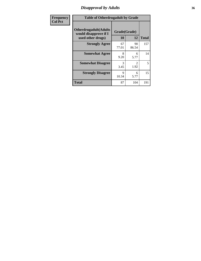### *Disapproval by Adults* **36**

| <b>Frequency</b> | <b>Table of Otherdrugadult by Grade</b>                                     |                    |                                     |              |
|------------------|-----------------------------------------------------------------------------|--------------------|-------------------------------------|--------------|
| <b>Col Pct</b>   | <b>Otherdrugadult</b> (Adults<br>would disapprove if I<br>used other drugs) | Grade(Grade)<br>10 | 12                                  | <b>Total</b> |
|                  | <b>Strongly Agree</b>                                                       | 67<br>77.01        | 90<br>86.54                         | 157          |
|                  | <b>Somewhat Agree</b>                                                       | 8<br>9.20          | 6<br>5.77                           | 14           |
|                  | <b>Somewhat Disagree</b>                                                    | 3<br>3.45          | $\mathcal{D}_{\mathcal{L}}$<br>1.92 | 5            |
|                  | <b>Strongly Disagree</b>                                                    | 9<br>10.34         | 6<br>5.77                           | 15           |
|                  | <b>Total</b>                                                                | 87                 | 104                                 | 191          |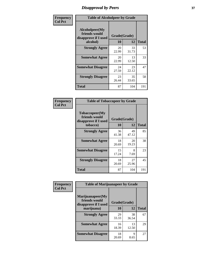# *Disapproval by Peers* **37**

| Frequency      | <b>Table of Alcoholpeer by Grade</b>                    |              |             |              |  |
|----------------|---------------------------------------------------------|--------------|-------------|--------------|--|
| <b>Col Pct</b> | Alcoholpeer(My<br>friends would<br>disapprove if I used | Grade(Grade) |             |              |  |
|                | alcohol)                                                | 10           | 12          | <b>Total</b> |  |
|                | <b>Strongly Agree</b>                                   | 20<br>22.99  | 33<br>31.73 | 53           |  |
|                | <b>Somewhat Agree</b>                                   | 20<br>22.99  | 13<br>12.50 | 33           |  |
|                | <b>Somewhat Disagree</b>                                | 24<br>27.59  | 23<br>22.12 | 47           |  |
|                | <b>Strongly Disagree</b>                                | 23<br>26.44  | 35<br>33.65 | 58           |  |
|                | Total                                                   | 87           | 104         | 191          |  |

| Frequency      | <b>Table of Tobaccopeer by Grade</b>                                |                           |             |              |
|----------------|---------------------------------------------------------------------|---------------------------|-------------|--------------|
| <b>Col Pct</b> | Tobaccopeer(My<br>friends would<br>disapprove if I used<br>tobacco) | Grade(Grade)<br><b>10</b> | 12          | <b>Total</b> |
|                | <b>Strongly Agree</b>                                               | 36<br>41.38               | 49<br>47.12 | 85           |
|                | <b>Somewhat Agree</b>                                               | 18<br>20.69               | 20<br>19.23 | 38           |
|                | <b>Somewhat Disagree</b>                                            | 15<br>17.24               | 8<br>7.69   | 23           |
|                | <b>Strongly Disagree</b>                                            | 18<br>20.69               | 27<br>25.96 | 45           |
|                | Total                                                               | 87                        | 104         | 191          |

| Frequency      | <b>Table of Marijuanapeer by Grade</b>                    |              |             |              |
|----------------|-----------------------------------------------------------|--------------|-------------|--------------|
| <b>Col Pct</b> | Marijuanapeer(My<br>friends would<br>disapprove if I used | Grade(Grade) |             |              |
|                | marijuana)                                                | 10           | 12          | <b>Total</b> |
|                | <b>Strongly Agree</b>                                     | 29<br>33.33  | 38<br>36.54 | 67           |
|                | <b>Somewhat Agree</b>                                     | 16<br>18.39  | 13<br>12.50 | 29           |
|                | <b>Somewhat Disagree</b>                                  | 18<br>20.69  | 9<br>8.65   | 27           |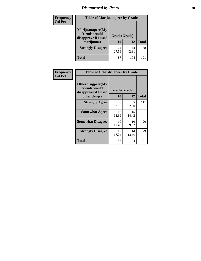# *Disapproval by Peers* **38**

| <b>Frequency</b> | <b>Table of Marijuanapeer by Grade</b>                                  |                    |             |              |  |
|------------------|-------------------------------------------------------------------------|--------------------|-------------|--------------|--|
| <b>Col Pct</b>   | Marijuanapeer(My<br>friends would<br>disapprove if I used<br>marijuana) | Grade(Grade)<br>10 | 12          | <b>Total</b> |  |
|                  | <b>Strongly Disagree</b>                                                | 24<br>27.59        | 44<br>42.31 | 68           |  |
|                  | <b>Total</b>                                                            | 87                 | 104         | 191          |  |

| <b>Frequency</b> | <b>Table of Otherdrugpeer by Grade</b>                                    |                    |             |              |
|------------------|---------------------------------------------------------------------------|--------------------|-------------|--------------|
| <b>Col Pct</b>   | Otherdrugpeer(My<br>friends would<br>disapprove if I used<br>other drugs) | Grade(Grade)<br>10 | 12          | <b>Total</b> |
|                  |                                                                           |                    |             |              |
|                  | <b>Strongly Agree</b>                                                     | 46<br>52.87        | 65<br>62.50 | 111          |
|                  | <b>Somewhat Agree</b>                                                     | 16<br>18.39        | 15<br>14.42 | 31           |
|                  | <b>Somewhat Disagree</b>                                                  | 10<br>11.49        | 10<br>9.62  | 20           |
|                  | <b>Strongly Disagree</b>                                                  | 15<br>17.24        | 14<br>13.46 | 29           |
|                  | <b>Total</b>                                                              | 87                 | 104         | 191          |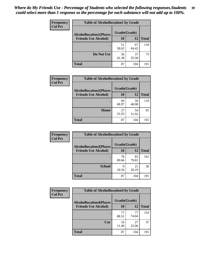| Frequency<br><b>Col Pct</b> | <b>Table of Alcohollocation1 by Grade</b> |             |              |              |
|-----------------------------|-------------------------------------------|-------------|--------------|--------------|
|                             | <b>Alcohollocation1(Places</b>            |             | Grade(Grade) |              |
|                             | <b>Friends Use Alcohol)</b>               | 10          | 12           | <b>Total</b> |
|                             |                                           | 51<br>58.62 | 67<br>64.42  | 118          |
|                             | Do Not Use                                | 36<br>41.38 | 37<br>35.58  | 73           |
|                             | <b>Total</b>                              | 87          | 104          | 191          |

| Frequency      | <b>Table of Alcohollocation2 by Grade</b>                     |                    |             |              |
|----------------|---------------------------------------------------------------|--------------------|-------------|--------------|
| <b>Col Pct</b> | <b>Alcohollocation2(Places</b><br><b>Friends Use Alcohol)</b> | Grade(Grade)<br>10 | <b>12</b>   | <b>Total</b> |
|                |                                                               | 60<br>68.97        | 50<br>48.08 | 110          |
|                | Home                                                          | 27<br>31.03        | 54<br>51.92 | 81           |
|                | <b>Total</b>                                                  | 87                 | 104         | 191          |

| Frequency<br><b>Col Pct</b> | <b>Table of Alcohollocation 3 by Grade</b>                    |                    |             |              |
|-----------------------------|---------------------------------------------------------------|--------------------|-------------|--------------|
|                             | <b>Alcohollocation3(Places</b><br><b>Friends Use Alcohol)</b> | Grade(Grade)<br>10 | 12          | <b>Total</b> |
|                             |                                                               | 78<br>89.66        | 83<br>79.81 | 161          |
|                             | <b>School</b>                                                 | 9<br>10.34         | 21<br>20.19 | 30           |
|                             | <b>Total</b>                                                  | 87                 | 104         | 191          |

| <b>Frequency</b> | <b>Table of Alcohollocation4 by Grade</b> |              |             |              |
|------------------|-------------------------------------------|--------------|-------------|--------------|
| <b>Col Pct</b>   | <b>Alcohollocation4(Places</b>            | Grade(Grade) |             |              |
|                  | <b>Friends Use Alcohol)</b>               | 10           | 12          | <b>Total</b> |
|                  |                                           | 77<br>88.51  | 77<br>74.04 | 154          |
|                  | Car                                       | 10<br>11.49  | 27<br>25.96 | 37           |
|                  | Total                                     | 87           | 104         | 191          |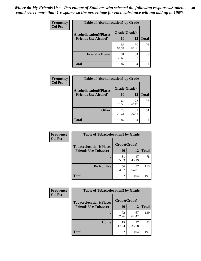| Frequency<br><b>Col Pct</b> | <b>Table of Alcohollocation5 by Grade</b> |              |             |              |
|-----------------------------|-------------------------------------------|--------------|-------------|--------------|
|                             | <b>Alcohollocation5(Places</b>            | Grade(Grade) |             |              |
|                             | <b>Friends Use Alcohol)</b>               | 10           | 12          | <b>Total</b> |
|                             |                                           | 56<br>64.37  | 50<br>48.08 | 106          |
|                             | <b>Friend's House</b>                     | 31<br>35.63  | 54<br>51.92 | 85           |
|                             | <b>Total</b>                              | 87           | 104         | 191          |

| <b>Frequency</b> | <b>Table of Alcohollocation6 by Grade</b>                     |                           |             |              |
|------------------|---------------------------------------------------------------|---------------------------|-------------|--------------|
| <b>Col Pct</b>   | <b>Alcohollocation6(Places</b><br><b>Friends Use Alcohol)</b> | Grade(Grade)<br><b>10</b> | 12          | <b>Total</b> |
|                  |                                                               | 64<br>73.56               | 73<br>70.19 | 137          |
|                  | <b>Other</b>                                                  | 23<br>26.44               | 31<br>29.81 | 54           |
|                  | <b>Total</b>                                                  | 87                        | 104         | 191          |

| Frequency      | <b>Table of Tobaccolocation1 by Grade</b> |              |             |              |
|----------------|-------------------------------------------|--------------|-------------|--------------|
| <b>Col Pct</b> | <b>Tobaccolocation1(Places</b>            | Grade(Grade) |             |              |
|                | <b>Friends Use Tobacco)</b>               | <b>10</b>    | 12          | <b>Total</b> |
|                |                                           | 31<br>35.63  | 47<br>45.19 | 78           |
|                | Do Not Use                                | 56<br>64.37  | 57<br>54.81 | 113          |
|                | <b>Total</b>                              | 87           | 104         | 191          |

| <b>Frequency</b> | <b>Table of Tobaccolocation2 by Grade</b> |              |             |              |  |
|------------------|-------------------------------------------|--------------|-------------|--------------|--|
| <b>Col Pct</b>   | <b>Tobaccolocation2(Places</b>            | Grade(Grade) |             |              |  |
|                  | <b>Friends Use Tobacco)</b>               | 10           | 12          | <b>Total</b> |  |
|                  |                                           | 72<br>82.76  | 67<br>64.42 | 139          |  |
|                  | Home                                      | 15<br>17.24  | 37<br>35.58 | 52           |  |
|                  | <b>Total</b>                              | 87           | 104         | 191          |  |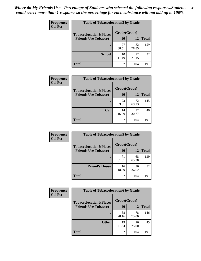| Frequency      | <b>Table of Tobaccolocation 3 by Grade</b> |              |             |              |  |
|----------------|--------------------------------------------|--------------|-------------|--------------|--|
| <b>Col Pct</b> | <b>Tobaccolocation3(Places</b>             | Grade(Grade) |             |              |  |
|                | <b>Friends Use Tobacco)</b>                | 10           | 12          | <b>Total</b> |  |
|                |                                            | 77<br>88.51  | 82<br>78.85 | 159          |  |
|                | <b>School</b>                              | 10<br>11.49  | 22<br>21.15 | 32           |  |
|                | <b>Total</b>                               | 87           | 104         | 191          |  |

| Frequency      | <b>Table of Tobaccolocation4 by Grade</b>                     |                    |             |              |
|----------------|---------------------------------------------------------------|--------------------|-------------|--------------|
| <b>Col Pct</b> | <b>Tobaccolocation4(Places</b><br><b>Friends Use Tobacco)</b> | Grade(Grade)<br>10 | 12          | <b>Total</b> |
|                |                                                               |                    |             |              |
|                |                                                               | 73<br>83.91        | 72<br>69.23 | 145          |
|                | Car                                                           | 14<br>16.09        | 32<br>30.77 | 46           |
|                | <b>Total</b>                                                  | 87                 | 104         | 191          |

| Frequency      | <b>Table of Tobaccolocation5 by Grade</b> |              |             |              |
|----------------|-------------------------------------------|--------------|-------------|--------------|
| <b>Col Pct</b> | <b>Tobaccolocation5(Places</b>            | Grade(Grade) |             |              |
|                | <b>Friends Use Tobacco)</b>               | 10           | <b>12</b>   | <b>Total</b> |
|                |                                           | 71<br>81.61  | 68<br>65.38 | 139          |
|                | <b>Friend's House</b>                     | 16<br>18.39  | 36<br>34.62 | 52           |
|                | <b>Total</b>                              | 87           | 104         | 191          |

| <b>Frequency</b> | <b>Table of Tobaccolocation6 by Grade</b> |              |             |              |  |
|------------------|-------------------------------------------|--------------|-------------|--------------|--|
| <b>Col Pct</b>   | <b>Tobaccolocation6(Places</b>            | Grade(Grade) |             |              |  |
|                  | <b>Friends Use Tobacco)</b>               | 10           | 12          | <b>Total</b> |  |
|                  |                                           | 68<br>78.16  | 78<br>75.00 | 146          |  |
|                  | <b>Other</b>                              | 19<br>21.84  | 26<br>25.00 | 45           |  |
|                  | <b>Total</b>                              | 87           | 104         | 191          |  |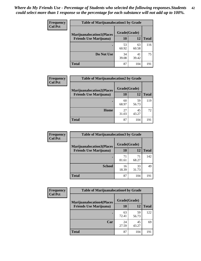| Frequency<br><b>Col Pct</b> | <b>Table of Marijuanalocation1 by Grade</b> |              |             |              |
|-----------------------------|---------------------------------------------|--------------|-------------|--------------|
|                             | <b>Marijuanalocation1(Places</b>            | Grade(Grade) |             |              |
|                             | <b>Friends Use Marijuana</b> )              | <b>10</b>    | 12          | <b>Total</b> |
|                             |                                             | 53<br>60.92  | 63<br>60.58 | 116          |
|                             | Do Not Use                                  | 34<br>39.08  | 41<br>39.42 | 75           |
|                             | <b>Total</b>                                | 87           | 104         | 191          |

| <b>Frequency</b> | <b>Table of Marijuanalocation2 by Grade</b> |              |             |              |
|------------------|---------------------------------------------|--------------|-------------|--------------|
| <b>Col Pct</b>   | <b>Marijuanalocation2(Places</b>            | Grade(Grade) |             |              |
|                  | <b>Friends Use Marijuana</b> )              | 10           | 12          | <b>Total</b> |
|                  |                                             | 60<br>68.97  | 59<br>56.73 | 119          |
|                  | Home                                        | 27<br>31.03  | 45<br>43.27 | 72           |
|                  | <b>Total</b>                                | 87           | 104         | 191          |

| Frequency<br><b>Col Pct</b> | <b>Table of Marijuanalocation3 by Grade</b> |              |             |       |
|-----------------------------|---------------------------------------------|--------------|-------------|-------|
|                             | <b>Marijuanalocation3(Places</b>            | Grade(Grade) |             |       |
|                             | <b>Friends Use Marijuana</b> )              | 10           | 12          | Total |
|                             |                                             | 71<br>81.61  | 71<br>68.27 | 142   |
|                             | <b>School</b>                               | 16<br>18.39  | 33<br>31.73 | 49    |
|                             | <b>Total</b>                                | 87           | 104         | 191   |

| <b>Frequency</b> | <b>Table of Marijuanalocation4 by Grade</b> |              |             |              |
|------------------|---------------------------------------------|--------------|-------------|--------------|
| <b>Col Pct</b>   | <b>Marijuanalocation4(Places</b>            | Grade(Grade) |             |              |
|                  | <b>Friends Use Marijuana</b> )              | 10           | 12          | <b>Total</b> |
|                  |                                             | 63<br>72.41  | 59<br>56.73 | 122          |
|                  | Car                                         | 24<br>27.59  | 45<br>43.27 | 69           |
|                  | <b>Total</b>                                | 87           | 104         | 191          |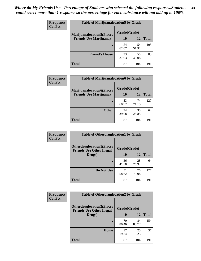| <b>Frequency</b> | <b>Table of Marijuanalocation5 by Grade</b> |              |             |              |
|------------------|---------------------------------------------|--------------|-------------|--------------|
| <b>Col Pct</b>   | <b>Marijuanalocation5</b> (Places           | Grade(Grade) |             |              |
|                  | <b>Friends Use Marijuana</b> )              | 10           | 12          | <b>Total</b> |
|                  |                                             | 54<br>62.07  | 54<br>51.92 | 108          |
|                  | <b>Friend's House</b>                       | 33<br>37.93  | 50<br>48.08 | 83           |
|                  | Total                                       | 87           | 104         | 191          |

| <b>Frequency</b> | <b>Table of Marijuanalocation6 by Grade</b>                        |                    |             |              |
|------------------|--------------------------------------------------------------------|--------------------|-------------|--------------|
| <b>Col Pct</b>   | <b>Marijuanalocation6(Places</b><br><b>Friends Use Marijuana</b> ) | Grade(Grade)<br>10 | 12          | <b>Total</b> |
|                  |                                                                    |                    |             |              |
|                  |                                                                    | 53<br>60.92        | 74<br>71.15 | 127          |
|                  | <b>Other</b>                                                       | 34<br>39.08        | 30<br>28.85 | 64           |
|                  | <b>Total</b>                                                       | 87                 | 104         | 191          |

| Frequency      | <b>Table of Otherdruglocation1 by Grade</b>                          |              |             |              |
|----------------|----------------------------------------------------------------------|--------------|-------------|--------------|
| <b>Col Pct</b> | <b>Otherdruglocation1(Places</b><br><b>Friends Use Other Illegal</b> | Grade(Grade) |             |              |
|                | Drugs)                                                               | 10           | 12          | <b>Total</b> |
|                |                                                                      | 36<br>41.38  | 28<br>26.92 | 64           |
|                | Do Not Use                                                           | 51<br>58.62  | 76<br>73.08 | 127          |
|                | <b>Total</b>                                                         | 87           | 104         | 191          |

| Frequency      | <b>Table of Otherdruglocation2 by Grade</b>                          |              |             |              |
|----------------|----------------------------------------------------------------------|--------------|-------------|--------------|
| <b>Col Pct</b> | <b>Otherdruglocation2(Places</b><br><b>Friends Use Other Illegal</b> | Grade(Grade) |             |              |
|                | Drugs)                                                               | 10           | 12          | <b>Total</b> |
|                |                                                                      | 70<br>80.46  | 84<br>80.77 | 154          |
|                | Home                                                                 | 17<br>19.54  | 20<br>19.23 | 37           |
|                | <b>Total</b>                                                         | 87           | 104         | 191          |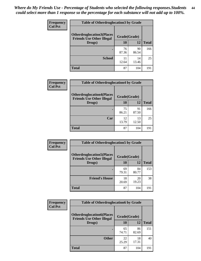| <b>Frequency</b> | <b>Table of Otherdruglocation 3 by Grade</b>                         |              |             |              |
|------------------|----------------------------------------------------------------------|--------------|-------------|--------------|
| <b>Col Pct</b>   | <b>Otherdruglocation3(Places</b><br><b>Friends Use Other Illegal</b> | Grade(Grade) |             |              |
|                  | Drugs)                                                               | 10           | 12          | <b>Total</b> |
|                  | ٠                                                                    | 76<br>87.36  | 90<br>86.54 | 166          |
|                  | <b>School</b>                                                        | 11<br>12.64  | 14<br>13.46 | 25           |
|                  | <b>Total</b>                                                         | 87           | 104         | 191          |

| Frequency      | <b>Table of Otherdruglocation4 by Grade</b>                          |              |             |              |
|----------------|----------------------------------------------------------------------|--------------|-------------|--------------|
| <b>Col Pct</b> | <b>Otherdruglocation4(Places</b><br><b>Friends Use Other Illegal</b> | Grade(Grade) |             |              |
|                | Drugs)                                                               | 10           | 12          | <b>Total</b> |
|                |                                                                      | 75<br>86.21  | 91<br>87.50 | 166          |
|                | Car                                                                  | 12<br>13.79  | 13<br>12.50 | 25           |
|                | <b>Total</b>                                                         | 87           | 104         | 191          |

| <b>Frequency</b><br><b>Col Pct</b> | <b>Table of Otherdruglocation5 by Grade</b>                          |              |             |              |
|------------------------------------|----------------------------------------------------------------------|--------------|-------------|--------------|
|                                    | <b>Otherdruglocation5(Places</b><br><b>Friends Use Other Illegal</b> | Grade(Grade) |             |              |
|                                    | Drugs)                                                               | <b>10</b>    | 12          | <b>Total</b> |
|                                    |                                                                      | 69<br>79.31  | 84<br>80.77 | 153          |
|                                    | <b>Friend's House</b>                                                | 18<br>20.69  | 20<br>19.23 | 38           |
|                                    | <b>Total</b>                                                         | 87           | 104         | 191          |

| <b>Frequency</b> | <b>Table of Otherdruglocation6 by Grade</b>                          |              |             |              |
|------------------|----------------------------------------------------------------------|--------------|-------------|--------------|
| <b>Col Pct</b>   | <b>Otherdruglocation6(Places</b><br><b>Friends Use Other Illegal</b> | Grade(Grade) |             |              |
|                  | Drugs)                                                               | 10           | 12          | <b>Total</b> |
|                  |                                                                      | 65<br>74.71  | 86<br>82.69 | 151          |
|                  | <b>Other</b>                                                         | 22<br>25.29  | 18<br>17.31 | 40           |
|                  | <b>Total</b>                                                         | 87           | 104         | 191          |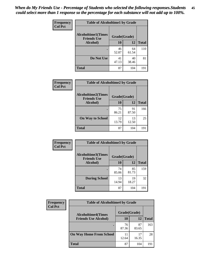| Frequency      | <b>Table of Alcoholtime1 by Grade</b>                           |             |             |              |
|----------------|-----------------------------------------------------------------|-------------|-------------|--------------|
| <b>Col Pct</b> | <b>Alcoholtime1(Times</b><br>Grade(Grade)<br><b>Friends Use</b> |             |             |              |
|                | Alcohol)                                                        | <b>10</b>   | 12          | <b>Total</b> |
|                |                                                                 | 46<br>52.87 | 64<br>61.54 | 110          |
|                | Do Not Use                                                      | 41<br>47.13 | 40<br>38.46 | 81           |
|                | <b>Total</b>                                                    | 87          | 104         | 191          |

| Frequency      | <b>Table of Alcoholtime2 by Grade</b>           |              |             |              |  |
|----------------|-------------------------------------------------|--------------|-------------|--------------|--|
| <b>Col Pct</b> | <b>Alcoholtime2(Times</b><br><b>Friends Use</b> | Grade(Grade) |             |              |  |
|                | Alcohol)                                        | 10           | 12          | <b>Total</b> |  |
|                |                                                 | 75<br>86.21  | 91<br>87.50 | 166          |  |
|                | <b>On Way to School</b>                         | 12<br>13.79  | 13<br>12.50 | 25           |  |
|                | <b>Total</b>                                    | 87           | 104         | 191          |  |

| Frequency      | <b>Table of Alcoholtime3 by Grade</b>           |              |             |              |
|----------------|-------------------------------------------------|--------------|-------------|--------------|
| <b>Col Pct</b> | <b>Alcoholtime3(Times</b><br><b>Friends Use</b> | Grade(Grade) |             |              |
|                | Alcohol)                                        | 10           | 12          | <b>Total</b> |
|                |                                                 | 74<br>85.06  | 85<br>81.73 | 159          |
|                | <b>During School</b>                            | 13<br>14.94  | 19<br>18.27 | 32           |
|                | <b>Total</b>                                    | 87           | 104         | 191          |

| <b>Frequency</b><br><b>Col Pct</b> | <b>Table of Alcoholtime4 by Grade</b> |              |             |              |
|------------------------------------|---------------------------------------|--------------|-------------|--------------|
|                                    | <b>Alcoholtime4(Times</b>             | Grade(Grade) |             |              |
|                                    | <b>Friends Use Alcohol)</b>           | 10           | 12          | <b>Total</b> |
|                                    |                                       | 76<br>87.36  | 87<br>83.65 | 163          |
|                                    | <b>On Way Home From School</b>        | 11<br>12.64  | 17<br>16.35 | 28           |
|                                    | <b>Total</b>                          | 87           | 104         | 191          |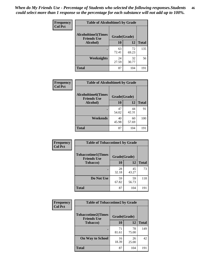*When do My Friends Use - Percentage of Students who selected the following responses.Students could select more than 1 response so the percentage for each substance will not add up to 100%.* **46**

| Frequency      | <b>Table of Alcoholtime5 by Grade</b>           |              |             |              |
|----------------|-------------------------------------------------|--------------|-------------|--------------|
| <b>Col Pct</b> | <b>Alcoholtime5(Times</b><br><b>Friends Use</b> | Grade(Grade) |             |              |
|                | Alcohol)                                        | 10           | 12          | <b>Total</b> |
|                |                                                 | 63<br>72.41  | 72<br>69.23 | 135          |
|                | Weeknights                                      | 24<br>27.59  | 32<br>30.77 | 56           |
|                | <b>Total</b>                                    | 87           | 104         | 191          |

| <b>Frequency</b> | <b>Table of Alcoholtime6 by Grade</b>           |              |             |              |  |
|------------------|-------------------------------------------------|--------------|-------------|--------------|--|
| <b>Col Pct</b>   | <b>Alcoholtime6(Times</b><br><b>Friends Use</b> | Grade(Grade) |             |              |  |
|                  | Alcohol)                                        | 10           | 12          | <b>Total</b> |  |
|                  |                                                 | 47<br>54.02  | 44<br>42.31 | 91           |  |
|                  | Weekends                                        | 40<br>45.98  | 60<br>57.69 | 100          |  |
|                  | <b>Total</b>                                    | 87           | 104         | 191          |  |

| Frequency      | <b>Table of Tobaccotime1 by Grade</b>           |              |             |              |
|----------------|-------------------------------------------------|--------------|-------------|--------------|
| <b>Col Pct</b> | <b>Tobaccotime1(Times</b><br><b>Friends Use</b> | Grade(Grade) |             |              |
|                | <b>Tobacco</b> )                                | 10           | 12          | <b>Total</b> |
|                | $\bullet$                                       | 28<br>32.18  | 45<br>43.27 | 73           |
|                | Do Not Use                                      | 59<br>67.82  | 59<br>56.73 | 118          |
|                | <b>Total</b>                                    | 87           | 104         | 191          |

| <b>Frequency</b> | <b>Table of Tobaccotime2 by Grade</b>           |              |             |              |
|------------------|-------------------------------------------------|--------------|-------------|--------------|
| <b>Col Pct</b>   | <b>Tobaccotime2(Times</b><br><b>Friends Use</b> | Grade(Grade) |             |              |
|                  | <b>Tobacco</b> )                                | 10           | 12          | <b>Total</b> |
|                  |                                                 | 71<br>81.61  | 78<br>75.00 | 149          |
|                  | <b>On Way to School</b>                         | 16<br>18.39  | 26<br>25.00 | 42           |
|                  | <b>Total</b>                                    | 87           | 104         | 191          |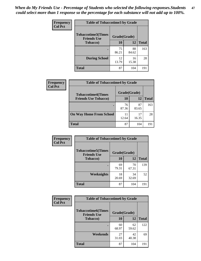*When do My Friends Use - Percentage of Students who selected the following responses.Students could select more than 1 response so the percentage for each substance will not add up to 100%.* **47**

| <b>Frequency</b> | <b>Table of Tobaccotime3 by Grade</b>           |              |             |              |  |
|------------------|-------------------------------------------------|--------------|-------------|--------------|--|
| <b>Col Pct</b>   | <b>Tobaccotime3(Times</b><br><b>Friends Use</b> | Grade(Grade) |             |              |  |
|                  | <b>Tobacco</b> )                                | 10           | 12          | <b>Total</b> |  |
|                  |                                                 | 75<br>86.21  | 88<br>84.62 | 163          |  |
|                  | <b>During School</b>                            | 12<br>13.79  | 16<br>15.38 | 28           |  |
|                  | <b>Total</b>                                    | 87           | 104         | 191          |  |

| <b>Frequency</b> | <b>Table of Tobaccotime4 by Grade</b> |              |             |              |
|------------------|---------------------------------------|--------------|-------------|--------------|
| <b>Col Pct</b>   | <b>Tobaccotime4(Times</b>             | Grade(Grade) |             |              |
|                  | <b>Friends Use Tobacco)</b>           | 10           | 12          | <b>Total</b> |
|                  |                                       | 76<br>87.36  | 87<br>83.65 | 163          |
|                  | <b>On Way Home From School</b>        | 11<br>12.64  | 17<br>16.35 | 28           |
|                  | <b>Total</b>                          | 87           | 104         | 191          |

| Frequency      | <b>Table of Tobaccotime5 by Grade</b>            |              |             |              |
|----------------|--------------------------------------------------|--------------|-------------|--------------|
| <b>Col Pct</b> | <b>Tobaccotime5</b> (Times<br><b>Friends Use</b> | Grade(Grade) |             |              |
|                | <b>Tobacco</b> )                                 | 10           | 12          | <b>Total</b> |
|                |                                                  | 69<br>79.31  | 70<br>67.31 | 139          |
|                | Weeknights                                       | 18<br>20.69  | 34<br>32.69 | 52           |
|                | <b>Total</b>                                     | 87           | 104         | 191          |

| Frequency<br><b>Col Pct</b> | <b>Table of Tobaccotime6 by Grade</b>                           |             |             |              |  |
|-----------------------------|-----------------------------------------------------------------|-------------|-------------|--------------|--|
|                             | <b>Tobaccotime6(Times</b><br>Grade(Grade)<br><b>Friends Use</b> |             |             |              |  |
|                             | <b>Tobacco</b> )                                                | 10          | 12          | <b>Total</b> |  |
|                             |                                                                 | 60<br>68.97 | 62<br>59.62 | 122          |  |
|                             | <b>Weekends</b>                                                 | 27<br>31.03 | 42<br>40.38 | 69           |  |
|                             | <b>Total</b>                                                    | 87          | 104         | 191          |  |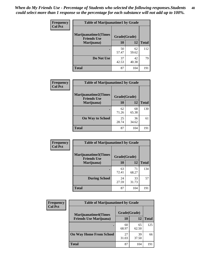| Frequency      | <b>Table of Marijuanatime1 by Grade</b>           |              |             |              |
|----------------|---------------------------------------------------|--------------|-------------|--------------|
| <b>Col Pct</b> | <b>Marijuanatime1(Times</b><br><b>Friends Use</b> | Grade(Grade) |             |              |
|                | Marijuana)                                        | 10           | 12          | <b>Total</b> |
|                |                                                   | 50<br>57.47  | 62<br>59.62 | 112          |
|                | Do Not Use                                        | 37<br>42.53  | 42<br>40.38 | 79           |
|                | <b>Total</b>                                      | 87           | 104         | 191          |

| <b>Frequency</b> | <b>Table of Marijuanatime2 by Grade</b>           |              |             |              |
|------------------|---------------------------------------------------|--------------|-------------|--------------|
| <b>Col Pct</b>   | <b>Marijuanatime2(Times</b><br><b>Friends Use</b> | Grade(Grade) |             |              |
|                  | Marijuana)                                        | 10           | 12          | <b>Total</b> |
|                  | ٠                                                 | 62<br>71.26  | 68<br>65.38 | 130          |
|                  | <b>On Way to School</b>                           | 25<br>28.74  | 36<br>34.62 | 61           |
|                  | <b>Total</b>                                      | 87           | 104         | 191          |

| Frequency      | <b>Table of Marijuanatime3 by Grade</b>    |              |             |              |
|----------------|--------------------------------------------|--------------|-------------|--------------|
| <b>Col Pct</b> | Marijuanatime3(Times<br><b>Friends Use</b> | Grade(Grade) |             |              |
|                | Marijuana)                                 | 10           | 12          | <b>Total</b> |
|                |                                            | 63<br>72.41  | 71<br>68.27 | 134          |
|                | <b>During School</b>                       | 24<br>27.59  | 33<br>31.73 | 57           |
|                | <b>Total</b>                               | 87           | 104         | 191          |

| <b>Frequency</b><br><b>Col Pct</b> | <b>Table of Marijuanatime4 by Grade</b> |              |             |              |
|------------------------------------|-----------------------------------------|--------------|-------------|--------------|
|                                    | <b>Marijuanatime4</b> (Times            | Grade(Grade) |             |              |
|                                    | <b>Friends Use Marijuana</b> )          | 10           | 12          | <b>Total</b> |
|                                    |                                         | 60<br>68.97  | 65<br>62.50 | 125          |
|                                    | <b>On Way Home From School</b>          | 27<br>31.03  | 39<br>37.50 | 66           |
|                                    | <b>Total</b>                            | 87           | 104         | 191          |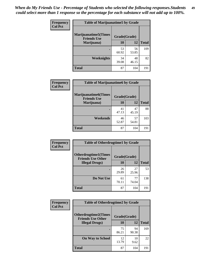| Frequency      | <b>Table of Marijuanatime5 by Grade</b>            |              |             |              |
|----------------|----------------------------------------------------|--------------|-------------|--------------|
| <b>Col Pct</b> | <b>Marijuanatime5</b> (Times<br><b>Friends Use</b> | Grade(Grade) |             |              |
|                | Marijuana)                                         | 10           | 12          | <b>Total</b> |
|                |                                                    | 53<br>60.92  | 56<br>53.85 | 109          |
|                | <b>Weeknights</b>                                  | 34<br>39.08  | 48<br>46.15 | 82           |
|                | <b>Total</b>                                       | 87           | 104         | 191          |

| Frequency      | <b>Table of Marijuanatime6 by Grade</b>            |              |             |              |  |
|----------------|----------------------------------------------------|--------------|-------------|--------------|--|
| <b>Col Pct</b> | <b>Marijuanatime6</b> (Times<br><b>Friends Use</b> | Grade(Grade) |             |              |  |
|                | Marijuana)                                         | 10           | 12          | <b>Total</b> |  |
|                |                                                    | 41<br>47.13  | 47<br>45.19 | 88           |  |
|                | Weekends                                           | 46<br>52.87  | 57<br>54.81 | 103          |  |
|                | <b>Total</b>                                       | 87           | 104         | 191          |  |

| Frequency      | <b>Table of Otherdrugtime1 by Grade</b>                 |              |             |              |
|----------------|---------------------------------------------------------|--------------|-------------|--------------|
| <b>Col Pct</b> | <b>Otherdrugtime1(Times</b><br><b>Friends Use Other</b> | Grade(Grade) |             |              |
|                | <b>Illegal Drugs</b> )                                  | 10           | 12          | <b>Total</b> |
|                |                                                         | 26<br>29.89  | 27<br>25.96 | 53           |
|                | Do Not Use                                              | 61<br>70.11  | 77<br>74.04 | 138          |
|                | <b>Total</b>                                            | 87           | 104         | 191          |

| <b>Frequency</b> | <b>Table of Otherdrugtime2 by Grade</b>                 |              |             |              |  |  |
|------------------|---------------------------------------------------------|--------------|-------------|--------------|--|--|
| <b>Col Pct</b>   | <b>Otherdrugtime2(Times</b><br><b>Friends Use Other</b> | Grade(Grade) |             |              |  |  |
|                  | <b>Illegal Drugs</b> )                                  | 10           | 12          | <b>Total</b> |  |  |
|                  |                                                         | 75<br>86.21  | 94<br>90.38 | 169          |  |  |
|                  | <b>On Way to School</b>                                 | 12<br>13.79  | 10<br>9.62  | 22           |  |  |
|                  | Total                                                   | 87           | 104         | 191          |  |  |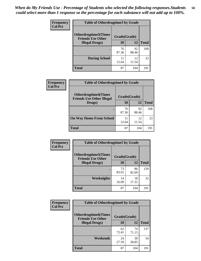| <b>Frequency</b> | <b>Table of Otherdrugtime3 by Grade</b>                 |              |             |              |  |  |
|------------------|---------------------------------------------------------|--------------|-------------|--------------|--|--|
| <b>Col Pct</b>   | <b>Otherdrugtime3(Times</b><br><b>Friends Use Other</b> | Grade(Grade) |             |              |  |  |
|                  | <b>Illegal Drugs</b> )                                  | 10           | 12          | <b>Total</b> |  |  |
|                  |                                                         | 76<br>87.36  | 92<br>88.46 | 168          |  |  |
|                  | <b>During School</b>                                    | 11<br>12.64  | 12<br>11.54 | 23           |  |  |
|                  | <b>Total</b>                                            | 87           | 104         | 191          |  |  |

| <b>Frequency</b> | <b>Table of Otherdrugtime4 by Grade</b>                         |              |             |              |  |
|------------------|-----------------------------------------------------------------|--------------|-------------|--------------|--|
| <b>Col Pct</b>   | <b>Otherdrugtime4(Times</b><br><b>Friends Use Other Illegal</b> | Grade(Grade) |             |              |  |
|                  | Drugs)                                                          | 10           | 12          | <b>Total</b> |  |
|                  | $\bullet$                                                       | 76<br>87.36  | 92<br>88.46 | 168          |  |
|                  | <b>On Way Home From School</b>                                  | 11<br>12.64  | 12<br>11.54 | 23           |  |
|                  | <b>Total</b>                                                    | 87           | 104         | 191          |  |

| <b>Frequency</b> | <b>Table of Otherdrugtime5 by Grade</b>                  |              |             |              |  |  |
|------------------|----------------------------------------------------------|--------------|-------------|--------------|--|--|
| <b>Col Pct</b>   | <b>Otherdrugtime5</b> (Times<br><b>Friends Use Other</b> | Grade(Grade) |             |              |  |  |
|                  | <b>Illegal Drugs</b> )                                   | 10           | 12          | <b>Total</b> |  |  |
|                  |                                                          | 73<br>83.91  | 86<br>82.69 | 159          |  |  |
|                  | Weeknights                                               | 14<br>16.09  | 18<br>17.31 | 32           |  |  |
|                  | Total                                                    | 87           | 104         | 191          |  |  |

| <b>Frequency</b> | <b>Table of Otherdrugtime6 by Grade</b>                 |              |             |              |  |  |
|------------------|---------------------------------------------------------|--------------|-------------|--------------|--|--|
| <b>Col Pct</b>   | <b>Otherdrugtime6(Times</b><br><b>Friends Use Other</b> | Grade(Grade) |             |              |  |  |
|                  | <b>Illegal Drugs</b> )                                  | 10           | 12          | <b>Total</b> |  |  |
|                  |                                                         | 63<br>72.41  | 74<br>71.15 | 137          |  |  |
|                  | Weekends                                                | 24<br>27.59  | 30<br>28.85 | 54           |  |  |
|                  | Total                                                   | 87           | 104         | 191          |  |  |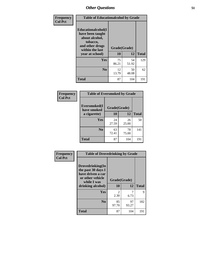| Frequency      | <b>Table of Educationalcohol by Grade</b>                                                                  |              |             |              |  |
|----------------|------------------------------------------------------------------------------------------------------------|--------------|-------------|--------------|--|
| <b>Col Pct</b> | Educationalcohol(I<br>have been taught<br>about alcohol,<br>tobacco,<br>and other drugs<br>within the last | Grade(Grade) |             |              |  |
|                | year at school)                                                                                            | 10           | 12          | <b>Total</b> |  |
|                | Yes                                                                                                        | 75<br>86.21  | 54<br>51.92 | 129          |  |
|                | N <sub>0</sub>                                                                                             | 12<br>13.79  | 50<br>48.08 | 62           |  |
|                | <b>Total</b>                                                                                               | 87           | 104         | 191          |  |

| Frequency      | <b>Table of Eversmoked by Grade</b>         |             |             |              |  |  |
|----------------|---------------------------------------------|-------------|-------------|--------------|--|--|
| <b>Col Pct</b> | Eversmoked(I<br>Grade(Grade)<br>have smoked |             |             |              |  |  |
|                | a cigarette)                                | 10          | 12          | <b>Total</b> |  |  |
|                | <b>Yes</b>                                  | 24<br>27.59 | 26<br>25.00 | 50           |  |  |
|                | N <sub>0</sub>                              | 63<br>72.41 | 78<br>75.00 | 141          |  |  |
|                | <b>Total</b>                                | 87          | 104         | 191          |  |  |

| Frequency      | <b>Table of Drovedrinking by Grade</b>                                                                              |                        |             |              |  |
|----------------|---------------------------------------------------------------------------------------------------------------------|------------------------|-------------|--------------|--|
| <b>Col Pct</b> | Drovedrinking(In<br>the past 30 days I<br>have driven a car<br>or other vehicle<br>while I was<br>drinking alcohol) | Grade(Grade)<br>10     | 12          | <b>Total</b> |  |
|                | <b>Yes</b>                                                                                                          | $\mathfrak{D}$<br>2.30 | 6.73        | $\mathbf Q$  |  |
|                | N <sub>0</sub>                                                                                                      | 85<br>97.70            | 97<br>93.27 | 182          |  |
|                | <b>Total</b>                                                                                                        | 87                     | 104         | 191          |  |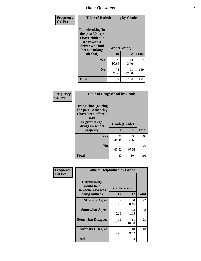| Frequency      | <b>Table of Rodedrinking by Grade</b>                                                                                  |                          |             |              |  |  |
|----------------|------------------------------------------------------------------------------------------------------------------------|--------------------------|-------------|--------------|--|--|
| <b>Col Pct</b> | Rodedrinking(In<br>the past 30 days<br>I have ridden in<br>a car with a<br>driver who had<br>been drinking<br>alcohol) | Grade(Grade)<br>10<br>12 |             | <b>Total</b> |  |  |
|                |                                                                                                                        |                          |             |              |  |  |
|                | <b>Yes</b>                                                                                                             | 9<br>10.34               | 13<br>12.50 | 22           |  |  |
|                | N <sub>0</sub>                                                                                                         | 78<br>89.66              | 91<br>87.50 | 169          |  |  |
|                | <b>Total</b>                                                                                                           | 87                       | 104         | 191          |  |  |

#### **Frequency Col Pct**

| <b>Table of Drugsschool by Grade</b>                                                                                      |              |             |              |  |  |  |
|---------------------------------------------------------------------------------------------------------------------------|--------------|-------------|--------------|--|--|--|
| <b>Drugsschool</b> (During<br>the past 12 months,<br>I have been offered,<br>sold,<br>or given illegal<br>drugs on school | Grade(Grade) |             |              |  |  |  |
| property)                                                                                                                 | 10           | 12          | <b>Total</b> |  |  |  |
| Yes                                                                                                                       | 30<br>34.48  | 34<br>32.69 | 64           |  |  |  |
| N <sub>0</sub>                                                                                                            | 57<br>65.52  | 70<br>67.31 | 127          |  |  |  |
| <b>Total</b>                                                                                                              | 87           | 104         | 191          |  |  |  |

| Frequency      | <b>Table of Helpbullied by Grade</b>                 |             |              |              |  |  |  |
|----------------|------------------------------------------------------|-------------|--------------|--------------|--|--|--|
| <b>Col Pct</b> | $Helpb$ ullied $(I$<br>would help<br>someone who was |             | Grade(Grade) |              |  |  |  |
|                | being bullied)                                       | <b>10</b>   | 12           | <b>Total</b> |  |  |  |
|                | <b>Strongly Agree</b>                                | 32<br>36.78 | 40<br>38.46  | 72           |  |  |  |
|                | <b>Somewhat Agree</b>                                | 35<br>40.23 | 43<br>41.35  | 78           |  |  |  |
|                | <b>Somewhat Disagree</b>                             | 12<br>13.79 | 11<br>10.58  | 23           |  |  |  |
|                | <b>Strongly Disagree</b>                             | 8<br>9.20   | 10<br>9.62   | 18           |  |  |  |
|                | <b>Total</b>                                         | 87          | 104          | 191          |  |  |  |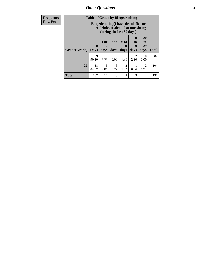*Other Questions* **53**

| <b>Frequency</b> | <b>Table of Grade by Bingedrinking</b> |                             |                |                                                                                                         |                              |                        |                        |              |
|------------------|----------------------------------------|-----------------------------|----------------|---------------------------------------------------------------------------------------------------------|------------------------------|------------------------|------------------------|--------------|
| <b>Row Pct</b>   |                                        |                             |                | Bingedrinking(I have drunk five or<br>more drinks of alcohol at one sitting<br>during the last 30 days) |                              |                        |                        |              |
|                  | Grade(Grade)                           | $\mathbf{0}$<br><b>Days</b> | $1$ or<br>days | 3 <sub>to</sub><br>5<br>days                                                                            | 6 <sub>to</sub><br>9<br>days | 10<br>to<br>19<br>days | 20<br>to<br>29<br>days | <b>Total</b> |
|                  | 10                                     | 79<br>90.80                 | 5<br>5.75      | $\Omega$<br>0.00                                                                                        | 1.15                         | 2<br>2.30              | $\Omega$<br>0.00       | 87           |
|                  | 12                                     | 88<br>84.62                 | 5<br>4.81      | 6<br>5.77                                                                                               | 2<br>1.92                    | 0.96                   | 2<br>1.92              | 104          |
|                  | <b>Total</b>                           | 167                         | 10             | 6                                                                                                       | 3                            | 3                      | $\overline{2}$         | 191          |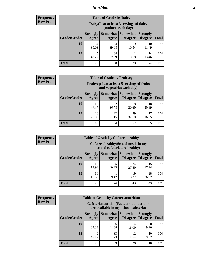## *Nutrition* **54**

| Frequency |
|-----------|
| Row Pct   |

| <b>Table of Grade by Dairy</b> |                          |                                                                 |                                    |                                    |       |  |
|--------------------------------|--------------------------|-----------------------------------------------------------------|------------------------------------|------------------------------------|-------|--|
|                                |                          | Dairy (I eat at least 3 servings of dairy<br>products each day) |                                    |                                    |       |  |
| Grade(Grade)                   | <b>Strongly</b><br>Agree | Somewhat<br>Agree                                               | <b>Somewhat</b><br><b>Disagree</b> | <b>Strongly</b><br><b>Disagree</b> | Total |  |
| 10                             | 34<br>39.08              | 34<br>39.08                                                     | 9<br>10.34                         | 10<br>11.49                        | 87    |  |
| 12                             | 45<br>43.27              | 34<br>32.69                                                     | 11<br>10.58                        | 14<br>13.46                        | 104   |  |
| <b>Total</b>                   | 79                       | 68                                                              | 20                                 | 24                                 | 191   |  |

| <b>Frequency</b> |  |
|------------------|--|
| <b>Row Pct</b>   |  |

| <b>Table of Grade by Fruitveg</b> |                                                                          |             |                                   |                                    |              |  |
|-----------------------------------|--------------------------------------------------------------------------|-------------|-----------------------------------|------------------------------------|--------------|--|
|                                   | Fruitveg(I eat at least 5 servings of fruits<br>and vegetables each day) |             |                                   |                                    |              |  |
| Grade(Grade)                      | <b>Strongly</b><br>Agree                                                 | Agree       | Somewhat   Somewhat  <br>Disagree | <b>Strongly</b><br><b>Disagree</b> | <b>Total</b> |  |
| 10                                | 19<br>21.84                                                              | 32<br>36.78 | 18<br>20.69                       | 18<br>20.69                        | 87           |  |
| 12                                | 26<br>25.00                                                              | 22<br>21.15 | 39<br>37.50                       | 17<br>16.35                        | 104          |  |
| <b>Total</b>                      | 45                                                                       | 54          | 57                                | 35                                 | 191          |  |

| <b>Frequency</b> | <b>Table of Grade by Cafeteriahealthy</b> |                                                                       |                     |                                    |                                    |              |  |  |  |
|------------------|-------------------------------------------|-----------------------------------------------------------------------|---------------------|------------------------------------|------------------------------------|--------------|--|--|--|
| <b>Row Pct</b>   |                                           | Cafeteriahealthy (School meals in my<br>school cafeteria are healthy) |                     |                                    |                                    |              |  |  |  |
|                  | Grade(Grade)                              | <b>Strongly</b><br>Agree                                              | Somewhat  <br>Agree | <b>Somewhat</b><br><b>Disagree</b> | <b>Strongly</b><br><b>Disagree</b> | <b>Total</b> |  |  |  |
|                  | 10                                        | 13<br>14.94                                                           | 35<br>40.23         | 24<br>27.59                        | 15<br>17.24                        | 87           |  |  |  |
|                  | 12                                        | 16<br>15.38                                                           | 41<br>39.42         | 19<br>18.27                        | 28<br>26.92                        | 104          |  |  |  |
|                  | <b>Total</b>                              | 29                                                                    | 76                  | 43                                 | 43                                 | 191          |  |  |  |

**Frequency Row Pct**

| <b>Table of Grade by Cafeterianutrition</b> |              |                          |                                                                                           |                                   |                                    |              |  |  |
|---------------------------------------------|--------------|--------------------------|-------------------------------------------------------------------------------------------|-----------------------------------|------------------------------------|--------------|--|--|
|                                             |              |                          | <b>Cafeterianutrition</b> (Facts about nutrition<br>are available in my school cafeteria) |                                   |                                    |              |  |  |
|                                             | Grade(Grade) | <b>Strongly</b><br>Agree | Agree                                                                                     | Somewhat   Somewhat  <br>Disagree | <b>Strongly</b><br><b>Disagree</b> | <b>Total</b> |  |  |
|                                             | <b>10</b>    | 29<br>33.33              | 36<br>41.38                                                                               | 14<br>16.09                       | 8<br>9.20                          | 87           |  |  |
|                                             | 12           | 49<br>47.12              | 33<br>31.73                                                                               | 12<br>11.54                       | 10<br>9.62                         | 104          |  |  |
|                                             | <b>Total</b> | 78                       | 69                                                                                        | 26                                | 18                                 | 191          |  |  |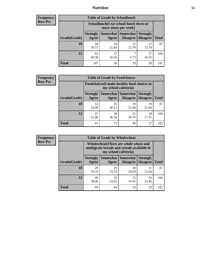## *Nutrition* **55**

| <b>Frequency</b> |
|------------------|
| <b>Row Pct</b>   |

| <b>Table of Grade by Schoollunch</b> |                                                                                                                      |                                                                 |             |             |              |  |
|--------------------------------------|----------------------------------------------------------------------------------------------------------------------|-----------------------------------------------------------------|-------------|-------------|--------------|--|
|                                      |                                                                                                                      | Schoollunch(I eat school lunch three or<br>more times per week) |             |             |              |  |
| Grade(Grade)                         | Somewhat  <br><b>Somewhat</b><br><b>Strongly</b><br><b>Strongly</b><br><b>Disagree</b><br>Disagree<br>Agree<br>Agree |                                                                 |             |             | <b>Total</b> |  |
| 10                                   | 44<br>50.57                                                                                                          | 19<br>21.84                                                     | 12<br>13.79 | 12<br>13.79 | 87           |  |
| 12                                   | 63<br>60.58                                                                                                          | 17<br>16.35                                                     | 7<br>6.73   | 17<br>16.35 | 104          |  |
| <b>Total</b>                         | 107                                                                                                                  | 36                                                              | 19          | 29          | 191          |  |

| <b>Frequency</b> |  |
|------------------|--|
| <b>Row Pct</b>   |  |

| <b>Table of Grade by Foodchoices</b>                                       |                          |             |                                      |                                    |              |  |
|----------------------------------------------------------------------------|--------------------------|-------------|--------------------------------------|------------------------------------|--------------|--|
| <b>Foodchoices</b> (I make healthy food choices in<br>my school cafeteria) |                          |             |                                      |                                    |              |  |
| Grade(Grade)                                                               | <b>Strongly</b><br>Agree | Agree       | Somewhat Somewhat<br><b>Disagree</b> | <b>Strongly</b><br><b>Disagree</b> | <b>Total</b> |  |
| 10                                                                         | 14<br>16.09              | 35<br>40.23 | 19<br>21.84                          | 19<br>21.84                        | 87           |  |
| 12                                                                         | 27<br>25.96              | 38<br>36.54 | 21<br>20.19                          | 18<br>17.31                        | 104          |  |
| <b>Total</b>                                                               | 41                       | 73          | 40                                   | 37                                 | 191          |  |

| <b>Frequency</b> |  |
|------------------|--|
| <b>Row Pct</b>   |  |

| <b>Table of Grade by Wholewheat</b> |                                                                                                                    |                          |                                    |                                    |              |  |  |
|-------------------------------------|--------------------------------------------------------------------------------------------------------------------|--------------------------|------------------------------------|------------------------------------|--------------|--|--|
|                                     | <b>Wholewheat</b> (There are whole wheat and<br>multigrain breads and cereals available in<br>my school cafeteria) |                          |                                    |                                    |              |  |  |
| <b>Grade</b> (Grade)                | <b>Strongly</b><br>Agree                                                                                           | <b>Somewhat</b><br>Agree | <b>Somewhat</b><br><b>Disagree</b> | <b>Strongly</b><br><b>Disagree</b> | <b>Total</b> |  |  |
| 10                                  | 29<br>33.33                                                                                                        | 29<br>33.33              | 18<br>20.69                        | 11<br>12.64                        | 87           |  |  |
| 12                                  | 40<br>38.46                                                                                                        | 35<br>33.65              | 15<br>14.42                        | 14<br>13.46                        | 104          |  |  |
| <b>Total</b>                        | 69                                                                                                                 | 64                       | 33                                 | 25                                 | 191          |  |  |

÷,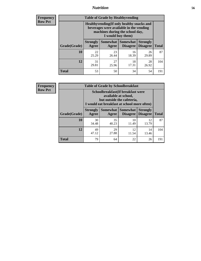## *Nutrition* **56**

**Frequency Row Pct**

| <b>Table of Grade by Healthyvending</b> |                                                                                                                                               |                          |                                    |                                    |              |  |
|-----------------------------------------|-----------------------------------------------------------------------------------------------------------------------------------------------|--------------------------|------------------------------------|------------------------------------|--------------|--|
|                                         | Healthyvending (If only healthy snacks and<br>beverages were available in the vending<br>machines during the school day,<br>I would buy them) |                          |                                    |                                    |              |  |
| Grade(Grade)                            | <b>Strongly</b><br>Agree                                                                                                                      | <b>Somewhat</b><br>Agree | <b>Somewhat</b><br><b>Disagree</b> | <b>Strongly</b><br><b>Disagree</b> | <b>Total</b> |  |
| 10                                      | 22<br>25.29                                                                                                                                   | 23<br>26.44              | 16<br>18.39                        | 26<br>29.89                        | 87           |  |
| 12                                      | 31<br>29.81                                                                                                                                   | 27<br>25.96              | 18<br>17.31                        | 28<br>26.92                        | 104          |  |
| <b>Total</b>                            | 53                                                                                                                                            | 50                       | 34                                 | 54                                 | 191          |  |

**Frequency Row Pct**

| <b>Table of Grade by Schoolbreakfast</b> |                                                                                                                                        |             |             |             |     |  |  |
|------------------------------------------|----------------------------------------------------------------------------------------------------------------------------------------|-------------|-------------|-------------|-----|--|--|
|                                          | Schoolbreakfast(If breakfast were<br>available at school,<br>but outside the cafeteria,<br>I would eat breakfast at school more often) |             |             |             |     |  |  |
| Grade(Grade)                             | Somewhat   Somewhat<br><b>Strongly</b><br><b>Strongly</b><br>Disagree   Disagree<br><b>Total</b><br>Agree<br>Agree                     |             |             |             |     |  |  |
| <b>10</b>                                | 30<br>34.48                                                                                                                            | 35<br>40.23 | 10<br>11.49 | 12<br>13.79 | 87  |  |  |
| 12                                       | 49<br>29<br>12<br>14<br>47.12<br>27.88<br>11.54<br>13.46                                                                               |             |             |             |     |  |  |
| <b>Total</b>                             | 79                                                                                                                                     | 64          | 22          | 26          | 191 |  |  |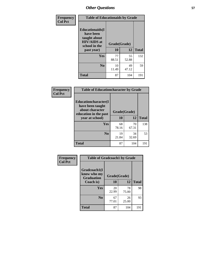| Frequency<br><b>Col Pct</b> | <b>Table of Educationaids by Grade</b>                                                                    |                    |             |              |
|-----------------------------|-----------------------------------------------------------------------------------------------------------|--------------------|-------------|--------------|
|                             | <b>Educationaids</b> (I<br>have been<br>taught about<br><b>HIV/AIDS</b> at<br>school in the<br>past year) | Grade(Grade)<br>10 | 12          | <b>Total</b> |
|                             | Yes                                                                                                       | 77<br>88.51        | 55<br>52.88 | 132          |
|                             | N <sub>0</sub>                                                                                            | 10<br>11.49        | 49<br>47.12 | 59           |
|                             | <b>Total</b>                                                                                              | 87                 | 104         | 191          |

| Frequency      | <b>Table of Educationcharacter by Grade</b> |              |             |              |
|----------------|---------------------------------------------|--------------|-------------|--------------|
| <b>Col Pct</b> | Educationcharacter(I<br>have been taught    |              |             |              |
|                | about character<br>education in the past    | Grade(Grade) |             |              |
|                | year at school)                             | <b>10</b>    | 12          | <b>Total</b> |
|                | Yes                                         | 68<br>78.16  | 70<br>67.31 | 138          |
|                | N <sub>0</sub>                              | 19<br>21.84  | 34<br>32.69 | 53           |
|                | <b>Total</b>                                | 87           | 104         | 191          |

| <b>Frequency</b> | <b>Table of Gradcoach1 by Grade</b>              |              |             |              |
|------------------|--------------------------------------------------|--------------|-------------|--------------|
| <b>Col Pct</b>   | Gradcoach1(I<br>know who my<br><b>Graduation</b> | Grade(Grade) |             |              |
|                  | Coach is)                                        | 10           | 12          | <b>Total</b> |
|                  | Yes                                              | 20<br>22.99  | 78<br>75.00 | 98           |
|                  | N <sub>0</sub>                                   | 67<br>77.01  | 26<br>25.00 | 93           |
|                  | <b>Total</b>                                     | 87           | 104         | 191          |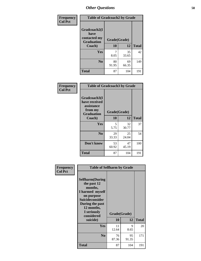| Frequency      | <b>Table of Gradcoach2 by Grade</b> |              |             |              |
|----------------|-------------------------------------|--------------|-------------|--------------|
| <b>Col Pct</b> |                                     |              |             |              |
|                | Gradcoach2(I<br>have                |              |             |              |
|                | contacted my<br><b>Graduation</b>   | Grade(Grade) |             |              |
|                | Coach)                              | 10           | 12          | <b>Total</b> |
|                | Yes                                 | 7<br>8.05    | 35<br>33.65 | 42           |
|                | N <sub>0</sub>                      | 80<br>91.95  | 69<br>66.35 | 149          |
|                | <b>Total</b>                        | 87           | 104         | 191          |

| Frequency<br><b>Col Pct</b> | <b>Table of Gradcoach3 by Grade</b>                                         |              |             |              |
|-----------------------------|-----------------------------------------------------------------------------|--------------|-------------|--------------|
|                             | Gradcoach3(I<br>have received<br>assistance<br>from my<br><b>Graduation</b> | Grade(Grade) |             |              |
|                             | Coach)                                                                      | 10           | 12          | <b>Total</b> |
|                             | Yes                                                                         | 5<br>5.75    | 32<br>30.77 | 37           |
|                             | N <sub>0</sub>                                                              | 29<br>33.33  | 25<br>24.04 | 54           |
|                             | Don't know                                                                  | 53<br>60.92  | 47<br>45.19 | 100          |
|                             | <b>Total</b>                                                                | 87           | 104         | 191          |

| Frequency<br><b>Col Pct</b> | <b>Table of Selfharm by Grade</b>                                                                                                                                                      |                    |             |              |
|-----------------------------|----------------------------------------------------------------------------------------------------------------------------------------------------------------------------------------|--------------------|-------------|--------------|
|                             | <b>Selfharm</b> (During<br>the past 12<br>months,<br>I harmed myself<br>on purpose<br><b>Suicideconsider</b><br>During the past<br>12 months,<br>I seriously<br>considered<br>suicide) | Grade(Grade)<br>10 | 12          | <b>Total</b> |
|                             | Yes                                                                                                                                                                                    | 11<br>12.64        | 9<br>8.65   | 20           |
|                             | N <sub>0</sub>                                                                                                                                                                         | 76<br>87.36        | 95<br>91.35 | 171          |
|                             | <b>Total</b>                                                                                                                                                                           | 87                 | 104         | 191          |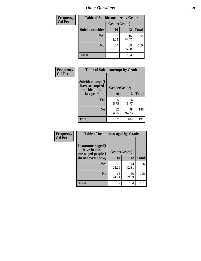| <b>Frequency</b> | <b>Table of Suicideconsider by Grade</b> |              |             |              |
|------------------|------------------------------------------|--------------|-------------|--------------|
| <b>Col Pct</b>   |                                          | Grade(Grade) |             |              |
|                  | Suicideconsider                          | <b>10</b>    | 12          | <b>Total</b> |
|                  | <b>Yes</b>                               | 8.05         | 15<br>14.42 | 22           |
|                  | N <sub>0</sub>                           | 80<br>91.95  | 89<br>85.58 | 169          |
|                  | <b>Total</b>                             | 87           | 104         | 191          |

| Frequency      | <b>Table of Suicideattempt by Grade</b>              |              |             |              |
|----------------|------------------------------------------------------|--------------|-------------|--------------|
| <b>Col Pct</b> | Suicideattempt(I<br>have attempted<br>suicide in the | Grade(Grade) |             |              |
|                | last year)                                           | 10           | 12          | <b>Total</b> |
|                | Yes                                                  | 5<br>5.75    | 6<br>5.77   | 11           |
|                | N <sub>0</sub>                                       | 82<br>94.25  | 98<br>94.23 | 180          |
|                | <b>Total</b>                                         | 87           | 104         | 191          |

| Frequency      | <b>Table of Instantmessaged by Grade</b>               |              |             |              |
|----------------|--------------------------------------------------------|--------------|-------------|--------------|
| <b>Col Pct</b> | Instantmessaged(I<br>have instant<br>messaged people I | Grade(Grade) |             |              |
|                | do not even know)                                      | 10           | 12          | <b>Total</b> |
|                | Yes                                                    | 22<br>25.29  | 44<br>42.31 | 66           |
|                | N <sub>0</sub>                                         | 65<br>74.71  | 60<br>57.69 | 125          |
|                | <b>Total</b>                                           | 87           | 104         | 191          |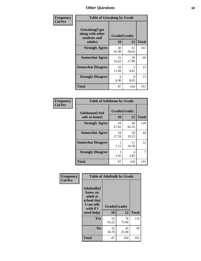| Frequency      | <b>Table of Getsalong by Grade</b>                          |              |             |              |
|----------------|-------------------------------------------------------------|--------------|-------------|--------------|
| <b>Col Pct</b> | <b>Getsalong</b> (I get<br>along with other<br>students and | Grade(Grade) |             |              |
|                | adults)                                                     | 10           | 12          | <b>Total</b> |
|                | <b>Strongly Agree</b>                                       | 40<br>45.98  | 61<br>58.65 | 101          |
|                | <b>Somewhat Agree</b>                                       | 31<br>35.63  | 29<br>27.88 | 60           |
|                | <b>Somewhat Disagree</b>                                    | 10<br>11.49  | 5<br>4.81   | 15           |
|                | <b>Strongly Disagree</b>                                    | 6<br>6.90    | 9<br>8.65   | 15           |
|                | <b>Total</b>                                                | 87           | 104         | 191          |

| Frequency      | <b>Table of Safehome by Grade</b> |                    |             |              |
|----------------|-----------------------------------|--------------------|-------------|--------------|
| <b>Col Pct</b> | Safehome(I feel<br>safe at home)  | Grade(Grade)<br>10 | 12          | <b>Total</b> |
|                | <b>Strongly Agree</b>             | 59<br>67.82        | 69<br>66.35 | 128          |
|                | <b>Somewhat Agree</b>             | 24<br>27.59        | 20<br>19.23 | 44           |
|                | <b>Somewhat Disagree</b>          | 1.15               | 11<br>10.58 | 12           |
|                | <b>Strongly Disagree</b>          | 3<br>3.45          | 4<br>3.85   |              |
|                | <b>Total</b>                      | 87                 | 104         | 191          |

| Frequency      |                                                                                     | <b>Table of Adulttalk by Grade</b> |             |              |  |  |  |  |
|----------------|-------------------------------------------------------------------------------------|------------------------------------|-------------|--------------|--|--|--|--|
| <b>Col Pct</b> | <b>Adulttalk(I</b><br>know an<br>adult at<br>school that<br>I can talk<br>with if I | Grade(Grade)                       |             |              |  |  |  |  |
|                | need help)                                                                          | 10                                 | 12          | <b>Total</b> |  |  |  |  |
|                | <b>Yes</b>                                                                          | 55<br>63.22                        | 78<br>75.00 | 133          |  |  |  |  |
|                | N <sub>0</sub>                                                                      | 32<br>36.78                        | 26<br>25.00 | 58           |  |  |  |  |
|                | <b>Total</b>                                                                        | 87                                 | 104         | 191          |  |  |  |  |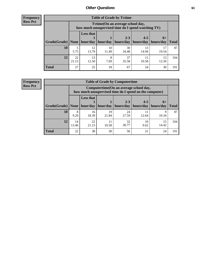**Frequency Row Pct**

| <b>Table of Grade by Tvtime</b> |             |                                                                                         |             |                       |             |             |              |  |  |
|---------------------------------|-------------|-----------------------------------------------------------------------------------------|-------------|-----------------------|-------------|-------------|--------------|--|--|
|                                 |             | Tytime (On an average school day,<br>how much unsupervised time do I spend watching TV) |             |                       |             |             |              |  |  |
|                                 |             | <b>Less that</b>                                                                        |             | $2 - 3$               | $4 - 5$     | $6+$        |              |  |  |
| Grade(Grade)   None             |             | hour/day                                                                                | hour/day    | hours/day   hours/day |             | hours/day   | <b>Total</b> |  |  |
| 10                              | 5.75        | 12<br>13.79                                                                             | 10<br>11.49 | 30<br>34.48           | 13<br>14.94 | 19.54       | 87           |  |  |
| 12                              | 22<br>21.15 | 13<br>12.50                                                                             | 8<br>7.69   | 37<br>35.58           | 10.58       | 13<br>12.50 | 104          |  |  |
| <b>Total</b>                    | 27          | 25                                                                                      | 18          | 67                    | 24          | 30          | 191          |  |  |

**Frequency Row Pct**

| <b>Table of Grade by Computertime</b> |             |                                                                                                   |                     |                      |                      |                   |              |  |  |
|---------------------------------------|-------------|---------------------------------------------------------------------------------------------------|---------------------|----------------------|----------------------|-------------------|--------------|--|--|
|                                       |             | Computertime (On an average school day,<br>how much unsupervised time do I spend on the computer) |                     |                      |                      |                   |              |  |  |
| Grade(Grade)                          | None $ $    | <b>Less that</b>                                                                                  | hour/day   hour/day | $2 - 3$<br>hours/day | $4 - 5$<br>hours/day | $6+$<br>hours/day | <b>Total</b> |  |  |
| 10                                    | 8<br>9.20   | 16<br>18.39                                                                                       | 19<br>21.84         | 24<br>27.59          | 11<br>12.64          | Q<br>10.34        | 87           |  |  |
| 12                                    | 14<br>13.46 | 22<br>32<br>11<br>10<br>15<br>30.77<br>14.42<br>21.15<br>10.58<br>9.62                            |                     |                      |                      |                   |              |  |  |
| <b>Total</b>                          | 22          | 38                                                                                                | 30                  | 56                   | 21                   | 24                | 191          |  |  |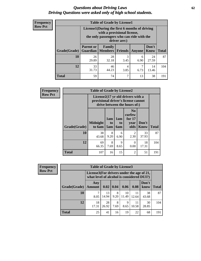#### *Questions about Driving Laws* **62** *Driving Questions were asked only of high school students.*

| <b>Frequency</b> |
|------------------|
| <b>Row Pct</b>   |

| <b>Table of Grade by License1</b> |                                                                     |                                                                                                                                           |                |           |               |              |  |  |  |
|-----------------------------------|---------------------------------------------------------------------|-------------------------------------------------------------------------------------------------------------------------------------------|----------------|-----------|---------------|--------------|--|--|--|
|                                   |                                                                     | License1(During the first 6 months of driving<br>with a provisional license,<br>the only passengers who can ride with the<br>driver are:) |                |           |               |              |  |  |  |
| Grade(Grade)                      | <b>Parent or</b><br><b>Guardian</b>                                 | <b>Family</b><br><b>Members</b>                                                                                                           | <b>Friends</b> | Anyone    | Don't<br>Know | <b>Total</b> |  |  |  |
| 10                                | 26<br>29.89                                                         | 28<br>32.18                                                                                                                               | 3<br>3.45      | 6<br>6.90 | 24<br>27.59   | 87           |  |  |  |
| 12                                | 33<br>46<br>7<br>14<br>4<br>31.73<br>44.23<br>3.85<br>6.73<br>13.46 |                                                                                                                                           |                |           |               |              |  |  |  |
| <b>Total</b>                      | 59                                                                  | 74                                                                                                                                        | ┑              | 13        | 38            | 191          |  |  |  |

| <b>Frequency</b> |                     |                                                                                                          |                  |                              |                                                      |                      |              |
|------------------|---------------------|----------------------------------------------------------------------------------------------------------|------------------|------------------------------|------------------------------------------------------|----------------------|--------------|
| <b>Row Pct</b>   |                     | License2(17 yr old drivers with a<br>provisional driver's license cannot<br>drive between the hours of:) |                  |                              |                                                      |                      |              |
|                  | <b>Grade(Grade)</b> | <b>Midnight</b><br>to 6am                                                                                | 1am<br>to<br>5am | 1am<br>t <sub>0</sub><br>6am | N <sub>0</sub><br>curfew<br>for $17$<br>year<br>olds | Don't<br><b>Know</b> | <b>Total</b> |
|                  | 10                  | 38<br>43.68                                                                                              | 8<br>9.20        | 6<br>6.90                    | 2<br>2.30                                            | 33<br>37.93          | 87           |
|                  | 12                  | 69<br>66.35                                                                                              | 8<br>7.69        | 9<br>8.65                    | 0<br>0.00                                            | 18<br>17.31          | 104          |
|                  | <b>Total</b>        | 107                                                                                                      | 16               | 15                           | $\mathfrak{D}$                                       | 51                   | 191          |

| <b>Frequency</b> |              | <b>Table of Grade by License3</b>                                                      |             |           |             |             |               |              |
|------------------|--------------|----------------------------------------------------------------------------------------|-------------|-----------|-------------|-------------|---------------|--------------|
| <b>Row Pct</b>   |              | License3(For drivers under the age of 21,<br>what level of alcohol is considered DUI?) |             |           |             |             |               |              |
|                  | Grade(Grade) | Any<br><b>Amount</b>                                                                   | 0.02        | 0.04      | 0.06        | 0.08        | Don't<br>know | <b>Total</b> |
|                  | 10           | 7<br>8.05                                                                              | 13<br>14.94 | 8<br>9.20 | 10<br>11.49 | 11<br>12.64 | 38<br>43.68   | 87           |
|                  | 12           | 18<br>17.31                                                                            | 28<br>26.92 | 8<br>7.69 | 9<br>8.65   | 11<br>10.58 | 30<br>28.85   | 104          |
|                  | <b>Total</b> | 25                                                                                     | 41          | 16        | 19          | 22          | 68            | 191          |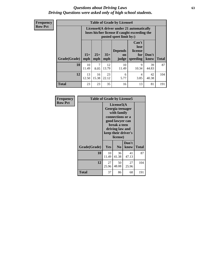#### *Questions about Driving Laws* **63** *Driving Questions were asked only of high school students.*

**Frequency Row Pct**

| <b>Table of Grade by License4</b> |             |                                                                                                                                                                                                                                                                                |             |             |            |             |     |  |
|-----------------------------------|-------------|--------------------------------------------------------------------------------------------------------------------------------------------------------------------------------------------------------------------------------------------------------------------------------|-------------|-------------|------------|-------------|-----|--|
|                                   |             | License4(A driver under 21 automatically<br>loses his/her license if caught exceeding the<br>posted speet limit by:)<br>Can't<br>lose<br>license<br><b>Depends</b><br>$15+$<br>$25+$<br>$35+$<br>Don't<br>for<br>on<br><b>Total</b><br>mph<br>speeding<br>know<br>mph<br>judge |             |             |            |             |     |  |
| Grade(Grade)                      | mph         |                                                                                                                                                                                                                                                                                |             |             |            |             |     |  |
| 10                                | 10<br>11.49 | 7<br>8.05                                                                                                                                                                                                                                                                      | 12<br>13.79 | 10<br>11.49 | 9<br>10.34 | 39<br>44.83 | 87  |  |
| 12                                | 13<br>12.50 | 16<br>15.38                                                                                                                                                                                                                                                                    | 23<br>22.12 | 6<br>5.77   | 4<br>3.85  | 42<br>40.38 | 104 |  |
| <b>Total</b>                      | 23          | 23                                                                                                                                                                                                                                                                             | 35          | 16          | 13         | 81          | 191 |  |

| Frequency      |              | <b>Table of Grade by License5</b>                                                                                                                           |                |               |              |  |  |  |
|----------------|--------------|-------------------------------------------------------------------------------------------------------------------------------------------------------------|----------------|---------------|--------------|--|--|--|
| <b>Row Pct</b> |              | License5(A)<br>Georgia teenager<br>with family<br>connections or a<br>good lawyer can<br>break a teen<br>driving law and<br>keep their driver's<br>license) |                |               |              |  |  |  |
|                | Grade(Grade) | <b>Yes</b>                                                                                                                                                  | N <sub>0</sub> | Don't<br>know | <b>Total</b> |  |  |  |
|                | 10           | 10<br>11.49                                                                                                                                                 | 36<br>41.38    | 41<br>47.13   | 87           |  |  |  |
|                | 12           | 27<br>25.96                                                                                                                                                 | 50<br>48.08    | 27<br>25.96   | 104          |  |  |  |
|                | Total        | 37                                                                                                                                                          | 86             | 68            | 191          |  |  |  |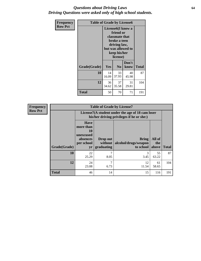### *Questions about Driving Laws* **64** *Driving Questions were asked only of high school students.*

| <b>Frequency</b> | <b>Table of Grade by License6</b> |             |                                                                                                                           |                    |              |  |  |
|------------------|-----------------------------------|-------------|---------------------------------------------------------------------------------------------------------------------------|--------------------|--------------|--|--|
| <b>Row Pct</b>   |                                   |             | License <sub>6</sub> (I know a<br>friend or<br>classmate that<br>broke a teen<br>driving law,<br>keep his/her<br>license) | but was allowed to |              |  |  |
|                  | Grade(Grade)                      | Yes         | N <sub>0</sub>                                                                                                            | Don't<br>know      | <b>Total</b> |  |  |
|                  | 10                                | 14<br>16.09 | 33<br>37.93                                                                                                               | 40<br>45.98        | 87           |  |  |
|                  | 12                                | 36<br>34.62 | 37<br>35.58                                                                                                               | 31<br>29.81        | 104          |  |  |
|                  | <b>Total</b>                      | 50          | 70                                                                                                                        | 71                 | 191          |  |  |

| Frequency      |              |                                                                             | <b>Table of Grade by License7</b>                                                             |                                                   |                        |              |  |  |  |
|----------------|--------------|-----------------------------------------------------------------------------|-----------------------------------------------------------------------------------------------|---------------------------------------------------|------------------------|--------------|--|--|--|
| <b>Row Pct</b> |              |                                                                             | License7(A student under the age of 18 cam loser<br>his/her driving privileges if he or she:) |                                                   |                        |              |  |  |  |
|                | Grade(Grade) | <b>Have</b><br>more than<br>10<br>unexcused<br>absences<br>per school<br>yr | Drop out<br>without  <br>graduating                                                           | <b>Bring</b><br>alcohol/drugs/weapon<br>to school | All of<br>the<br>above | <b>Total</b> |  |  |  |
|                | 10           | 22<br>25.29                                                                 | 7<br>8.05                                                                                     | 3<br>3.45                                         | 55<br>63.22            | 87           |  |  |  |
|                | 12           | 24<br>23.08                                                                 | 7<br>6.73                                                                                     | 12<br>11.54                                       | 61<br>58.65            | 104          |  |  |  |
|                | <b>Total</b> | 46                                                                          | 14                                                                                            | 15                                                | 116                    | 191          |  |  |  |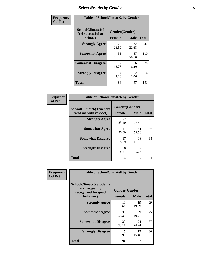# *Select Results by Gender* **65**

| Frequency      | <b>Table of SchoolClimate2 by Gender</b> |                              |                                     |                    |
|----------------|------------------------------------------|------------------------------|-------------------------------------|--------------------|
| <b>Col Pct</b> | SchoolClimate2(I<br>feel successful at   | Gender(Gender)               |                                     |                    |
|                | school)<br><b>Strongly Agree</b>         | <b>Female</b><br>25<br>26.60 | <b>Male</b><br>22<br>22.68          | <b>Total</b><br>47 |
|                | <b>Somewhat Agree</b>                    | 53<br>56.38                  | 57<br>58.76                         | 110                |
|                | <b>Somewhat Disagree</b>                 | 12<br>12.77                  | 16<br>16.49                         | 28                 |
|                | <b>Strongly Disagree</b>                 | 4<br>4.26                    | $\mathcal{D}_{\mathcal{L}}$<br>2.06 | 6                  |
|                | <b>Total</b>                             | 94                           | 97                                  | 191                |

| Frequency      | <b>Table of SchoolClimate6 by Gender</b>                 |                                 |                        |              |  |
|----------------|----------------------------------------------------------|---------------------------------|------------------------|--------------|--|
| <b>Col Pct</b> | <b>SchoolClimate6(Teachers</b><br>treat me with respect) | Gender(Gender)<br><b>Female</b> | <b>Male</b>            | <b>Total</b> |  |
|                | <b>Strongly Agree</b>                                    | 22<br>23.40                     | 26<br>26.80            | 48           |  |
|                | <b>Somewhat Agree</b>                                    | 47<br>50.00                     | 51<br>52.58            | 98           |  |
|                | <b>Somewhat Disagree</b>                                 | 17<br>18.09                     | 18<br>18.56            | 35           |  |
|                | <b>Strongly Disagree</b>                                 | 8<br>8.51                       | $\mathfrak{D}$<br>2.06 | 10           |  |
|                | <b>Total</b>                                             | 94                              | 97                     | 191          |  |

| <b>Frequency</b> | <b>Table of SchoolClimate8 by Gender</b>                                             |               |                               |              |
|------------------|--------------------------------------------------------------------------------------|---------------|-------------------------------|--------------|
| <b>Col Pct</b>   | <b>SchoolClimate8(Students</b><br>are frequently<br>recognized for good<br>behavior) | <b>Female</b> | Gender(Gender)<br><b>Male</b> | <b>Total</b> |
|                  |                                                                                      |               |                               |              |
|                  | <b>Strongly Agree</b>                                                                | 10<br>10.64   | 19<br>19.59                   | 29           |
|                  | <b>Somewhat Agree</b>                                                                | 36<br>38.30   | 39<br>40.21                   | 75           |
|                  | <b>Somewhat Disagree</b>                                                             | 33<br>35.11   | 24<br>24.74                   | 57           |
|                  | <b>Strongly Disagree</b>                                                             | 15<br>15.96   | 15<br>15.46                   | 30           |
|                  | Total                                                                                | 94            | 97                            | 191          |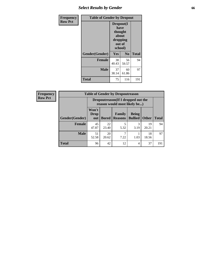# *Select Results by Gender* **66**

| <b>Frequency</b> | <b>Table of Gender by Dropout</b> |                                                                        |                |              |
|------------------|-----------------------------------|------------------------------------------------------------------------|----------------|--------------|
| <b>Row Pct</b>   |                                   | Dropout(I<br>have<br>thought<br>about<br>dropping<br>out of<br>school) |                |              |
|                  | Gender(Gender)                    | Yes                                                                    | N <sub>0</sub> | <b>Total</b> |
|                  | <b>Female</b>                     | 38<br>40.43                                                            | 56<br>59.57    | 94           |
|                  | <b>Male</b>                       | 37<br>38.14                                                            | 60<br>61.86    | 97           |
|                  | <b>Total</b>                      | 75                                                                     | 116            | 191          |

| <b>Frequency</b> | <b>Table of Gender by Dropoutreason</b> |                                                                     |              |                          |                                |              |              |
|------------------|-----------------------------------------|---------------------------------------------------------------------|--------------|--------------------------|--------------------------------|--------------|--------------|
| <b>Row Pct</b>   |                                         | Dropoutreason (If I dropped out the<br>reason would most likely be) |              |                          |                                |              |              |
|                  | <b>Gender</b> (Gender)                  | Won't<br><b>Drop</b><br>out                                         | <b>Bored</b> | Family<br><b>Reasons</b> | <b>Being</b><br><b>Bullied</b> | <b>Other</b> | <b>Total</b> |
|                  | <b>Female</b>                           | 45<br>47.87                                                         | 22<br>23.40  | 5<br>5.32                | 3<br>3.19                      | 19<br>20.21  | 94           |
|                  | <b>Male</b>                             | 51<br>52.58                                                         | 20<br>20.62  | 7.22                     | 1.03                           | 18<br>18.56  | 97           |
|                  | <b>Total</b>                            | 96                                                                  | 42           | 12                       | 4                              | 37           | 191          |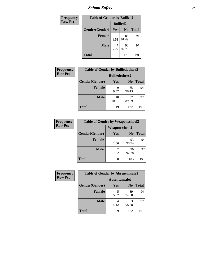*School Safety* **67**

| Frequency      | <b>Table of Gender by Bullied2</b> |                 |                |              |
|----------------|------------------------------------|-----------------|----------------|--------------|
| <b>Row Pct</b> |                                    | <b>Bullied2</b> |                |              |
|                | Gender(Gender)                     | Yes             | N <sub>0</sub> | <b>Total</b> |
|                | <b>Female</b>                      | 8<br>8.51       | 86<br>91.49    | 94           |
|                | <b>Male</b>                        | 7.22            | 90<br>92.78    | 97           |
|                | <b>Total</b>                       | 15              | 176            | 191          |

| Frequency      | <b>Table of Gender by Bulliedothers2</b> |                       |                |              |
|----------------|------------------------------------------|-----------------------|----------------|--------------|
| <b>Row Pct</b> |                                          | <b>Bulliedothers2</b> |                |              |
|                | Gender(Gender)                           | Yes                   | N <sub>0</sub> | <b>Total</b> |
|                | <b>Female</b>                            | 9<br>9.57             | 85<br>90.43    | 94           |
|                | <b>Male</b>                              | 10<br>10.31           | 87<br>89.69    | 97           |
|                | <b>Total</b>                             | 19                    | 172            | 191          |

| Frequency      | <b>Table of Gender by Weaponschool2</b> |                      |                |              |
|----------------|-----------------------------------------|----------------------|----------------|--------------|
| <b>Row Pct</b> |                                         | <b>Weaponschool2</b> |                |              |
|                | Gender(Gender)                          | Yes                  | N <sub>0</sub> | <b>Total</b> |
|                | Female                                  | 1.06                 | 93<br>98.94    | 94           |
|                | <b>Male</b>                             | 7.22                 | 90<br>92.78    | 97           |
|                | <b>Total</b>                            | 8                    | 183            | 191          |

| Frequency      | <b>Table of Gender by Absentunsafe2</b> |               |                |              |
|----------------|-----------------------------------------|---------------|----------------|--------------|
| <b>Row Pct</b> |                                         | Absentunsafe2 |                |              |
|                | Gender(Gender)                          | Yes           | N <sub>0</sub> | <b>Total</b> |
|                | <b>Female</b>                           | 5.32          | 89<br>94.68    | 94           |
|                | <b>Male</b>                             | 4<br>4.12     | 93<br>95.88    | 97           |
|                | <b>Total</b>                            | q             | 182            | 191          |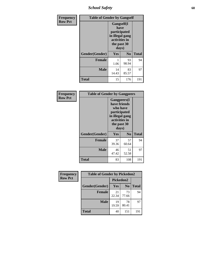*School Safety* **68**

| Frequency      | <b>Table of Gender by Gangself</b> |                                                                                                |                |              |
|----------------|------------------------------------|------------------------------------------------------------------------------------------------|----------------|--------------|
| <b>Row Pct</b> |                                    | Gangself(I<br>have<br>participated<br>in illegal gang<br>activities in<br>the past 30<br>days) |                |              |
|                | Gender(Gender)                     | Yes                                                                                            | N <sub>0</sub> | <b>Total</b> |
|                | <b>Female</b>                      | 1.06                                                                                           | 93<br>98.94    | 94           |
|                | <b>Male</b>                        | 14<br>14.43                                                                                    | 83<br>85.57    | 97           |
|                | <b>Total</b>                       | 15                                                                                             | 176            | 191          |

| Frequency      | <b>Table of Gender by Gangpeers</b> |                                                                                                                             |                |              |
|----------------|-------------------------------------|-----------------------------------------------------------------------------------------------------------------------------|----------------|--------------|
| <b>Row Pct</b> |                                     | <b>Gangpeers</b> (I<br>have friends<br>who have<br>participated<br>in illegal gang<br>activities in<br>the past 30<br>days) |                |              |
|                | Gender(Gender)                      | Yes                                                                                                                         | N <sub>0</sub> | <b>Total</b> |
|                | <b>Female</b>                       | 37<br>39.36                                                                                                                 | 57<br>60.64    | 94           |
|                | <b>Male</b>                         | 46<br>47.42                                                                                                                 | 51<br>52.58    | 97           |
|                | Total                               | 83                                                                                                                          | 108            | 191          |

| Frequency      | <b>Table of Gender by Pickedon2</b> |             |                |              |
|----------------|-------------------------------------|-------------|----------------|--------------|
| <b>Row Pct</b> |                                     | Pickedon2   |                |              |
|                | Gender(Gender)                      | Yes         | N <sub>0</sub> | <b>Total</b> |
|                | <b>Female</b>                       | 21<br>22.34 | 73<br>77.66    | 94           |
|                | <b>Male</b>                         | 19<br>19.59 | 78<br>80.41    | 97           |
|                | <b>Total</b>                        | 40          | 151            | 191          |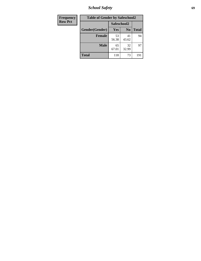*School Safety* **69**

| Frequency      | <b>Table of Gender by Safeschool2</b> |             |                |              |  |
|----------------|---------------------------------------|-------------|----------------|--------------|--|
| <b>Row Pct</b> |                                       | Safeschool2 |                |              |  |
|                | Gender(Gender)                        | Yes         | N <sub>0</sub> | <b>Total</b> |  |
|                | <b>Female</b>                         | 53<br>56.38 | 41<br>43.62    | 94           |  |
|                | <b>Male</b>                           | 65<br>67.01 | 32<br>32.99    | 97           |  |
|                | <b>Total</b>                          | 118         | 73             | 191          |  |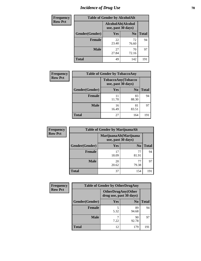# *Incidence of Drug Use* **70**

| <b>Frequency</b> |                | <b>Table of Gender by AlcoholAlt</b> |                    |              |
|------------------|----------------|--------------------------------------|--------------------|--------------|
| <b>Row Pct</b>   |                | use, past 30 days)                   | AlcoholAlt(Alcohol |              |
|                  | Gender(Gender) | Yes                                  | N <sub>0</sub>     | <b>Total</b> |
|                  | <b>Female</b>  | 22<br>23.40                          | 72<br>76.60        | 94           |
|                  | <b>Male</b>    | 27<br>27.84                          | 70<br>72.16        | 97           |
|                  | <b>Total</b>   | 49                                   | 142                | 191          |

| Frequency      | <b>Table of Gender by TobaccoAny</b> |                    |                    |              |  |
|----------------|--------------------------------------|--------------------|--------------------|--------------|--|
| <b>Row Pct</b> |                                      | use, past 30 days) | TobaccoAny(Tobacco |              |  |
|                | Gender(Gender)                       | Yes                | N <sub>0</sub>     | <b>Total</b> |  |
|                | <b>Female</b>                        | 11<br>11.70        | 83<br>88.30        | 94           |  |
|                | <b>Male</b>                          | 16<br>16.49        | 81<br>83.51        | 97           |  |
|                | <b>Total</b>                         | 27                 | 164                | 191          |  |

| <b>Frequency</b> | <b>Table of Gender by MarijuanaAlt</b> |             |                                              |       |
|------------------|----------------------------------------|-------------|----------------------------------------------|-------|
| <b>Row Pct</b>   |                                        |             | MarijuanaAlt(Marijuana<br>use, past 30 days) |       |
|                  | Gender(Gender)                         | Yes         | N <sub>0</sub>                               | Total |
|                  | <b>Female</b>                          | 17<br>18.09 | 77<br>81.91                                  | 94    |
|                  | <b>Male</b>                            | 20<br>20.62 | 79.38                                        | 97    |
|                  | <b>Total</b>                           | 37          | 154                                          | 191   |

| <b>Frequency</b> | <b>Table of Gender by OtherDrugAny</b> |                                                      |                |              |  |
|------------------|----------------------------------------|------------------------------------------------------|----------------|--------------|--|
| <b>Row Pct</b>   |                                        | <b>OtherDrugAny(Other</b><br>drug use, past 30 days) |                |              |  |
|                  | Gender(Gender)                         | <b>Yes</b>                                           | N <sub>0</sub> | <b>Total</b> |  |
|                  | <b>Female</b>                          | 5<br>5.32                                            | 89<br>94.68    | 94           |  |
|                  | <b>Male</b>                            | 7.22                                                 | 90<br>92.78    | 97           |  |
|                  | <b>Total</b>                           | 12                                                   | 179            | 191          |  |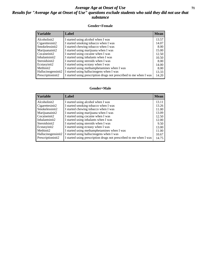### *Average Age at Onset of Use* **71** *Results for "Average Age at Onset of Use" questions exclude students who said they did not use that substance*

#### **Gender=Female**

| Variable           | <b>Label</b>                                                       | <b>Mean</b> |
|--------------------|--------------------------------------------------------------------|-------------|
| Alcoholinit2       | I started using alcohol when I was                                 | 13.57       |
| Cigarettesinit2    | I started smoking tobacco when I was                               | 14.07       |
| Smokelessinit2     | I started chewing tobacco when I was                               | 8.00        |
| Marijuanainit2     | I started using marijuana when I was                               | 15.00       |
| Cocaineinit2       | I started using cocaine when I was                                 | 12.50       |
| Inhalantsinit2     | I started using inhalants when I was                               | 10.50       |
| Steroidsinit2      | I started using steroids when I was                                | 8.00        |
| Ecstasyinit2       | I started using ecstasy when I was                                 | 14.00       |
| Methinit2          | I started using methamphetamines when I was                        | 8.00        |
| Hallucinogensinit2 | I started using hallucinogens when I was                           | 13.33       |
| Prescription in t2 | I started using prescription drugs not prescribed to me when I was | 14.20       |

#### **Gender=Male**

| <b>Variable</b>    | Label                                                              | <b>Mean</b> |
|--------------------|--------------------------------------------------------------------|-------------|
| Alcoholinit2       | I started using alcohol when I was                                 | 13.11       |
| Cigarettesinit2    | I started smoking tobacco when I was                               | 13.26       |
| Smokelessinit2     | I started chewing tobacco when I was                               | 11.00       |
| Marijuanainit2     | I started using marijuana when I was                               | 13.09       |
| Cocaineinit2       | I started using cocaine when I was                                 | 12.50       |
| Inhalantsinit2     | I started using inhalants when I was                               | 12.00       |
| Steroidsinit2      | I started using steroids when I was                                | 9.50        |
| Ecstasyinit2       | I started using ecstasy when I was                                 | 13.00       |
| Methinit2          | I started using methamphetamines when I was                        | 11.00       |
| Hallucinogensinit2 | I started using hallucinogens when I was                           | 10.67       |
| Prescriptioninit2  | I started using prescription drugs not prescribed to me when I was | 14.75       |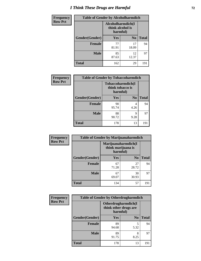# *I Think These Drugs are Harmful* **72**

| Frequency      | <b>Table of Gender by Alcoholharmdich</b> |                  |                               |              |  |
|----------------|-------------------------------------------|------------------|-------------------------------|--------------|--|
| <b>Row Pct</b> |                                           | think alcohol is | Alcoholharmdich(I<br>harmful) |              |  |
|                | Gender(Gender)                            | Yes              | N <sub>0</sub>                | <b>Total</b> |  |
|                | <b>Female</b>                             | 77<br>81.91      | 17<br>18.09                   | 94           |  |
|                | <b>Male</b>                               | 85<br>87.63      | 12<br>12.37                   | 97           |  |
|                | Total                                     | 162              | 29                            | 191          |  |

| Frequency      | <b>Table of Gender by Tobaccoharmdich</b> |                                                   |                |              |  |
|----------------|-------------------------------------------|---------------------------------------------------|----------------|--------------|--|
| <b>Row Pct</b> |                                           | Tobaccoharmdich(I<br>think tobacco is<br>harmful) |                |              |  |
|                | Gender(Gender)                            | Yes                                               | N <sub>0</sub> | <b>Total</b> |  |
|                | <b>Female</b>                             | 90<br>95.74                                       | 4<br>4.26      | 94           |  |
|                | <b>Male</b>                               | 88<br>90.72                                       | Q<br>9.28      | 97           |  |
|                | <b>Total</b>                              | 178                                               | 13             | 191          |  |

| Frequency      | <b>Table of Gender by Marijuanaharmdich</b> |                                                       |                |              |  |
|----------------|---------------------------------------------|-------------------------------------------------------|----------------|--------------|--|
| <b>Row Pct</b> |                                             | Marijuanaharmdich(I<br>think marijuana is<br>harmful) |                |              |  |
|                | Gender(Gender)                              | <b>Yes</b>                                            | N <sub>0</sub> | <b>Total</b> |  |
|                | <b>Female</b>                               | 67<br>71.28                                           | 27<br>28.72    | 94           |  |
|                | <b>Male</b>                                 | 67<br>69.07                                           | 30<br>30.93    | 97           |  |
|                | <b>Total</b>                                | 134                                                   | 57             | 191          |  |

| Frequency      | <b>Table of Gender by Otherdrugharmdich</b> |                                                          |                |              |  |
|----------------|---------------------------------------------|----------------------------------------------------------|----------------|--------------|--|
| <b>Row Pct</b> |                                             | Otherdrugharmdich(I<br>think other drugs are<br>harmful) |                |              |  |
|                | Gender(Gender)                              | <b>Yes</b>                                               | N <sub>0</sub> | <b>Total</b> |  |
|                | <b>Female</b>                               | 89<br>94.68                                              | 5<br>5.32      | 94           |  |
|                | <b>Male</b>                                 | 89<br>91.75                                              | 8<br>8.25      | 97           |  |
|                | <b>Total</b>                                | 178                                                      | 13             | 191          |  |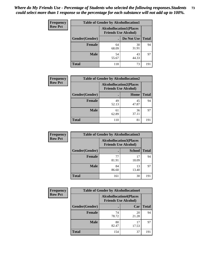| <b>Frequency</b> | <b>Table of Gender by Alcohollocation1</b> |                                                               |             |              |
|------------------|--------------------------------------------|---------------------------------------------------------------|-------------|--------------|
| <b>Row Pct</b>   |                                            | <b>Alcohollocation1(Places</b><br><b>Friends Use Alcohol)</b> |             |              |
|                  | Gender(Gender)                             |                                                               | Do Not Use  | <b>Total</b> |
|                  | <b>Female</b>                              | 64<br>68.09                                                   | 30<br>31.91 | 94           |
|                  | <b>Male</b>                                | 54<br>55.67                                                   | 43<br>44.33 | 97           |
|                  | <b>Total</b>                               | 118                                                           | 73          | 191          |

| <b>Frequency</b> | <b>Table of Gender by Alcohollocation2</b> |                                                               |             |              |
|------------------|--------------------------------------------|---------------------------------------------------------------|-------------|--------------|
| <b>Row Pct</b>   |                                            | <b>Alcohollocation2(Places</b><br><b>Friends Use Alcohol)</b> |             |              |
|                  | Gender(Gender)                             |                                                               | Home        | <b>Total</b> |
|                  | <b>Female</b>                              | 49<br>52.13                                                   | 45<br>47.87 | 94           |
|                  | <b>Male</b>                                | 61<br>62.89                                                   | 36<br>37.11 | 97           |
|                  | <b>Total</b>                               | 110                                                           | 81          | 191          |

| Frequency      | <b>Table of Gender by Alcohollocation3</b> |                             |                                |              |
|----------------|--------------------------------------------|-----------------------------|--------------------------------|--------------|
| <b>Row Pct</b> |                                            | <b>Friends Use Alcohol)</b> | <b>Alcohollocation3(Places</b> |              |
|                | Gender(Gender)                             |                             | <b>School</b>                  | <b>Total</b> |
|                | <b>Female</b>                              | 77<br>81.91                 | 17<br>18.09                    | 94           |
|                | <b>Male</b>                                | 84<br>86.60                 | 13<br>13.40                    | 97           |
|                | <b>Total</b>                               | 161                         | 30                             | 191          |

| Frequency      | <b>Table of Gender by Alcohollocation4</b> |                                                               |             |              |
|----------------|--------------------------------------------|---------------------------------------------------------------|-------------|--------------|
| <b>Row Pct</b> |                                            | <b>Alcohollocation4(Places</b><br><b>Friends Use Alcohol)</b> |             |              |
|                | Gender(Gender)                             |                                                               | Car         | <b>Total</b> |
|                | <b>Female</b>                              | 74<br>78.72                                                   | 20<br>21.28 | 94           |
|                | <b>Male</b>                                | 80<br>82.47                                                   | 17<br>17.53 | 97           |
|                | <b>Total</b>                               | 154                                                           | 37          | 191          |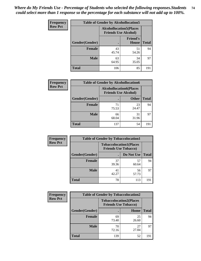| <b>Frequency</b> |                | <b>Table of Gender by Alcohollocation5</b>                     |                          |              |
|------------------|----------------|----------------------------------------------------------------|--------------------------|--------------|
| <b>Row Pct</b>   |                | <b>Alcohollocation5</b> (Places<br><b>Friends Use Alcohol)</b> |                          |              |
|                  | Gender(Gender) | $\bullet$                                                      | <b>Friend's</b><br>House | <b>Total</b> |
|                  | <b>Female</b>  | 43<br>45.74                                                    | 51<br>54.26              | 94           |
|                  | <b>Male</b>    | 63<br>64.95                                                    | 34<br>35.05              | 97           |
|                  | <b>Total</b>   | 106                                                            | 85                       | 191          |

| Frequency      | <b>Table of Gender by Alcohollocation6</b> |                                                               |              |              |
|----------------|--------------------------------------------|---------------------------------------------------------------|--------------|--------------|
| <b>Row Pct</b> |                                            | <b>Alcohollocation6(Places</b><br><b>Friends Use Alcohol)</b> |              |              |
|                | <b>Gender</b> (Gender)                     |                                                               | <b>Other</b> | <b>Total</b> |
|                | Female                                     | 71<br>75.53                                                   | 23<br>24.47  | 94           |
|                | <b>Male</b>                                | 66<br>68.04                                                   | 31<br>31.96  | 97           |
|                | <b>Total</b>                               | 137                                                           | 54           | 191          |

| Frequency      | <b>Table of Gender by Tobaccolocation1</b> |                                                               |             |              |  |
|----------------|--------------------------------------------|---------------------------------------------------------------|-------------|--------------|--|
| <b>Row Pct</b> |                                            | <b>Tobaccolocation1(Places</b><br><b>Friends Use Tobacco)</b> |             |              |  |
|                | Gender(Gender)                             |                                                               | Do Not Use  | <b>Total</b> |  |
|                | Female                                     | 37<br>39.36                                                   | 57<br>60.64 | 94           |  |
|                | <b>Male</b>                                | 41<br>42.27                                                   | 56<br>57.73 | 97           |  |
|                | <b>Total</b>                               | 78                                                            | 113         | 191          |  |

| <b>Frequency</b> | <b>Table of Gender by Tobaccolocation2</b> |                             |                                |              |
|------------------|--------------------------------------------|-----------------------------|--------------------------------|--------------|
| <b>Row Pct</b>   |                                            | <b>Friends Use Tobacco)</b> | <b>Tobaccolocation2(Places</b> |              |
|                  | Gender(Gender)                             |                             | Home                           | <b>Total</b> |
|                  | Female                                     | 69<br>73.40                 | 25<br>26.60                    | 94           |
|                  | <b>Male</b>                                | 70<br>72.16                 | 27<br>27.84                    | 97           |
|                  | <b>Total</b>                               | 139                         | 52                             | 191          |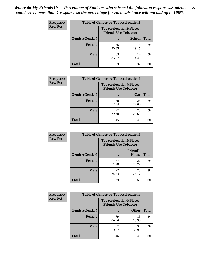| <b>Frequency</b> | <b>Table of Gender by Tobaccolocation3</b> |                             |                                |              |
|------------------|--------------------------------------------|-----------------------------|--------------------------------|--------------|
| <b>Row Pct</b>   |                                            | <b>Friends Use Tobacco)</b> | <b>Tobaccolocation3(Places</b> |              |
|                  | Gender(Gender)                             |                             | <b>School</b>                  | <b>Total</b> |
|                  | Female                                     | 76<br>80.85                 | 18<br>19.15                    | 94           |
|                  | <b>Male</b>                                | 83<br>85.57                 | 14<br>14.43                    | 97           |
|                  | <b>Total</b>                               | 159                         | 32                             | 191          |

| <b>Frequency</b> | <b>Table of Gender by Tobaccolocation4</b> |             |                                                               |              |
|------------------|--------------------------------------------|-------------|---------------------------------------------------------------|--------------|
| <b>Row Pct</b>   |                                            |             | <b>Tobaccolocation4(Places</b><br><b>Friends Use Tobacco)</b> |              |
|                  | Gender(Gender)                             |             | Car                                                           | <b>Total</b> |
|                  | <b>Female</b>                              | 68<br>72.34 | 26<br>27.66                                                   | 94           |
|                  | <b>Male</b>                                | 77<br>79.38 | 20<br>20.62                                                   | 97           |
|                  | <b>Total</b>                               | 145         | 46                                                            | 191          |

| <b>Frequency</b> | <b>Table of Gender by Tobaccolocation5</b> |                                                               |                          |              |
|------------------|--------------------------------------------|---------------------------------------------------------------|--------------------------|--------------|
| <b>Row Pct</b>   |                                            | <b>Tobaccolocation5(Places</b><br><b>Friends Use Tobacco)</b> |                          |              |
|                  | Gender(Gender)                             |                                                               | <b>Friend's</b><br>House | <b>Total</b> |
|                  | Female                                     | 67<br>71.28                                                   | 27<br>28.72              | 94           |
|                  | <b>Male</b>                                | 72<br>74.23                                                   | 25<br>25.77              | 97           |
|                  | <b>Total</b>                               | 139                                                           | 52                       | 191          |

| <b>Frequency</b> | <b>Table of Gender by Tobaccolocation6</b> |                                                               |              |              |
|------------------|--------------------------------------------|---------------------------------------------------------------|--------------|--------------|
| <b>Row Pct</b>   |                                            | <b>Tobaccolocation6(Places</b><br><b>Friends Use Tobacco)</b> |              |              |
|                  | Gender(Gender)                             |                                                               | <b>Other</b> | <b>Total</b> |
|                  | Female                                     | 79<br>84.04                                                   | 15<br>15.96  | 94           |
|                  | <b>Male</b>                                | 67<br>69.07                                                   | 30<br>30.93  | 97           |
|                  | <b>Total</b>                               | 146                                                           | 45           | 191          |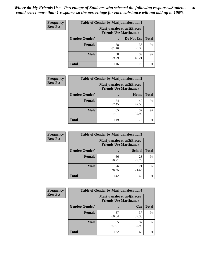| <b>Frequency</b> | <b>Table of Gender by Marijuanalocation1</b> |                                                                    |             |              |
|------------------|----------------------------------------------|--------------------------------------------------------------------|-------------|--------------|
| <b>Row Pct</b>   |                                              | <b>Marijuanalocation1(Places</b><br><b>Friends Use Marijuana</b> ) |             |              |
|                  | Gender(Gender)                               |                                                                    | Do Not Use  | <b>Total</b> |
|                  | <b>Female</b>                                | 58<br>61.70                                                        | 36<br>38.30 | 94           |
|                  | <b>Male</b>                                  | 58<br>59.79                                                        | 39<br>40.21 | 97           |
|                  | Total                                        | 116                                                                | 75          | 191          |

| <b>Frequency</b> | <b>Table of Gender by Marijuanalocation2</b> |                                                                    |             |              |
|------------------|----------------------------------------------|--------------------------------------------------------------------|-------------|--------------|
| <b>Row Pct</b>   |                                              | <b>Marijuanalocation2(Places</b><br><b>Friends Use Marijuana</b> ) |             |              |
|                  | Gender(Gender)                               |                                                                    | Home        | <b>Total</b> |
|                  | Female                                       | 54<br>57.45                                                        | 40<br>42.55 | 94           |
|                  | <b>Male</b>                                  | 65<br>67.01                                                        | 32<br>32.99 | 97           |
|                  | <b>Total</b>                                 | 119                                                                | 72          | 191          |

| <b>Frequency</b> | <b>Table of Gender by Marijuanalocation3</b> |             |                                                                    |              |  |
|------------------|----------------------------------------------|-------------|--------------------------------------------------------------------|--------------|--|
| <b>Row Pct</b>   |                                              |             | <b>Marijuanalocation3(Places</b><br><b>Friends Use Marijuana</b> ) |              |  |
|                  | Gender(Gender)                               |             | <b>School</b>                                                      | <b>Total</b> |  |
|                  | Female                                       | 66<br>70.21 | 28<br>29.79                                                        | 94           |  |
|                  | <b>Male</b>                                  | 76<br>78.35 | 21<br>21.65                                                        | 97           |  |
|                  | <b>Total</b>                                 | 142         | 49                                                                 | 191          |  |

| <b>Frequency</b> | <b>Table of Gender by Marijuanalocation4</b> |                                                                    |             |              |  |
|------------------|----------------------------------------------|--------------------------------------------------------------------|-------------|--------------|--|
| <b>Row Pct</b>   |                                              | <b>Marijuanalocation4(Places</b><br><b>Friends Use Marijuana</b> ) |             |              |  |
|                  | Gender(Gender)                               |                                                                    | Car         | <b>Total</b> |  |
|                  | Female                                       | 57<br>60.64                                                        | 37<br>39.36 | 94           |  |
|                  | <b>Male</b>                                  | 65<br>67.01                                                        | 32<br>32.99 | 97           |  |
|                  | <b>Total</b>                                 | 122                                                                | 69          | 191          |  |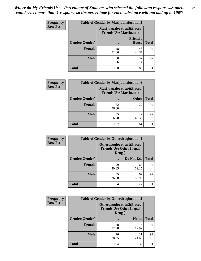| <b>Frequency</b> | <b>Table of Gender by Marijuanalocation5</b> |                                                                     |                          |              |
|------------------|----------------------------------------------|---------------------------------------------------------------------|--------------------------|--------------|
| <b>Row Pct</b>   |                                              | <b>Marijuanalocation5</b> (Places<br><b>Friends Use Marijuana</b> ) |                          |              |
|                  | Gender(Gender)                               |                                                                     | <b>Friend's</b><br>House | <b>Total</b> |
|                  | <b>Female</b>                                | 48<br>51.06                                                         | 46<br>48.94              | 94           |
|                  | <b>Male</b>                                  | 60<br>61.86                                                         | 37<br>38.14              | 97           |
|                  | <b>Total</b>                                 | 108                                                                 | 83                       | 191          |

| <b>Frequency</b> | <b>Table of Gender by Marijuanalocation6</b> |                                |                                  |              |  |
|------------------|----------------------------------------------|--------------------------------|----------------------------------|--------------|--|
| <b>Row Pct</b>   |                                              | <b>Friends Use Marijuana</b> ) | <b>Marijuanalocation6(Places</b> |              |  |
|                  | Gender(Gender)                               |                                | <b>Other</b>                     | <b>Total</b> |  |
|                  | <b>Female</b>                                | 72<br>76.60                    | 22<br>23.40                      | 94           |  |
|                  | <b>Male</b>                                  | 55<br>56.70                    | 42<br>43.30                      | 97           |  |
|                  | <b>Total</b>                                 | 127                            | 64                               | 191          |  |

| <b>Frequency</b> | <b>Table of Gender by Otherdruglocation1</b> |                                                                                |             |              |
|------------------|----------------------------------------------|--------------------------------------------------------------------------------|-------------|--------------|
| <b>Row Pct</b>   |                                              | <b>Otherdruglocation1(Places</b><br><b>Friends Use Other Illegal</b><br>Drugs) |             |              |
|                  | Gender(Gender)                               |                                                                                | Do Not Use  | <b>Total</b> |
|                  | Female                                       | 29<br>30.85                                                                    | 65<br>69.15 | 94           |
|                  | <b>Male</b>                                  | 35<br>36.08                                                                    | 62<br>63.92 | 97           |
|                  | <b>Total</b>                                 | 64                                                                             | 127         | 191          |

| <b>Frequency</b> | <b>Table of Gender by Otherdruglocation2</b> |                                                                                |             |              |
|------------------|----------------------------------------------|--------------------------------------------------------------------------------|-------------|--------------|
| <b>Row Pct</b>   |                                              | <b>Otherdruglocation2(Places</b><br><b>Friends Use Other Illegal</b><br>Drugs) |             |              |
|                  | Gender(Gender)                               |                                                                                | Home        | <b>Total</b> |
|                  | Female                                       | 78<br>82.98                                                                    | 16<br>17.02 | 94           |
|                  | <b>Male</b>                                  | 76<br>78.35                                                                    | 21<br>21.65 | 97           |
|                  | <b>Total</b>                                 | 154                                                                            | 37          | 191          |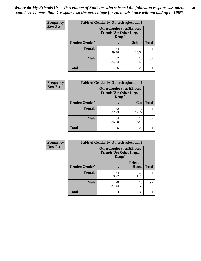| Frequency      | <b>Table of Gender by Otherdruglocation3</b> |                                                                                |               |              |
|----------------|----------------------------------------------|--------------------------------------------------------------------------------|---------------|--------------|
| <b>Row Pct</b> |                                              | <b>Otherdruglocation3(Places</b><br><b>Friends Use Other Illegal</b><br>Drugs) |               |              |
|                | Gender(Gender)                               |                                                                                | <b>School</b> | <b>Total</b> |
|                | <b>Female</b>                                | 84<br>89.36                                                                    | 10<br>10.64   | 94           |
|                | <b>Male</b>                                  | 82<br>84.54                                                                    | 15<br>15.46   | 97           |
|                | <b>Total</b>                                 | 166                                                                            | 25            | 191          |

| Frequency      | <b>Table of Gender by Otherdruglocation4</b> |                                                                                |             |              |
|----------------|----------------------------------------------|--------------------------------------------------------------------------------|-------------|--------------|
| <b>Row Pct</b> |                                              | <b>Otherdruglocation4(Places</b><br><b>Friends Use Other Illegal</b><br>Drugs) |             |              |
|                | Gender(Gender)                               |                                                                                | Car         | <b>Total</b> |
|                | <b>Female</b>                                | 82<br>87.23                                                                    | 12<br>12.77 | 94           |
|                | <b>Male</b>                                  | 84<br>86.60                                                                    | 13<br>13.40 | 97           |
|                | <b>Total</b>                                 | 166                                                                            | 25          | 191          |

| <b>Frequency</b> | <b>Table of Gender by Otherdruglocation5</b>                                   |             |                                 |              |
|------------------|--------------------------------------------------------------------------------|-------------|---------------------------------|--------------|
| <b>Row Pct</b>   | <b>Otherdruglocation5(Places</b><br><b>Friends Use Other Illegal</b><br>Drugs) |             |                                 |              |
|                  | Gender(Gender)                                                                 |             | <b>Friend's</b><br><b>House</b> | <b>Total</b> |
|                  | <b>Female</b>                                                                  | 74<br>78.72 | 20<br>21.28                     | 94           |
|                  | <b>Male</b>                                                                    | 79<br>81.44 | 18<br>18.56                     | 97           |
|                  | <b>Total</b>                                                                   | 153         | 38                              | 191          |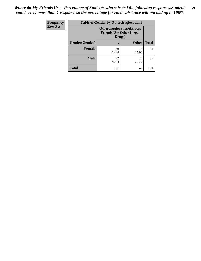| <b>Frequency</b> | <b>Table of Gender by Otherdruglocation6</b> |             |                                                                                |              |
|------------------|----------------------------------------------|-------------|--------------------------------------------------------------------------------|--------------|
| <b>Row Pct</b>   |                                              |             | <b>Otherdruglocation6(Places</b><br><b>Friends Use Other Illegal</b><br>Drugs) |              |
|                  | Gender(Gender)                               |             | <b>Other</b>                                                                   | <b>Total</b> |
|                  | Female                                       | 79<br>84.04 | 15<br>15.96                                                                    | 94           |
|                  | <b>Male</b>                                  | 72<br>74.23 | 25<br>25.77                                                                    | 97           |
|                  | <b>Total</b>                                 | 151         | 40                                                                             | 191          |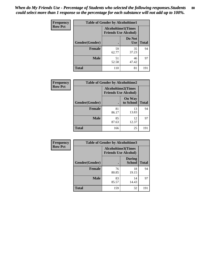| Frequency      | <b>Table of Gender by Alcoholtime1</b> |                                                          |                      |              |
|----------------|----------------------------------------|----------------------------------------------------------|----------------------|--------------|
| <b>Row Pct</b> |                                        | <b>Alcoholtime1(Times</b><br><b>Friends Use Alcohol)</b> |                      |              |
|                | Gender(Gender)                         |                                                          | Do Not<br><b>Use</b> | <b>Total</b> |
|                | <b>Female</b>                          | 59<br>62.77                                              | 35<br>37.23          | 94           |
|                | <b>Male</b>                            | 51<br>52.58                                              | 46<br>47.42          | 97           |
|                | <b>Total</b>                           | 110                                                      | 81                   | 191          |

| Frequency      | <b>Table of Gender by Alcoholtime2</b> |                                                          |                            |              |
|----------------|----------------------------------------|----------------------------------------------------------|----------------------------|--------------|
| <b>Row Pct</b> |                                        | <b>Alcoholtime2(Times</b><br><b>Friends Use Alcohol)</b> |                            |              |
|                | Gender(Gender)                         |                                                          | <b>On Way</b><br>to School | <b>Total</b> |
|                | <b>Female</b>                          | 81<br>86.17                                              | 13<br>13.83                | 94           |
|                | <b>Male</b>                            | 85<br>87.63                                              | 12<br>12.37                | 97           |
|                | <b>Total</b>                           | 166                                                      | 25                         | 191          |

| Frequency      | <b>Table of Gender by Alcoholtime3</b> |                                                          |                                |              |
|----------------|----------------------------------------|----------------------------------------------------------|--------------------------------|--------------|
| <b>Row Pct</b> |                                        | <b>Alcoholtime3(Times</b><br><b>Friends Use Alcohol)</b> |                                |              |
|                | Gender(Gender)                         |                                                          | <b>During</b><br><b>School</b> | <b>Total</b> |
|                | Female                                 | 76<br>80.85                                              | 18<br>19.15                    | 94           |
|                | <b>Male</b>                            | 83<br>85.57                                              | 14<br>14.43                    | 97           |
|                | <b>Total</b>                           | 159                                                      | 32                             | 191          |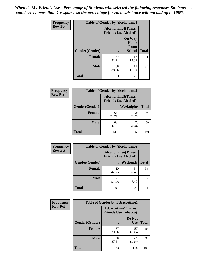*When do My Friends Use - Percentage of Students who selected the following responses.Students could select more than 1 response so the percentage for each substance will not add up to 100%.* **81**

| <b>Frequency</b> | <b>Table of Gender by Alcoholtime4</b> |                                                          |                                                       |              |
|------------------|----------------------------------------|----------------------------------------------------------|-------------------------------------------------------|--------------|
| <b>Row Pct</b>   |                                        | <b>Alcoholtime4(Times</b><br><b>Friends Use Alcohol)</b> |                                                       |              |
|                  | Gender(Gender)                         | $\bullet$                                                | <b>On Way</b><br>Home<br><b>From</b><br><b>School</b> | <b>Total</b> |
|                  | <b>Female</b>                          | 77<br>81.91                                              | 17<br>18.09                                           | 94           |
|                  | <b>Male</b>                            | 86<br>88.66                                              | 11<br>11.34                                           | 97           |
|                  | <b>Total</b>                           | 163                                                      | 28                                                    | 191          |

| <b>Frequency</b> | <b>Table of Gender by Alcoholtime5</b> |                                                           |             |              |
|------------------|----------------------------------------|-----------------------------------------------------------|-------------|--------------|
| <b>Row Pct</b>   |                                        | <b>Alcoholtime5</b> (Times<br><b>Friends Use Alcohol)</b> |             |              |
|                  | Gender(Gender)                         |                                                           | Weeknights  | <b>Total</b> |
|                  | <b>Female</b>                          | 66<br>70.21                                               | 28<br>29.79 | 94           |
|                  | <b>Male</b>                            | 69<br>71.13                                               | 28<br>28.87 | 97           |
|                  | <b>Total</b>                           | 135                                                       | 56          | 191          |

| Frequency      |                | <b>Table of Gender by Alcoholtime6</b> |                                                           |              |
|----------------|----------------|----------------------------------------|-----------------------------------------------------------|--------------|
| <b>Row Pct</b> |                |                                        | <b>Alcoholtime6</b> (Times<br><b>Friends Use Alcohol)</b> |              |
|                | Gender(Gender) |                                        | Weekends                                                  | <b>Total</b> |
|                | Female         | 40<br>42.55                            | 54<br>57.45                                               | 94           |
|                | <b>Male</b>    | 51<br>52.58                            | 46<br>47.42                                               | 97           |
|                | <b>Total</b>   | 91                                     | 100                                                       | 191          |

| Frequency      | <b>Table of Gender by Tobaccotime1</b> |                                                          |                      |              |  |
|----------------|----------------------------------------|----------------------------------------------------------|----------------------|--------------|--|
| <b>Row Pct</b> |                                        | <b>Tobaccotime1(Times</b><br><b>Friends Use Tobacco)</b> |                      |              |  |
|                | Gender(Gender)                         |                                                          | Do Not<br><b>Use</b> | <b>Total</b> |  |
|                | <b>Female</b>                          | 37<br>39.36                                              | 57<br>60.64          | 94           |  |
|                | <b>Male</b>                            | 36<br>37.11                                              | 61<br>62.89          | 97           |  |
|                | <b>Total</b>                           | 73                                                       | 118                  | 191          |  |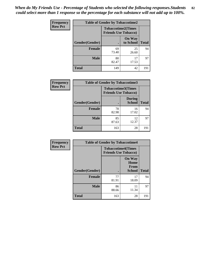| <b>Frequency</b> | <b>Table of Gender by Tobaccotime2</b> |                                                          |                            |              |
|------------------|----------------------------------------|----------------------------------------------------------|----------------------------|--------------|
| <b>Row Pct</b>   |                                        | <b>Tobaccotime2(Times</b><br><b>Friends Use Tobacco)</b> |                            |              |
|                  | Gender(Gender)                         | $\bullet$                                                | <b>On Way</b><br>to School | <b>Total</b> |
|                  | Female                                 | 69<br>73.40                                              | 25<br>26.60                | 94           |
|                  | <b>Male</b>                            | 80<br>82.47                                              | 17<br>17.53                | 97           |
|                  | <b>Total</b>                           | 149                                                      | 42                         | 191          |

| <b>Frequency</b> | <b>Table of Gender by Tobaccotime3</b> |                                                          |                                |              |
|------------------|----------------------------------------|----------------------------------------------------------|--------------------------------|--------------|
| <b>Row Pct</b>   |                                        | <b>Tobaccotime3(Times</b><br><b>Friends Use Tobacco)</b> |                                |              |
|                  | Gender(Gender)                         | г                                                        | <b>During</b><br><b>School</b> | <b>Total</b> |
|                  | <b>Female</b>                          | 78<br>82.98                                              | 16<br>17.02                    | 94           |
|                  | <b>Male</b>                            | 85<br>87.63                                              | 12<br>12.37                    | 97           |
|                  | <b>Total</b>                           | 163                                                      | 28                             | 191          |

| <b>Frequency</b> | <b>Table of Gender by Tobaccotime4</b> |                                                          |                                      |              |
|------------------|----------------------------------------|----------------------------------------------------------|--------------------------------------|--------------|
| <b>Row Pct</b>   |                                        | <b>Tobaccotime4(Times</b><br><b>Friends Use Tobacco)</b> |                                      |              |
|                  |                                        |                                                          | <b>On Way</b><br>Home<br><b>From</b> |              |
|                  | Gender(Gender)                         |                                                          | School                               | <b>Total</b> |
|                  | <b>Female</b>                          | 77<br>81.91                                              | 17<br>18.09                          | 94           |
|                  | <b>Male</b>                            | 86<br>88.66                                              | 11<br>11.34                          | 97           |
|                  | <b>Total</b>                           | 163                                                      | 28                                   | 191          |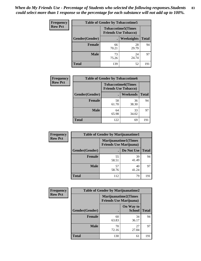| <b>Frequency</b> | <b>Table of Gender by Tobaccotime5</b> |             |                                                           |              |  |
|------------------|----------------------------------------|-------------|-----------------------------------------------------------|--------------|--|
| <b>Row Pct</b>   |                                        |             | <b>Tobaccotime5</b> (Times<br><b>Friends Use Tobacco)</b> |              |  |
|                  | Gender(Gender)                         |             | Weeknights                                                | <b>Total</b> |  |
|                  | <b>Female</b>                          | 66<br>70.21 | 28<br>29.79                                               | 94           |  |
|                  | <b>Male</b>                            | 73<br>75.26 | 24<br>24.74                                               | 97           |  |
|                  | Total                                  | 139         | 52                                                        | 191          |  |

| <b>Frequency</b> | <b>Table of Gender by Tobaccotime6</b> |                                                          |             |              |
|------------------|----------------------------------------|----------------------------------------------------------|-------------|--------------|
| <b>Row Pct</b>   |                                        | <b>Tobaccotime6(Times</b><br><b>Friends Use Tobacco)</b> |             |              |
|                  | Gender(Gender)                         |                                                          | Weekends    | <b>Total</b> |
|                  | Female                                 | 58<br>61.70                                              | 36<br>38.30 | 94           |
|                  | <b>Male</b>                            | 64<br>65.98                                              | 33<br>34.02 | 97           |
|                  | <b>Total</b>                           | 122                                                      | 69          | 191          |

| Frequency      | <b>Table of Gender by Marijuanatime1</b> |                                |                              |              |  |
|----------------|------------------------------------------|--------------------------------|------------------------------|--------------|--|
| <b>Row Pct</b> |                                          | <b>Friends Use Marijuana</b> ) | <b>Marijuanatime1</b> (Times |              |  |
|                | Gender(Gender)                           |                                | Do Not Use                   | <b>Total</b> |  |
|                | <b>Female</b>                            | 55<br>58.51                    | 39<br>41.49                  | 94           |  |
|                | <b>Male</b>                              | 57<br>58.76                    | 40<br>41.24                  | 97           |  |
|                | <b>Total</b>                             | 112                            | 79                           | 191          |  |

| <b>Frequency</b> | <b>Table of Gender by Marijuanatime2</b> |                                                        |                            |              |
|------------------|------------------------------------------|--------------------------------------------------------|----------------------------|--------------|
| <b>Row Pct</b>   |                                          | Marijuanatime2(Times<br><b>Friends Use Marijuana</b> ) |                            |              |
|                  | Gender(Gender)                           |                                                        | On Way to<br><b>School</b> | <b>Total</b> |
|                  | <b>Female</b>                            | 60<br>63.83                                            | 34<br>36.17                | 94           |
|                  | <b>Male</b>                              | 70<br>72.16                                            | 27<br>27.84                | 97           |
|                  | <b>Total</b>                             | 130                                                    | 61                         | 191          |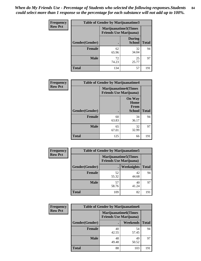*When do My Friends Use - Percentage of Students who selected the following responses.Students could select more than 1 response so the percentage for each substance will not add up to 100%.* **84**

| <b>Frequency</b> | Table of Gender by Marijuanatime3 |                                                        |                                |              |
|------------------|-----------------------------------|--------------------------------------------------------|--------------------------------|--------------|
| <b>Row Pct</b>   |                                   | Marijuanatime3(Times<br><b>Friends Use Marijuana</b> ) |                                |              |
|                  | Gender(Gender)                    |                                                        | <b>During</b><br><b>School</b> | <b>Total</b> |
|                  | <b>Female</b>                     | 62<br>65.96                                            | 32<br>34.04                    | 94           |
|                  | <b>Male</b>                       | 72<br>74.23                                            | 25<br>25.77                    | 97           |
|                  | <b>Total</b>                      | 134                                                    | 57                             | 191          |

| Frequency      | <b>Table of Gender by Marijuanatime4</b> |                                |                                                       |              |
|----------------|------------------------------------------|--------------------------------|-------------------------------------------------------|--------------|
| <b>Row Pct</b> |                                          | <b>Friends Use Marijuana</b> ) | <b>Marijuanatime4</b> (Times                          |              |
|                | Gender(Gender)                           |                                | <b>On Way</b><br>Home<br><b>From</b><br><b>School</b> | <b>Total</b> |
|                | <b>Female</b>                            | 60<br>63.83                    | 34<br>36.17                                           | 94           |
|                | <b>Male</b>                              | 65<br>67.01                    | 32<br>32.99                                           | 97           |
|                | <b>Total</b>                             | 125                            | 66                                                    | 191          |

| Frequency      | <b>Table of Gender by Marijuanatime5</b> |             |                                                                |              |  |
|----------------|------------------------------------------|-------------|----------------------------------------------------------------|--------------|--|
| <b>Row Pct</b> |                                          |             | <b>Marijuanatime5</b> (Times<br><b>Friends Use Marijuana</b> ) |              |  |
|                | Gender(Gender)                           |             | Weeknights                                                     | <b>Total</b> |  |
|                | <b>Female</b>                            | 52<br>55.32 | 42<br>44.68                                                    | 94           |  |
|                | <b>Male</b>                              | 57<br>58.76 | 40<br>41.24                                                    | 97           |  |
|                | <b>Total</b>                             | 109         | 82                                                             | 191          |  |

| Frequency      | <b>Table of Gender by Marijuanatime6</b> |                                                               |                 |              |  |
|----------------|------------------------------------------|---------------------------------------------------------------|-----------------|--------------|--|
| <b>Row Pct</b> |                                          | <b>Marijuanatime6(Times</b><br><b>Friends Use Marijuana</b> ) |                 |              |  |
|                | Gender(Gender)                           |                                                               | <b>Weekends</b> | <b>Total</b> |  |
|                | <b>Female</b>                            | 40<br>42.55                                                   | 54<br>57.45     | 94           |  |
|                | <b>Male</b>                              | 48<br>49.48                                                   | 49<br>50.52     | 97           |  |
|                | <b>Total</b>                             | 88                                                            | 103             | 191          |  |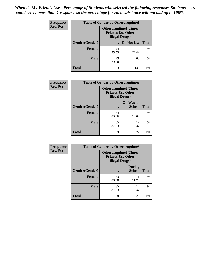*When do My Friends Use - Percentage of Students who selected the following responses.Students could select more than 1 response so the percentage for each substance will not add up to 100%.* **85**

| <b>Frequency</b> | <b>Table of Gender by Otherdrugtime1</b> |                                                                                    |                    |     |
|------------------|------------------------------------------|------------------------------------------------------------------------------------|--------------------|-----|
| <b>Row Pct</b>   |                                          | <b>Otherdrugtime1</b> (Times<br><b>Friends Use Other</b><br><b>Illegal Drugs</b> ) |                    |     |
|                  | Gender(Gender)                           |                                                                                    | Do Not Use   Total |     |
|                  | <b>Female</b>                            | 24<br>25.53                                                                        | 70<br>74.47        | 94  |
|                  | <b>Male</b>                              | 29<br>29.90                                                                        | 68<br>70.10        | 97  |
|                  | <b>Total</b>                             | 53                                                                                 | 138                | 191 |

| Frequency      | <b>Table of Gender by Otherdrugtime2</b> |                        |                                                         |              |
|----------------|------------------------------------------|------------------------|---------------------------------------------------------|--------------|
| <b>Row Pct</b> |                                          | <b>Illegal Drugs</b> ) | <b>Otherdrugtime2(Times</b><br><b>Friends Use Other</b> |              |
|                | <b>Gender</b> (Gender)                   |                        | On Way to<br><b>School</b>                              | <b>Total</b> |
|                | <b>Female</b>                            | 84<br>89.36            | 10<br>10.64                                             | 94           |
|                | <b>Male</b>                              | 85<br>87.63            | 12<br>12.37                                             | 97           |
|                | <b>Total</b>                             | 169                    | 22                                                      | 191          |

| <b>Frequency</b> |                | Table of Gender by Otherdrugtime3                                          |                                |              |
|------------------|----------------|----------------------------------------------------------------------------|--------------------------------|--------------|
| <b>Row Pct</b>   |                | Otherdrugtime3(Times<br><b>Friends Use Other</b><br><b>Illegal Drugs</b> ) |                                |              |
|                  | Gender(Gender) |                                                                            | <b>During</b><br><b>School</b> | <b>Total</b> |
|                  | <b>Female</b>  | 83<br>88.30                                                                | 11<br>11.70                    | 94           |
|                  | <b>Male</b>    | 85<br>87.63                                                                | 12<br>12.37                    | 97           |
|                  | <b>Total</b>   | 168                                                                        | 23                             | 191          |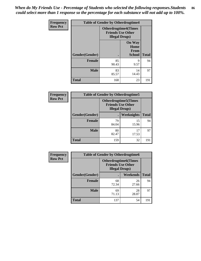*When do My Friends Use - Percentage of Students who selected the following responses.Students could select more than 1 response so the percentage for each substance will not add up to 100%.* **86**

| <b>Frequency</b> | <b>Table of Gender by Otherdrugtime4</b> |                                                    |                                                |              |
|------------------|------------------------------------------|----------------------------------------------------|------------------------------------------------|--------------|
| <b>Row Pct</b>   |                                          | <b>Friends Use Other</b><br><b>Illegal Drugs</b> ) | <b>Otherdrugtime4(Times</b>                    |              |
|                  | Gender(Gender)                           |                                                    | <b>On Way</b><br>Home<br>From<br><b>School</b> | <b>Total</b> |
|                  | Female                                   | 85<br>90.43                                        | 9<br>9.57                                      | 94           |
|                  | <b>Male</b>                              | 83<br>85.57                                        | 14<br>14.43                                    | 97           |
|                  | <b>Total</b>                             | 168                                                | 23                                             | 191          |

| Frequency      | <b>Table of Gender by Otherdrugtime5</b> |                                                                                    |             |              |
|----------------|------------------------------------------|------------------------------------------------------------------------------------|-------------|--------------|
| <b>Row Pct</b> |                                          | <b>Otherdrugtime5</b> (Times<br><b>Friends Use Other</b><br><b>Illegal Drugs</b> ) |             |              |
|                | Gender(Gender)                           |                                                                                    | Weeknights  | <b>Total</b> |
|                | <b>Female</b>                            | 79<br>84.04                                                                        | 15<br>15.96 | 94           |
|                | <b>Male</b>                              | 80<br>82.47                                                                        | 17<br>17.53 | 97           |
|                | <b>Total</b>                             | 159                                                                                | 32          | 191          |

| <b>Frequency</b> | <b>Table of Gender by Otherdrugtime6</b> |                                                                                   |             |              |
|------------------|------------------------------------------|-----------------------------------------------------------------------------------|-------------|--------------|
| <b>Row Pct</b>   |                                          | <b>Otherdrugtime6(Times</b><br><b>Friends Use Other</b><br><b>Illegal Drugs</b> ) |             |              |
|                  | Gender(Gender)                           |                                                                                   | Weekends    | <b>Total</b> |
|                  | <b>Female</b>                            | 68<br>72.34                                                                       | 26<br>27.66 | 94           |
|                  | <b>Male</b>                              | 69<br>71.13                                                                       | 28<br>28.87 | 97           |
|                  | <b>Total</b>                             | 137                                                                               | 54          | 191          |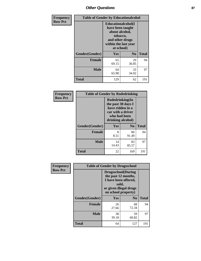# *Other Questions* **87**

| Frequency      | <b>Table of Gender by Educationalcohol</b> |                                                                                                                               |                |              |
|----------------|--------------------------------------------|-------------------------------------------------------------------------------------------------------------------------------|----------------|--------------|
| <b>Row Pct</b> |                                            | Educationalcohol(I<br>have been taught<br>about alcohol,<br>tobacco,<br>and other drugs<br>within the last year<br>at school) |                |              |
|                | Gender(Gender)                             | Yes                                                                                                                           | N <sub>0</sub> | <b>Total</b> |
|                | <b>Female</b>                              | 65<br>69.15                                                                                                                   | 29<br>30.85    | 94           |
|                | <b>Male</b>                                | 64<br>65.98                                                                                                                   | 33<br>34.02    | 97           |
|                | <b>Total</b>                               | 129                                                                                                                           | 62             | 191          |

| Frequency      | <b>Table of Gender by Rodedrinking</b> |                                                                                                                     |                |              |  |
|----------------|----------------------------------------|---------------------------------------------------------------------------------------------------------------------|----------------|--------------|--|
| <b>Row Pct</b> |                                        | Rodedrinking(In<br>the past 30 days I<br>have ridden in a<br>car with a driver<br>who had been<br>drinking alcohol) |                |              |  |
|                | Gender(Gender)                         | Yes                                                                                                                 | N <sub>0</sub> | <b>Total</b> |  |
|                | <b>Female</b>                          | 8<br>8.51                                                                                                           | 86<br>91.49    | 94           |  |
|                | <b>Male</b>                            | 14<br>14.43                                                                                                         | 83<br>85.57    | 97           |  |
|                | <b>Total</b>                           | 22                                                                                                                  | 169            | 191          |  |

| Frequency      | <b>Table of Gender by Drugsschool</b> |                                                                                                                                     |                |              |  |
|----------------|---------------------------------------|-------------------------------------------------------------------------------------------------------------------------------------|----------------|--------------|--|
| <b>Row Pct</b> |                                       | <b>Drugsschool</b> (During<br>the past 12 months,<br>I have been offered,<br>sold,<br>or given illegal drugs<br>on school property) |                |              |  |
|                | Gender(Gender)                        | <b>Yes</b>                                                                                                                          | N <sub>0</sub> | <b>Total</b> |  |
|                | <b>Female</b>                         | 26<br>27.66                                                                                                                         | 68<br>72.34    | 94           |  |
|                | <b>Male</b>                           | 38<br>39.18                                                                                                                         | 59<br>60.82    | 97           |  |
|                | <b>Total</b>                          | 64                                                                                                                                  | 127            | 191          |  |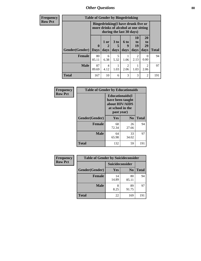*Other Questions* **88**

**Frequency Row Pct**

| <b>Table of Gender by Bingedrinking</b> |             |                                                                                                                |           |                |                        |                        |              |
|-----------------------------------------|-------------|----------------------------------------------------------------------------------------------------------------|-----------|----------------|------------------------|------------------------|--------------|
|                                         |             | <b>Bingedrinking(I have drunk five or</b><br>more drinks of alcohol at one sitting<br>during the last 30 days) |           |                |                        |                        |              |
|                                         | 1 or<br>2   | $3$ to                                                                                                         | 6 to<br>9 | 10<br>to<br>19 | 20<br>to<br>29         |                        |              |
| <b>Gender</b> (Gender)                  | <b>Days</b> | days                                                                                                           | days      | days           | days                   | days                   | <b>Total</b> |
| Female                                  | 80<br>85.11 | 6<br>6.38                                                                                                      | 5<br>5.32 | 1.06           | $\mathfrak{D}$<br>2.13 | $\Omega$<br>0.00       | 94           |
| <b>Male</b>                             | 87<br>89.69 | 4<br>4.12                                                                                                      | 1.03      | 2<br>2.06      | 1.03                   | $\overline{2}$<br>2.06 | 97           |

| Frequency      | <b>Table of Gender by Educationaids</b> |                                                                                                 |             |              |
|----------------|-----------------------------------------|-------------------------------------------------------------------------------------------------|-------------|--------------|
| <b>Row Pct</b> |                                         | <b>Educationaids</b> (I<br>have been taught<br>about HIV/AIDS<br>at school in the<br>past year) |             |              |
|                | Gender(Gender)                          | Yes                                                                                             | $\bf N_0$   | <b>Total</b> |
|                | <b>Female</b>                           | 68<br>72.34                                                                                     | 26<br>27.66 | 94           |
|                | <b>Male</b>                             | 64<br>65.98                                                                                     | 33<br>34.02 | 97           |
|                | <b>Total</b>                            | 132                                                                                             | 59          | 191          |

| <b>Frequency</b> | <b>Table of Gender by Suicideconsider</b> |                 |                |              |  |
|------------------|-------------------------------------------|-----------------|----------------|--------------|--|
| <b>Row Pct</b>   |                                           | Suicideconsider |                |              |  |
|                  | Gender(Gender)                            | Yes             | N <sub>0</sub> | <b>Total</b> |  |
|                  | Female                                    | 14<br>14.89     | 80<br>85.11    | 94           |  |
|                  | <b>Male</b>                               | 8.25            | 89<br>91.75    | 97           |  |
|                  | <b>Total</b>                              | 22              | 169            | 191          |  |